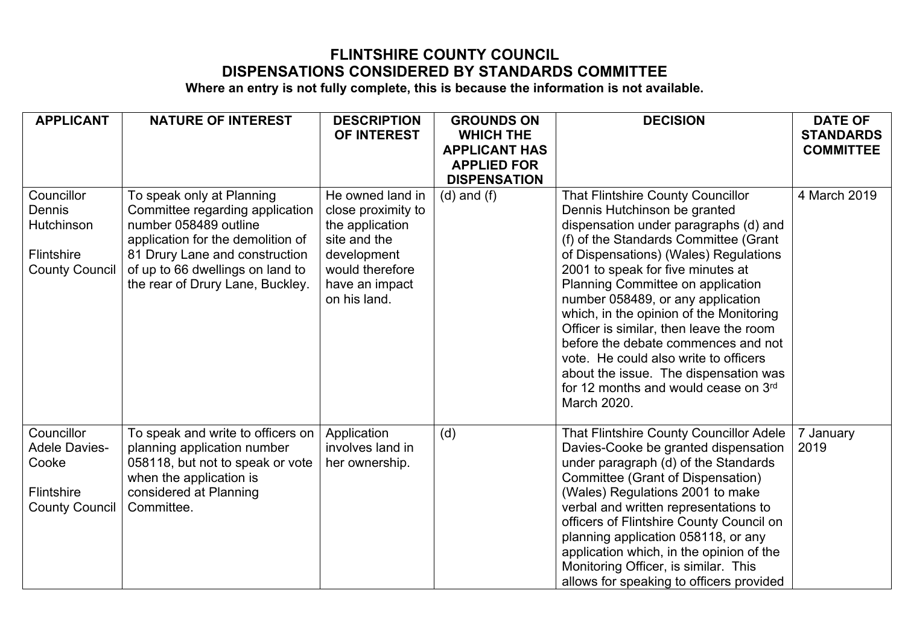## **FLINTSHIRE COUNTY COUNCIL DISPENSATIONS CONSIDERED BY STANDARDS COMMITTEE**

**Where an entry is not fully complete, this is because the information is not available.**

| <b>APPLICANT</b>      | <b>NATURE OF INTEREST</b>                                    | <b>DESCRIPTION</b> | <b>GROUNDS ON</b>    | <b>DECISION</b>                                                                   | <b>DATE OF</b>   |
|-----------------------|--------------------------------------------------------------|--------------------|----------------------|-----------------------------------------------------------------------------------|------------------|
|                       |                                                              | OF INTEREST        | <b>WHICH THE</b>     |                                                                                   | <b>STANDARDS</b> |
|                       |                                                              |                    | <b>APPLICANT HAS</b> |                                                                                   | <b>COMMITTEE</b> |
|                       |                                                              |                    | <b>APPLIED FOR</b>   |                                                                                   |                  |
| Councillor            |                                                              | He owned land in   | <b>DISPENSATION</b>  |                                                                                   | 4 March 2019     |
| Dennis                | To speak only at Planning<br>Committee regarding application | close proximity to | $(d)$ and $(f)$      | <b>That Flintshire County Councillor</b><br>Dennis Hutchinson be granted          |                  |
| Hutchinson            | number 058489 outline                                        | the application    |                      | dispensation under paragraphs (d) and                                             |                  |
|                       | application for the demolition of                            | site and the       |                      | (f) of the Standards Committee (Grant                                             |                  |
| Flintshire            | 81 Drury Lane and construction                               | development        |                      | of Dispensations) (Wales) Regulations                                             |                  |
| <b>County Council</b> | of up to 66 dwellings on land to                             | would therefore    |                      | 2001 to speak for five minutes at                                                 |                  |
|                       | the rear of Drury Lane, Buckley.                             | have an impact     |                      | Planning Committee on application                                                 |                  |
|                       |                                                              | on his land.       |                      | number 058489, or any application                                                 |                  |
|                       |                                                              |                    |                      | which, in the opinion of the Monitoring                                           |                  |
|                       |                                                              |                    |                      | Officer is similar, then leave the room                                           |                  |
|                       |                                                              |                    |                      | before the debate commences and not                                               |                  |
|                       |                                                              |                    |                      | vote. He could also write to officers<br>about the issue. The dispensation was    |                  |
|                       |                                                              |                    |                      | for 12 months and would cease on 3rd                                              |                  |
|                       |                                                              |                    |                      | March 2020.                                                                       |                  |
|                       |                                                              |                    |                      |                                                                                   |                  |
| Councillor            | To speak and write to officers on                            | Application        | (d)                  | <b>That Flintshire County Councillor Adele</b>                                    | 7 January        |
| <b>Adele Davies-</b>  | planning application number                                  | involves land in   |                      | Davies-Cooke be granted dispensation                                              | 2019             |
| Cooke                 | 058118, but not to speak or vote                             | her ownership.     |                      | under paragraph (d) of the Standards                                              |                  |
|                       | when the application is                                      |                    |                      | Committee (Grant of Dispensation)                                                 |                  |
| Flintshire            | considered at Planning                                       |                    |                      | (Wales) Regulations 2001 to make                                                  |                  |
| <b>County Council</b> | Committee.                                                   |                    |                      | verbal and written representations to<br>officers of Flintshire County Council on |                  |
|                       |                                                              |                    |                      | planning application 058118, or any                                               |                  |
|                       |                                                              |                    |                      | application which, in the opinion of the                                          |                  |
|                       |                                                              |                    |                      | Monitoring Officer, is similar. This                                              |                  |
|                       |                                                              |                    |                      | allows for speaking to officers provided                                          |                  |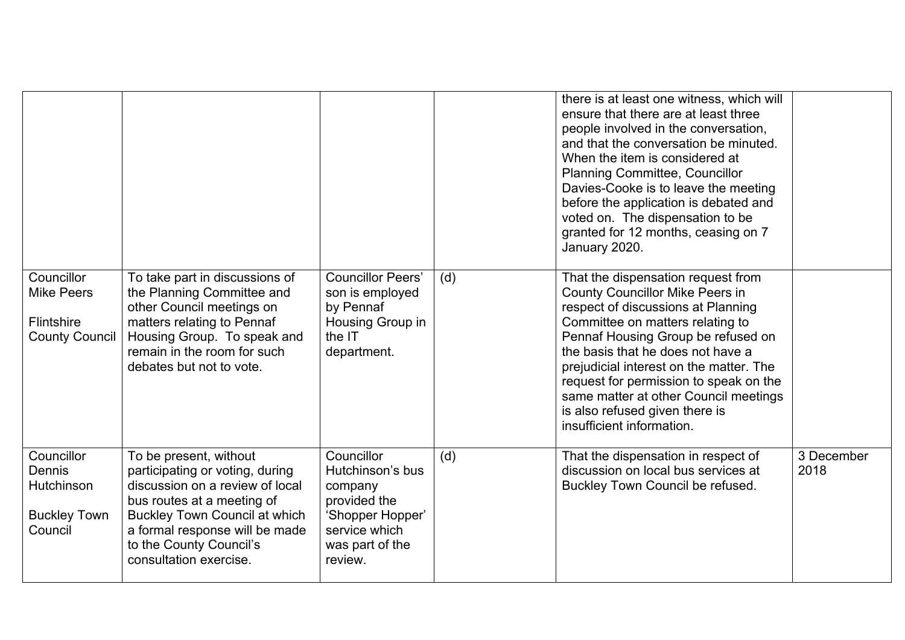|                                                                        |                                                                                                                                                                                                                                                           |                                                                                                                              |     | there is at least one witness, which will<br>ensure that there are at least three<br>people involved in the conversation,<br>and that the conversation be minuted.<br>When the item is considered at<br><b>Planning Committee, Councillor</b><br>Davies-Cooke is to leave the meeting<br>before the application is debated and<br>voted on. The dispensation to be<br>granted for 12 months, ceasing on 7<br>January 2020.     |                    |
|------------------------------------------------------------------------|-----------------------------------------------------------------------------------------------------------------------------------------------------------------------------------------------------------------------------------------------------------|------------------------------------------------------------------------------------------------------------------------------|-----|--------------------------------------------------------------------------------------------------------------------------------------------------------------------------------------------------------------------------------------------------------------------------------------------------------------------------------------------------------------------------------------------------------------------------------|--------------------|
| Councillor<br><b>Mike Peers</b><br>Flintshire<br><b>County Council</b> | To take part in discussions of<br>the Planning Committee and<br>other Council meetings on<br>matters relating to Pennaf<br>Housing Group. To speak and<br>remain in the room for such<br>debates but not to vote.                                         | <b>Councillor Peers'</b><br>son is employed<br>by Pennaf<br>Housing Group in<br>the IT<br>department.                        | (d) | That the dispensation request from<br><b>County Councillor Mike Peers in</b><br>respect of discussions at Planning<br>Committee on matters relating to<br>Pennaf Housing Group be refused on<br>the basis that he does not have a<br>prejudicial interest on the matter. The<br>request for permission to speak on the<br>same matter at other Council meetings<br>is also refused given there is<br>insufficient information. |                    |
| Councillor<br>Dennis<br>Hutchinson<br><b>Buckley Town</b><br>Council   | To be present, without<br>participating or voting, during<br>discussion on a review of local<br>bus routes at a meeting of<br><b>Buckley Town Council at which</b><br>a formal response will be made<br>to the County Council's<br>consultation exercise. | Councillor<br>Hutchinson's bus<br>company<br>provided the<br>'Shopper Hopper'<br>service which<br>was part of the<br>review. | (d) | That the dispensation in respect of<br>discussion on local bus services at<br>Buckley Town Council be refused.                                                                                                                                                                                                                                                                                                                 | 3 December<br>2018 |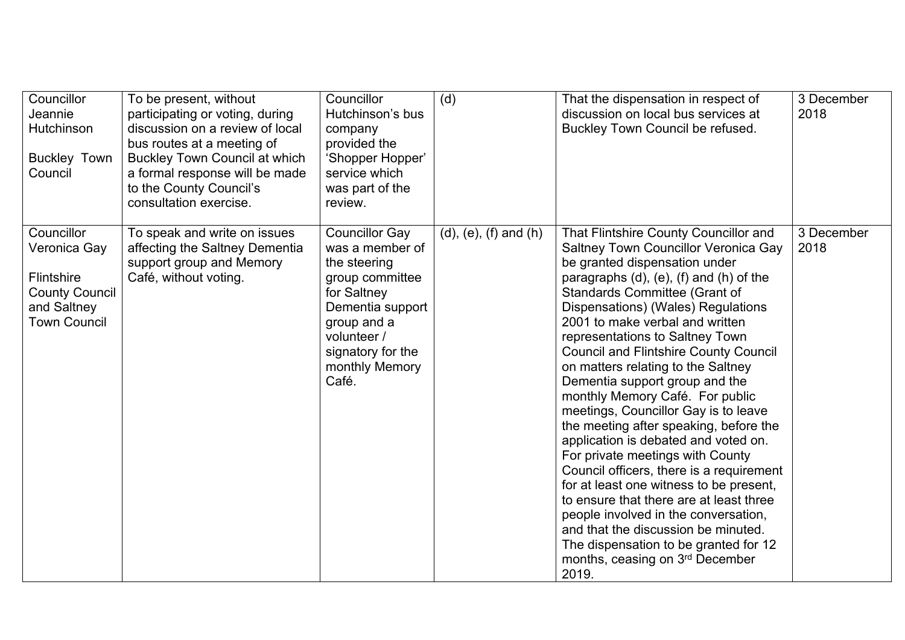| Councillor<br>Jeannie<br>Hutchinson<br><b>Buckley Town</b><br>Council                                          | To be present, without<br>participating or voting, during<br>discussion on a review of local<br>bus routes at a meeting of<br><b>Buckley Town Council at which</b><br>a formal response will be made<br>to the County Council's<br>consultation exercise. | Councillor<br>Hutchinson's bus<br>company<br>provided the<br>'Shopper Hopper'<br>service which<br>was part of the<br>review.                                                                 | (d)                             | That the dispensation in respect of<br>discussion on local bus services at<br>Buckley Town Council be refused.                                                                                                                                                                                                                                                                                                                                                                                                                                                                                                                                                                                                                                                                                                                                                                                                                                  | 3 December<br>2018 |
|----------------------------------------------------------------------------------------------------------------|-----------------------------------------------------------------------------------------------------------------------------------------------------------------------------------------------------------------------------------------------------------|----------------------------------------------------------------------------------------------------------------------------------------------------------------------------------------------|---------------------------------|-------------------------------------------------------------------------------------------------------------------------------------------------------------------------------------------------------------------------------------------------------------------------------------------------------------------------------------------------------------------------------------------------------------------------------------------------------------------------------------------------------------------------------------------------------------------------------------------------------------------------------------------------------------------------------------------------------------------------------------------------------------------------------------------------------------------------------------------------------------------------------------------------------------------------------------------------|--------------------|
| Councillor<br>Veronica Gay<br><b>Flintshire</b><br><b>County Council</b><br>and Saltney<br><b>Town Council</b> | To speak and write on issues<br>affecting the Saltney Dementia<br>support group and Memory<br>Café, without voting.                                                                                                                                       | <b>Councillor Gay</b><br>was a member of<br>the steering<br>group committee<br>for Saltney<br>Dementia support<br>group and a<br>volunteer /<br>signatory for the<br>monthly Memory<br>Café. | $(d)$ , $(e)$ , $(f)$ and $(h)$ | That Flintshire County Councillor and<br>Saltney Town Councillor Veronica Gay<br>be granted dispensation under<br>paragraphs $(d)$ , $(e)$ , $(f)$ and $(h)$ of the<br>Standards Committee (Grant of<br>Dispensations) (Wales) Regulations<br>2001 to make verbal and written<br>representations to Saltney Town<br><b>Council and Flintshire County Council</b><br>on matters relating to the Saltney<br>Dementia support group and the<br>monthly Memory Café. For public<br>meetings, Councillor Gay is to leave<br>the meeting after speaking, before the<br>application is debated and voted on.<br>For private meetings with County<br>Council officers, there is a requirement<br>for at least one witness to be present,<br>to ensure that there are at least three<br>people involved in the conversation,<br>and that the discussion be minuted.<br>The dispensation to be granted for 12<br>months, ceasing on 3rd December<br>2019. | 3 December<br>2018 |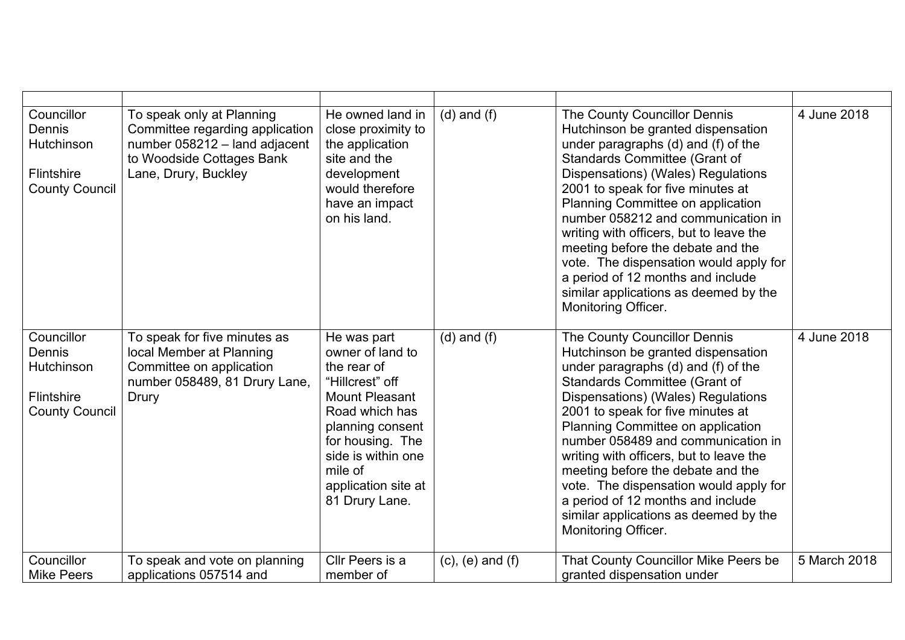| Councillor<br>Dennis<br>Hutchinson<br>Flintshire<br><b>County Council</b> | To speak only at Planning<br>Committee regarding application<br>number 058212 - land adjacent<br>to Woodside Cottages Bank<br>Lane, Drury, Buckley | He owned land in<br>close proximity to<br>the application<br>site and the<br>development<br>would therefore<br>have an impact<br>on his land.                                                                                  | $(d)$ and $(f)$         | The County Councillor Dennis<br>Hutchinson be granted dispensation<br>under paragraphs (d) and (f) of the<br><b>Standards Committee (Grant of</b><br>Dispensations) (Wales) Regulations<br>2001 to speak for five minutes at<br>Planning Committee on application<br>number 058212 and communication in<br>writing with officers, but to leave the<br>meeting before the debate and the<br>vote. The dispensation would apply for<br>a period of 12 months and include<br>similar applications as deemed by the<br>Monitoring Officer. | 4 June 2018  |
|---------------------------------------------------------------------------|----------------------------------------------------------------------------------------------------------------------------------------------------|--------------------------------------------------------------------------------------------------------------------------------------------------------------------------------------------------------------------------------|-------------------------|----------------------------------------------------------------------------------------------------------------------------------------------------------------------------------------------------------------------------------------------------------------------------------------------------------------------------------------------------------------------------------------------------------------------------------------------------------------------------------------------------------------------------------------|--------------|
| Councillor<br>Dennis<br>Hutchinson<br>Flintshire<br><b>County Council</b> | To speak for five minutes as<br>local Member at Planning<br>Committee on application<br>number 058489, 81 Drury Lane,<br>Drury                     | He was part<br>owner of land to<br>the rear of<br>"Hillcrest" off<br><b>Mount Pleasant</b><br>Road which has<br>planning consent<br>for housing. The<br>side is within one<br>mile of<br>application site at<br>81 Drury Lane. | $(d)$ and $(f)$         | The County Councillor Dennis<br>Hutchinson be granted dispensation<br>under paragraphs (d) and (f) of the<br><b>Standards Committee (Grant of</b><br>Dispensations) (Wales) Regulations<br>2001 to speak for five minutes at<br>Planning Committee on application<br>number 058489 and communication in<br>writing with officers, but to leave the<br>meeting before the debate and the<br>vote. The dispensation would apply for<br>a period of 12 months and include<br>similar applications as deemed by the<br>Monitoring Officer. | 4 June 2018  |
| Councillor<br><b>Mike Peers</b>                                           | To speak and vote on planning<br>applications 057514 and                                                                                           | Cllr Peers is a<br>member of                                                                                                                                                                                                   | $(c)$ , $(e)$ and $(f)$ | That County Councillor Mike Peers be<br>granted dispensation under                                                                                                                                                                                                                                                                                                                                                                                                                                                                     | 5 March 2018 |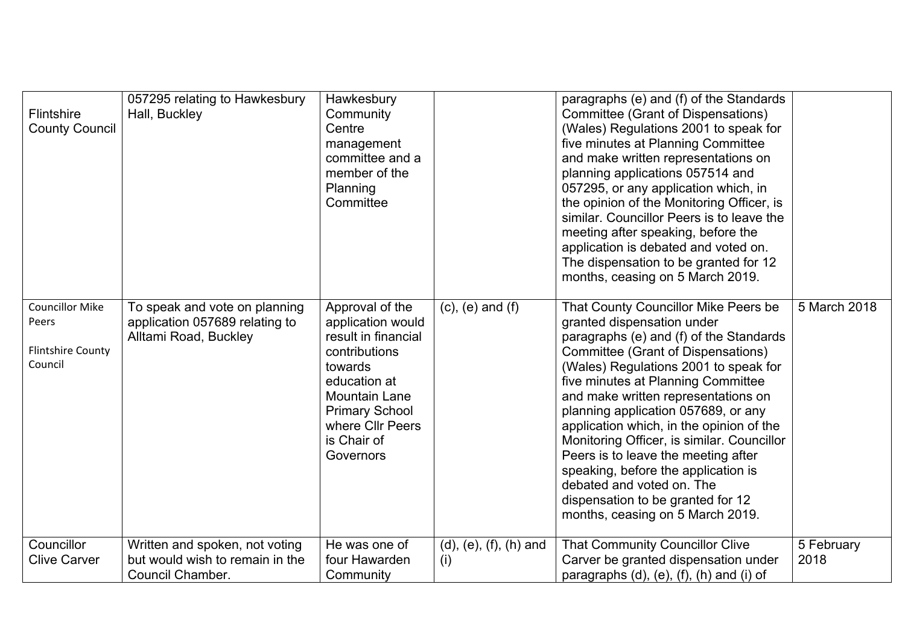| Flintshire<br><b>County Council</b>                                    | 057295 relating to Hawkesbury<br>Hall, Buckley                                           | Hawkesbury<br>Community<br>Centre<br>management<br>committee and a<br>member of the<br>Planning<br>Committee                                                                                      |                                          | paragraphs (e) and (f) of the Standards<br>Committee (Grant of Dispensations)<br>(Wales) Regulations 2001 to speak for<br>five minutes at Planning Committee<br>and make written representations on<br>planning applications 057514 and<br>057295, or any application which, in<br>the opinion of the Monitoring Officer, is<br>similar. Councillor Peers is to leave the<br>meeting after speaking, before the<br>application is debated and voted on.<br>The dispensation to be granted for 12<br>months, ceasing on 5 March 2019.                                                           |                    |
|------------------------------------------------------------------------|------------------------------------------------------------------------------------------|---------------------------------------------------------------------------------------------------------------------------------------------------------------------------------------------------|------------------------------------------|------------------------------------------------------------------------------------------------------------------------------------------------------------------------------------------------------------------------------------------------------------------------------------------------------------------------------------------------------------------------------------------------------------------------------------------------------------------------------------------------------------------------------------------------------------------------------------------------|--------------------|
| <b>Councillor Mike</b><br>Peers<br><b>Flintshire County</b><br>Council | To speak and vote on planning<br>application 057689 relating to<br>Alltami Road, Buckley | Approval of the<br>application would<br>result in financial<br>contributions<br>towards<br>education at<br>Mountain Lane<br><b>Primary School</b><br>where Cllr Peers<br>is Chair of<br>Governors | $(c)$ , $(e)$ and $(f)$                  | That County Councillor Mike Peers be<br>granted dispensation under<br>paragraphs (e) and (f) of the Standards<br>Committee (Grant of Dispensations)<br>(Wales) Regulations 2001 to speak for<br>five minutes at Planning Committee<br>and make written representations on<br>planning application 057689, or any<br>application which, in the opinion of the<br>Monitoring Officer, is similar. Councillor<br>Peers is to leave the meeting after<br>speaking, before the application is<br>debated and voted on. The<br>dispensation to be granted for 12<br>months, ceasing on 5 March 2019. | 5 March 2018       |
| Councillor<br><b>Clive Carver</b>                                      | Written and spoken, not voting<br>but would wish to remain in the<br>Council Chamber.    | He was one of<br>four Hawarden<br>Community                                                                                                                                                       | $(d)$ , $(e)$ , $(f)$ , $(h)$ and<br>(i) | That Community Councillor Clive<br>Carver be granted dispensation under<br>paragraphs $(d)$ , $(e)$ , $(f)$ , $(h)$ and $(i)$ of                                                                                                                                                                                                                                                                                                                                                                                                                                                               | 5 February<br>2018 |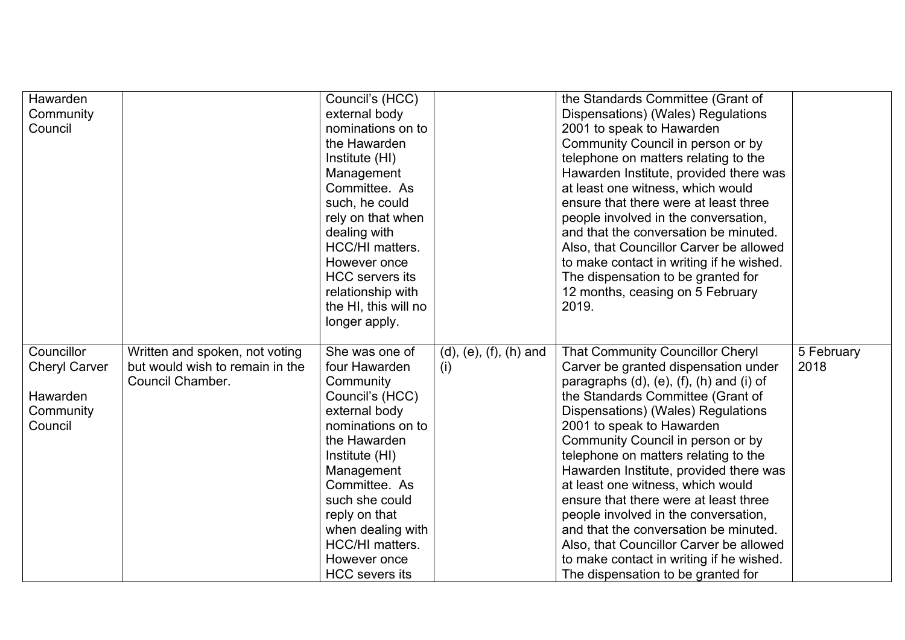| Hawarden<br>Community<br>Council                                       |                                                                                       | Council's (HCC)<br>external body<br>nominations on to<br>the Hawarden<br>Institute (HI)<br>Management<br>Committee. As<br>such, he could<br>rely on that when<br>dealing with<br>HCC/HI matters.<br>However once<br><b>HCC</b> servers its<br>relationship with<br>the HI, this will no<br>longer apply. |                                          | the Standards Committee (Grant of<br>Dispensations) (Wales) Regulations<br>2001 to speak to Hawarden<br>Community Council in person or by<br>telephone on matters relating to the<br>Hawarden Institute, provided there was<br>at least one witness, which would<br>ensure that there were at least three<br>people involved in the conversation,<br>and that the conversation be minuted.<br>Also, that Councillor Carver be allowed<br>to make contact in writing if he wished.<br>The dispensation to be granted for<br>12 months, ceasing on 5 February<br>2019.                                                                                                |                    |
|------------------------------------------------------------------------|---------------------------------------------------------------------------------------|----------------------------------------------------------------------------------------------------------------------------------------------------------------------------------------------------------------------------------------------------------------------------------------------------------|------------------------------------------|---------------------------------------------------------------------------------------------------------------------------------------------------------------------------------------------------------------------------------------------------------------------------------------------------------------------------------------------------------------------------------------------------------------------------------------------------------------------------------------------------------------------------------------------------------------------------------------------------------------------------------------------------------------------|--------------------|
| Councillor<br><b>Cheryl Carver</b><br>Hawarden<br>Community<br>Council | Written and spoken, not voting<br>but would wish to remain in the<br>Council Chamber. | She was one of<br>four Hawarden<br>Community<br>Council's (HCC)<br>external body<br>nominations on to<br>the Hawarden<br>Institute (HI)<br>Management<br>Committee. As<br>such she could<br>reply on that<br>when dealing with<br>HCC/HI matters.<br>However once<br><b>HCC</b> severs its               | $(d)$ , $(e)$ , $(f)$ , $(h)$ and<br>(i) | <b>That Community Councillor Cheryl</b><br>Carver be granted dispensation under<br>paragraphs $(d)$ , $(e)$ , $(f)$ , $(h)$ and $(i)$ of<br>the Standards Committee (Grant of<br>Dispensations) (Wales) Regulations<br>2001 to speak to Hawarden<br>Community Council in person or by<br>telephone on matters relating to the<br>Hawarden Institute, provided there was<br>at least one witness, which would<br>ensure that there were at least three<br>people involved in the conversation,<br>and that the conversation be minuted.<br>Also, that Councillor Carver be allowed<br>to make contact in writing if he wished.<br>The dispensation to be granted for | 5 February<br>2018 |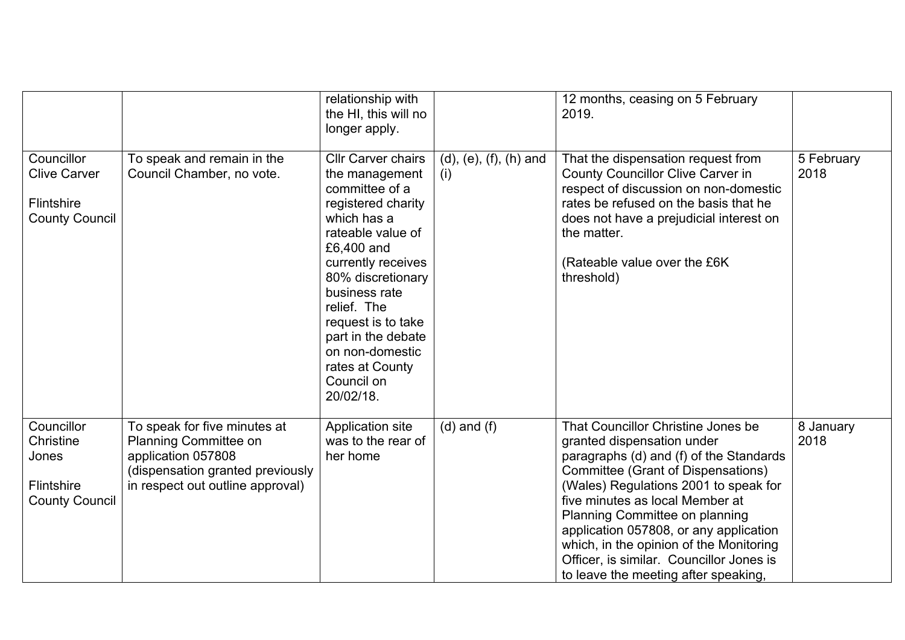|                                                                                 |                                                                                                                                                     | relationship with<br>the HI, this will no<br>longer apply.                                                                                                                                                                                                                                                                    |                                 | 12 months, ceasing on 5 February<br>2019.                                                                                                                                                                                                                                                                                                                                                                                                |                    |
|---------------------------------------------------------------------------------|-----------------------------------------------------------------------------------------------------------------------------------------------------|-------------------------------------------------------------------------------------------------------------------------------------------------------------------------------------------------------------------------------------------------------------------------------------------------------------------------------|---------------------------------|------------------------------------------------------------------------------------------------------------------------------------------------------------------------------------------------------------------------------------------------------------------------------------------------------------------------------------------------------------------------------------------------------------------------------------------|--------------------|
| Councillor<br><b>Clive Carver</b><br><b>Flintshire</b><br><b>County Council</b> | To speak and remain in the<br>Council Chamber, no vote.                                                                                             | <b>Cllr Carver chairs</b><br>the management<br>committee of a<br>registered charity<br>which has a<br>rateable value of<br>£6,400 and<br>currently receives<br>80% discretionary<br>business rate<br>relief. The<br>request is to take<br>part in the debate<br>on non-domestic<br>rates at County<br>Council on<br>20/02/18. | $(d), (e), (f), (h)$ and<br>(i) | That the dispensation request from<br><b>County Councillor Clive Carver in</b><br>respect of discussion on non-domestic<br>rates be refused on the basis that he<br>does not have a prejudicial interest on<br>the matter.<br>(Rateable value over the £6K<br>threshold)                                                                                                                                                                 | 5 February<br>2018 |
| Councillor<br>Christine<br>Jones<br>Flintshire<br><b>County Council</b>         | To speak for five minutes at<br>Planning Committee on<br>application 057808<br>(dispensation granted previously<br>in respect out outline approval) | Application site<br>was to the rear of<br>her home                                                                                                                                                                                                                                                                            | $(d)$ and $(f)$                 | That Councillor Christine Jones be<br>granted dispensation under<br>paragraphs (d) and (f) of the Standards<br>Committee (Grant of Dispensations)<br>(Wales) Regulations 2001 to speak for<br>five minutes as local Member at<br>Planning Committee on planning<br>application 057808, or any application<br>which, in the opinion of the Monitoring<br>Officer, is similar. Councillor Jones is<br>to leave the meeting after speaking. | 8 January<br>2018  |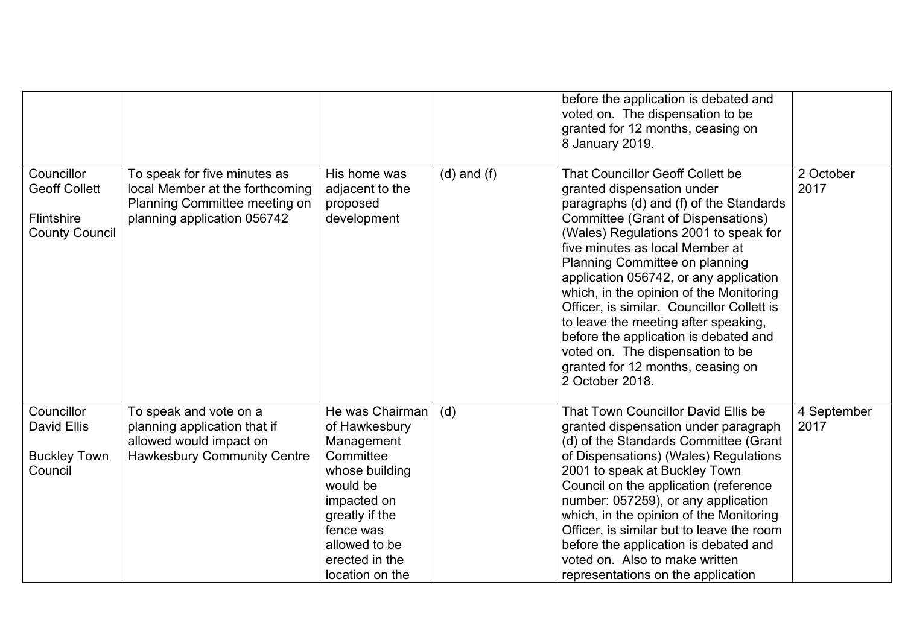|                                                                           |                                                                                                                                 |                                                                                                                                                                                               |                 | before the application is debated and<br>voted on. The dispensation to be<br>granted for 12 months, ceasing on<br>8 January 2019.                                                                                                                                                                                                                                                                                                                                                                                                                                                    |                     |
|---------------------------------------------------------------------------|---------------------------------------------------------------------------------------------------------------------------------|-----------------------------------------------------------------------------------------------------------------------------------------------------------------------------------------------|-----------------|--------------------------------------------------------------------------------------------------------------------------------------------------------------------------------------------------------------------------------------------------------------------------------------------------------------------------------------------------------------------------------------------------------------------------------------------------------------------------------------------------------------------------------------------------------------------------------------|---------------------|
| Councillor<br><b>Geoff Collett</b><br>Flintshire<br><b>County Council</b> | To speak for five minutes as<br>local Member at the forthcoming<br>Planning Committee meeting on<br>planning application 056742 | His home was<br>adjacent to the<br>proposed<br>development                                                                                                                                    | $(d)$ and $(f)$ | <b>That Councillor Geoff Collett be</b><br>granted dispensation under<br>paragraphs (d) and (f) of the Standards<br>Committee (Grant of Dispensations)<br>(Wales) Regulations 2001 to speak for<br>five minutes as local Member at<br>Planning Committee on planning<br>application 056742, or any application<br>which, in the opinion of the Monitoring<br>Officer, is similar. Councillor Collett is<br>to leave the meeting after speaking,<br>before the application is debated and<br>voted on. The dispensation to be<br>granted for 12 months, ceasing on<br>2 October 2018. | 2 October<br>2017   |
| Councillor<br>David Ellis<br><b>Buckley Town</b><br>Council               | To speak and vote on a<br>planning application that if<br>allowed would impact on<br><b>Hawkesbury Community Centre</b>         | He was Chairman<br>of Hawkesbury<br>Management<br>Committee<br>whose building<br>would be<br>impacted on<br>greatly if the<br>fence was<br>allowed to be<br>erected in the<br>location on the | (d)             | That Town Councillor David Ellis be<br>granted dispensation under paragraph<br>(d) of the Standards Committee (Grant<br>of Dispensations) (Wales) Regulations<br>2001 to speak at Buckley Town<br>Council on the application (reference<br>number: 057259), or any application<br>which, in the opinion of the Monitoring<br>Officer, is similar but to leave the room<br>before the application is debated and<br>voted on. Also to make written<br>representations on the application                                                                                              | 4 September<br>2017 |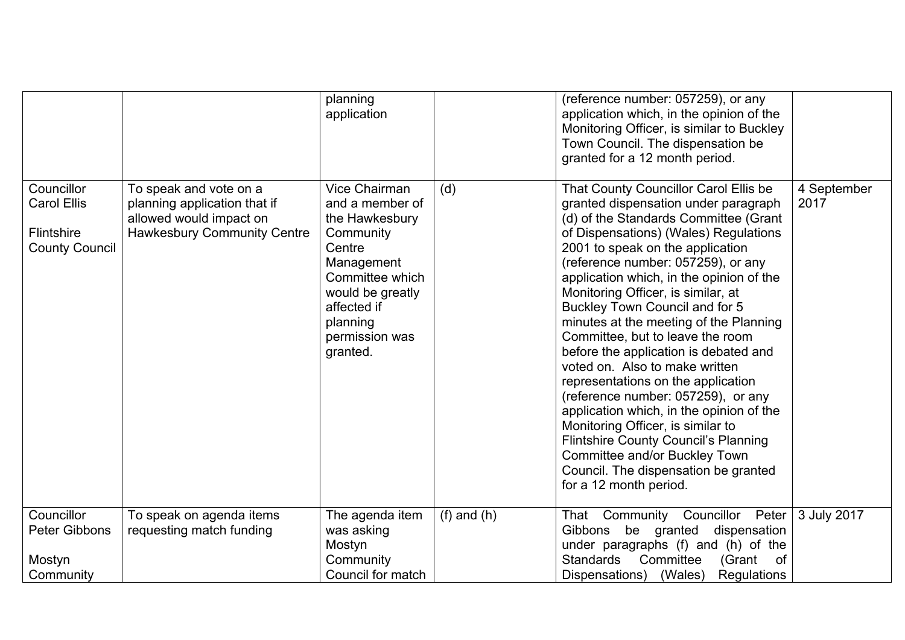|                                                                         |                                                                                                                         | planning<br>application                                                                                                                                                                        |                 | (reference number: 057259), or any<br>application which, in the opinion of the<br>Monitoring Officer, is similar to Buckley<br>Town Council. The dispensation be<br>granted for a 12 month period.                                                                                                                                                                                                                                                                                                                                                                                                                                                                                                                                                                                                                                    |                     |
|-------------------------------------------------------------------------|-------------------------------------------------------------------------------------------------------------------------|------------------------------------------------------------------------------------------------------------------------------------------------------------------------------------------------|-----------------|---------------------------------------------------------------------------------------------------------------------------------------------------------------------------------------------------------------------------------------------------------------------------------------------------------------------------------------------------------------------------------------------------------------------------------------------------------------------------------------------------------------------------------------------------------------------------------------------------------------------------------------------------------------------------------------------------------------------------------------------------------------------------------------------------------------------------------------|---------------------|
| Councillor<br><b>Carol Ellis</b><br>Flintshire<br><b>County Council</b> | To speak and vote on a<br>planning application that if<br>allowed would impact on<br><b>Hawkesbury Community Centre</b> | <b>Vice Chairman</b><br>and a member of<br>the Hawkesbury<br>Community<br>Centre<br>Management<br>Committee which<br>would be greatly<br>affected if<br>planning<br>permission was<br>granted. | (d)             | That County Councillor Carol Ellis be<br>granted dispensation under paragraph<br>(d) of the Standards Committee (Grant<br>of Dispensations) (Wales) Regulations<br>2001 to speak on the application<br>(reference number: 057259), or any<br>application which, in the opinion of the<br>Monitoring Officer, is similar, at<br>Buckley Town Council and for 5<br>minutes at the meeting of the Planning<br>Committee, but to leave the room<br>before the application is debated and<br>voted on. Also to make written<br>representations on the application<br>(reference number: 057259), or any<br>application which, in the opinion of the<br>Monitoring Officer, is similar to<br><b>Flintshire County Council's Planning</b><br>Committee and/or Buckley Town<br>Council. The dispensation be granted<br>for a 12 month period. | 4 September<br>2017 |
| Councillor<br><b>Peter Gibbons</b><br>Mostyn<br>Community               | To speak on agenda items<br>requesting match funding                                                                    | The agenda item<br>was asking<br>Mostyn<br>Community<br>Council for match                                                                                                                      | $(f)$ and $(h)$ | That Community Councillor Peter<br>Gibbons be granted<br>dispensation<br>under paragraphs (f) and (h) of the<br><b>Standards</b><br>Committee<br>(Grant<br>of<br>Dispensations) (Wales)<br><b>Regulations</b>                                                                                                                                                                                                                                                                                                                                                                                                                                                                                                                                                                                                                         | 3 July 2017         |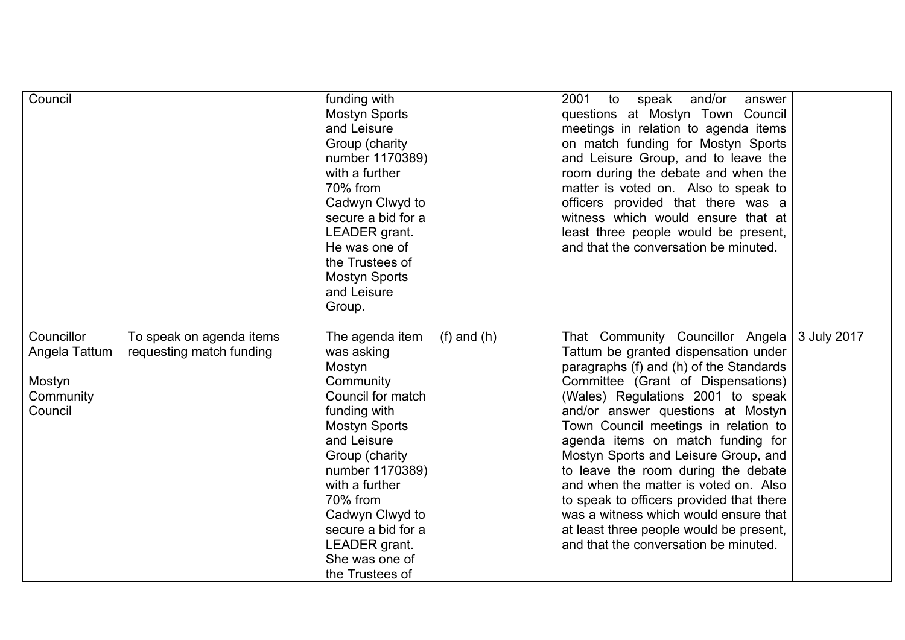| Council                                                       |                                                      | funding with<br><b>Mostyn Sports</b><br>and Leisure<br>Group (charity<br>number 1170389)<br>with a further<br>70% from<br>Cadwyn Clwyd to<br>secure a bid for a<br>LEADER grant.<br>He was one of<br>the Trustees of<br><b>Mostyn Sports</b><br>and Leisure<br>Group.                              |                 | 2001<br>to<br>and/or<br>speak<br>answer<br>questions at Mostyn Town Council<br>meetings in relation to agenda items<br>on match funding for Mostyn Sports<br>and Leisure Group, and to leave the<br>room during the debate and when the<br>matter is voted on. Also to speak to<br>officers provided that there was a<br>witness which would ensure that at<br>least three people would be present,<br>and that the conversation be minuted.                                                                                                                                                                      |             |
|---------------------------------------------------------------|------------------------------------------------------|----------------------------------------------------------------------------------------------------------------------------------------------------------------------------------------------------------------------------------------------------------------------------------------------------|-----------------|-------------------------------------------------------------------------------------------------------------------------------------------------------------------------------------------------------------------------------------------------------------------------------------------------------------------------------------------------------------------------------------------------------------------------------------------------------------------------------------------------------------------------------------------------------------------------------------------------------------------|-------------|
| Councillor<br>Angela Tattum<br>Mostyn<br>Community<br>Council | To speak on agenda items<br>requesting match funding | The agenda item<br>was asking<br>Mostyn<br>Community<br>Council for match<br>funding with<br><b>Mostyn Sports</b><br>and Leisure<br>Group (charity<br>number 1170389)<br>with a further<br>70% from<br>Cadwyn Clwyd to<br>secure a bid for a<br>LEADER grant.<br>She was one of<br>the Trustees of | $(f)$ and $(h)$ | That Community Councillor Angela<br>Tattum be granted dispensation under<br>paragraphs (f) and (h) of the Standards<br>Committee (Grant of Dispensations)<br>(Wales) Regulations 2001 to speak<br>and/or answer questions at Mostyn<br>Town Council meetings in relation to<br>agenda items on match funding for<br>Mostyn Sports and Leisure Group, and<br>to leave the room during the debate<br>and when the matter is voted on. Also<br>to speak to officers provided that there<br>was a witness which would ensure that<br>at least three people would be present,<br>and that the conversation be minuted. | 3 July 2017 |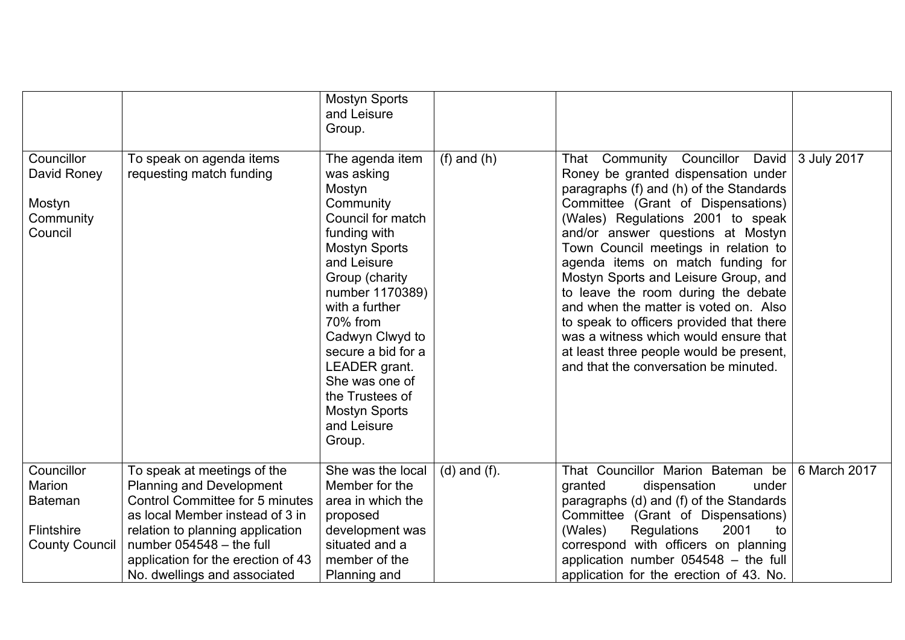|                                                                               |                                                                                                                                                                                                                                                                                     | <b>Mostyn Sports</b><br>and Leisure<br>Group.                                                                                                                                                                                                                                                                                                       |                   |                                                                                                                                                                                                                                                                                                                                                                                                                                                                                                                                                                                                                       |              |
|-------------------------------------------------------------------------------|-------------------------------------------------------------------------------------------------------------------------------------------------------------------------------------------------------------------------------------------------------------------------------------|-----------------------------------------------------------------------------------------------------------------------------------------------------------------------------------------------------------------------------------------------------------------------------------------------------------------------------------------------------|-------------------|-----------------------------------------------------------------------------------------------------------------------------------------------------------------------------------------------------------------------------------------------------------------------------------------------------------------------------------------------------------------------------------------------------------------------------------------------------------------------------------------------------------------------------------------------------------------------------------------------------------------------|--------------|
| Councillor<br>David Roney<br>Mostyn<br>Community<br>Council                   | To speak on agenda items<br>requesting match funding                                                                                                                                                                                                                                | The agenda item<br>was asking<br>Mostyn<br>Community<br>Council for match<br>funding with<br><b>Mostyn Sports</b><br>and Leisure<br>Group (charity<br>number 1170389)<br>with a further<br>70% from<br>Cadwyn Clwyd to<br>secure a bid for a<br>LEADER grant.<br>She was one of<br>the Trustees of<br><b>Mostyn Sports</b><br>and Leisure<br>Group. | $(f)$ and $(h)$   | That Community<br>Councillor<br>David<br>Roney be granted dispensation under<br>paragraphs (f) and (h) of the Standards<br>Committee (Grant of Dispensations)<br>(Wales) Regulations 2001 to speak<br>and/or answer questions at Mostyn<br>Town Council meetings in relation to<br>agenda items on match funding for<br>Mostyn Sports and Leisure Group, and<br>to leave the room during the debate<br>and when the matter is voted on. Also<br>to speak to officers provided that there<br>was a witness which would ensure that<br>at least three people would be present,<br>and that the conversation be minuted. | 3 July 2017  |
| Councillor<br>Marion<br><b>Bateman</b><br>Flintshire<br><b>County Council</b> | To speak at meetings of the<br><b>Planning and Development</b><br><b>Control Committee for 5 minutes</b><br>as local Member instead of 3 in<br>relation to planning application<br>number $054548 -$ the full<br>application for the erection of 43<br>No. dwellings and associated | She was the local<br>Member for the<br>area in which the<br>proposed<br>development was<br>situated and a<br>member of the<br>Planning and                                                                                                                                                                                                          | $(d)$ and $(f)$ . | That Councillor Marion Bateman be<br>granted<br>dispensation<br>under<br>paragraphs (d) and (f) of the Standards<br>Committee (Grant of Dispensations)<br>Regulations<br>2001<br>(Wales)<br>to<br>correspond with officers on planning<br>application number $054548 -$ the full<br>application for the erection of 43. No.                                                                                                                                                                                                                                                                                           | 6 March 2017 |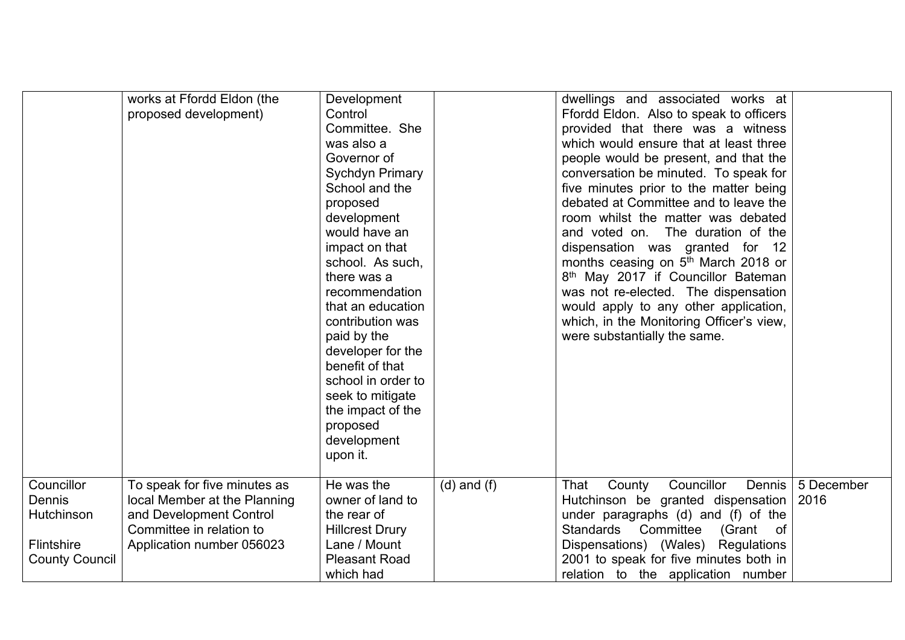|                                                                           | works at Ffordd Eldon (the<br>proposed development)                                                                                              | Development<br>Control<br>Committee. She<br>was also a<br>Governor of<br><b>Sychdyn Primary</b><br>School and the<br>proposed<br>development<br>would have an<br>impact on that<br>school. As such,<br>there was a<br>recommendation<br>that an education<br>contribution was<br>paid by the<br>developer for the<br>benefit of that<br>school in order to<br>seek to mitigate<br>the impact of the<br>proposed<br>development<br>upon it. |                 | dwellings and associated works at<br>Ffordd Eldon. Also to speak to officers<br>provided that there was a witness<br>which would ensure that at least three<br>people would be present, and that the<br>conversation be minuted. To speak for<br>five minutes prior to the matter being<br>debated at Committee and to leave the<br>room whilst the matter was debated<br>and voted on. The duration of the<br>dispensation was granted for 12<br>months ceasing on 5 <sup>th</sup> March 2018 or<br>8 <sup>th</sup> May 2017 if Councillor Bateman<br>was not re-elected. The dispensation<br>would apply to any other application,<br>which, in the Monitoring Officer's view,<br>were substantially the same. |                    |
|---------------------------------------------------------------------------|--------------------------------------------------------------------------------------------------------------------------------------------------|--------------------------------------------------------------------------------------------------------------------------------------------------------------------------------------------------------------------------------------------------------------------------------------------------------------------------------------------------------------------------------------------------------------------------------------------|-----------------|------------------------------------------------------------------------------------------------------------------------------------------------------------------------------------------------------------------------------------------------------------------------------------------------------------------------------------------------------------------------------------------------------------------------------------------------------------------------------------------------------------------------------------------------------------------------------------------------------------------------------------------------------------------------------------------------------------------|--------------------|
| Councillor<br>Dennis<br>Hutchinson<br>Flintshire<br><b>County Council</b> | To speak for five minutes as<br>local Member at the Planning<br>and Development Control<br>Committee in relation to<br>Application number 056023 | He was the<br>owner of land to<br>the rear of<br><b>Hillcrest Drury</b><br>Lane / Mount<br><b>Pleasant Road</b><br>which had                                                                                                                                                                                                                                                                                                               | $(d)$ and $(f)$ | Councillor<br>That<br>County<br>Dennis<br>Hutchinson be granted dispensation<br>under paragraphs (d) and (f) of the<br>Standards Committee<br>(Grant<br>of<br>Dispensations) (Wales) Regulations<br>2001 to speak for five minutes both in<br>relation to the application number                                                                                                                                                                                                                                                                                                                                                                                                                                 | 5 December<br>2016 |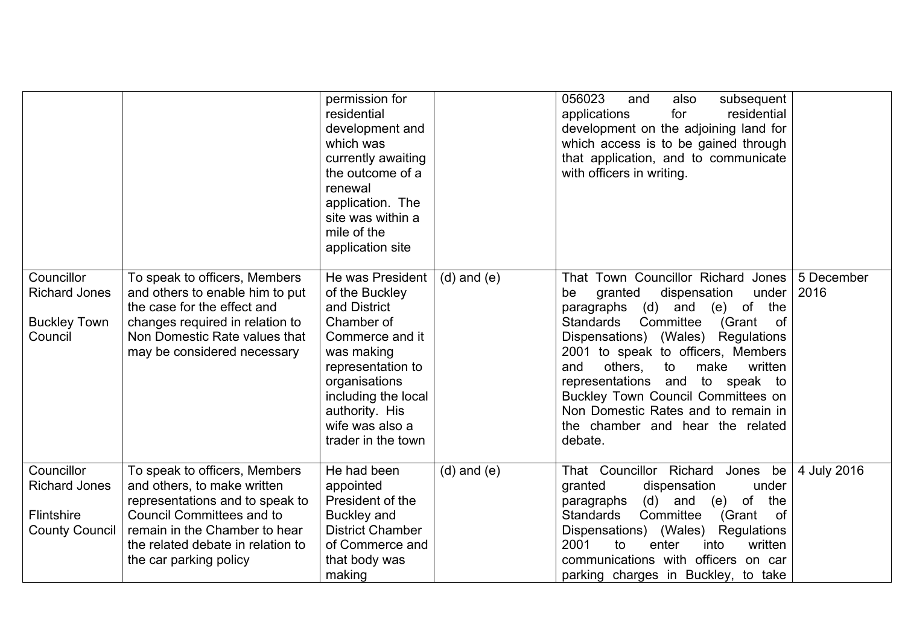|                                                                           |                                                                                                                                                                                                                                     | permission for<br>residential<br>development and<br>which was<br>currently awaiting<br>the outcome of a<br>renewal<br>application. The<br>site was within a<br>mile of the<br>application site                            |                 | 056023<br>also<br>subsequent<br>and<br>residential<br>applications<br>for<br>development on the adjoining land for<br>which access is to be gained through<br>that application, and to communicate<br>with officers in writing.                                                                                                                                                                                                                               |                    |
|---------------------------------------------------------------------------|-------------------------------------------------------------------------------------------------------------------------------------------------------------------------------------------------------------------------------------|---------------------------------------------------------------------------------------------------------------------------------------------------------------------------------------------------------------------------|-----------------|---------------------------------------------------------------------------------------------------------------------------------------------------------------------------------------------------------------------------------------------------------------------------------------------------------------------------------------------------------------------------------------------------------------------------------------------------------------|--------------------|
| Councillor<br><b>Richard Jones</b><br><b>Buckley Town</b><br>Council      | To speak to officers, Members<br>and others to enable him to put<br>the case for the effect and<br>changes required in relation to<br>Non Domestic Rate values that<br>may be considered necessary                                  | He was President<br>of the Buckley<br>and District<br>Chamber of<br>Commerce and it<br>was making<br>representation to<br>organisations<br>including the local<br>authority. His<br>wife was also a<br>trader in the town | $(d)$ and $(e)$ | That Town Councillor Richard Jones<br>granted<br>dispensation<br>under<br>be<br>(d) and<br>(e) of<br>the<br>paragraphs<br><b>Standards</b><br>Committee<br>(Grant<br>of<br>Dispensations) (Wales) Regulations<br>2001 to speak to officers, Members<br>others.<br>to<br>and<br>make<br>written<br>representations and to speak to<br>Buckley Town Council Committees on<br>Non Domestic Rates and to remain in<br>the chamber and hear the related<br>debate. | 5 December<br>2016 |
| Councillor<br><b>Richard Jones</b><br>Flintshire<br><b>County Council</b> | To speak to officers, Members<br>and others, to make written<br>representations and to speak to<br><b>Council Committees and to</b><br>remain in the Chamber to hear<br>the related debate in relation to<br>the car parking policy | He had been<br>appointed<br>President of the<br><b>Buckley and</b><br><b>District Chamber</b><br>of Commerce and<br>that body was<br>making                                                                               | $(d)$ and $(e)$ | That Councillor Richard<br>Jones<br>be<br>granted<br>dispensation<br>under<br>the<br>$(d)$ and<br>of<br>paragraphs<br>(e)<br>Committee<br>Standards<br>(Grant<br>of<br>Dispensations) (Wales) Regulations<br>2001<br>to<br>enter<br>written<br>into<br>communications with officers on car<br>parking charges in Buckley, to take                                                                                                                             | 4 July 2016        |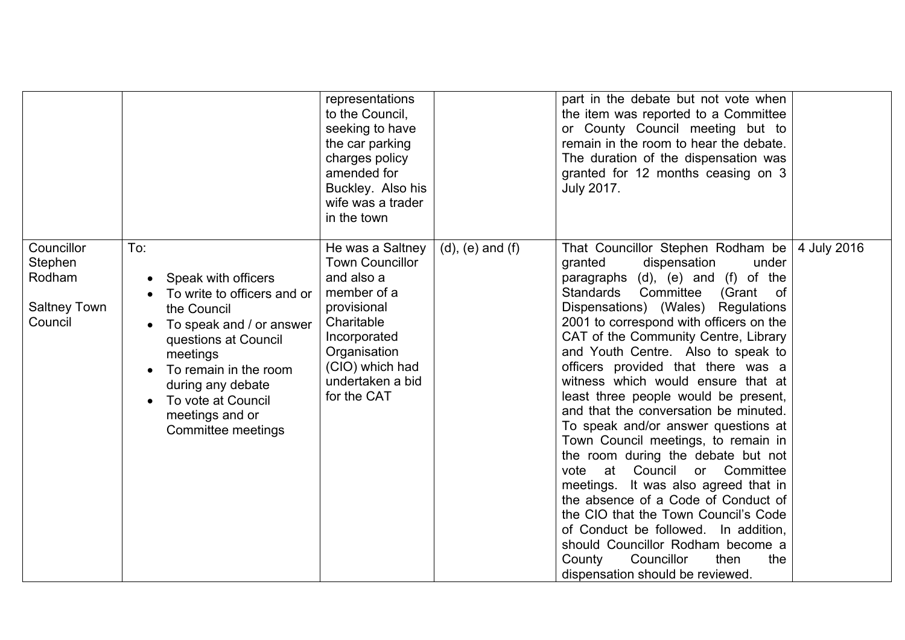|                                                                   |                                                                                                                                                                                                                                                       | representations<br>to the Council,<br>seeking to have<br>the car parking<br>charges policy<br>amended for<br>Buckley. Also his<br>wife was a trader<br>in the town                         |                         | part in the debate but not vote when<br>the item was reported to a Committee<br>or County Council meeting but to<br>remain in the room to hear the debate.<br>The duration of the dispensation was<br>granted for 12 months ceasing on 3<br><b>July 2017.</b>                                                                                                                                                                                                                                                                                                                                                                                                                                                                                                                                                                                                                                                     |             |
|-------------------------------------------------------------------|-------------------------------------------------------------------------------------------------------------------------------------------------------------------------------------------------------------------------------------------------------|--------------------------------------------------------------------------------------------------------------------------------------------------------------------------------------------|-------------------------|-------------------------------------------------------------------------------------------------------------------------------------------------------------------------------------------------------------------------------------------------------------------------------------------------------------------------------------------------------------------------------------------------------------------------------------------------------------------------------------------------------------------------------------------------------------------------------------------------------------------------------------------------------------------------------------------------------------------------------------------------------------------------------------------------------------------------------------------------------------------------------------------------------------------|-------------|
| Councillor<br>Stephen<br>Rodham<br><b>Saltney Town</b><br>Council | To:<br>Speak with officers<br>To write to officers and or<br>the Council<br>To speak and / or answer<br>questions at Council<br>meetings<br>To remain in the room<br>during any debate<br>To vote at Council<br>meetings and or<br>Committee meetings | He was a Saltney<br><b>Town Councillor</b><br>and also a<br>member of a<br>provisional<br>Charitable<br>Incorporated<br>Organisation<br>(CIO) which had<br>undertaken a bid<br>for the CAT | $(d)$ , $(e)$ and $(f)$ | That Councillor Stephen Rodham be<br>under<br>granted<br>dispensation<br>paragraphs (d), (e) and (f) of the<br>Standards<br>Committee<br>(Grant of<br>Dispensations) (Wales) Regulations<br>2001 to correspond with officers on the<br>CAT of the Community Centre, Library<br>and Youth Centre. Also to speak to<br>officers provided that there was a<br>witness which would ensure that at<br>least three people would be present,<br>and that the conversation be minuted.<br>To speak and/or answer questions at<br>Town Council meetings, to remain in<br>the room during the debate but not<br>vote at Council or Committee<br>meetings. It was also agreed that in<br>the absence of a Code of Conduct of<br>the CIO that the Town Council's Code<br>of Conduct be followed. In addition,<br>should Councillor Rodham become a<br>Councillor<br>then<br>the<br>County<br>dispensation should be reviewed. | 4 July 2016 |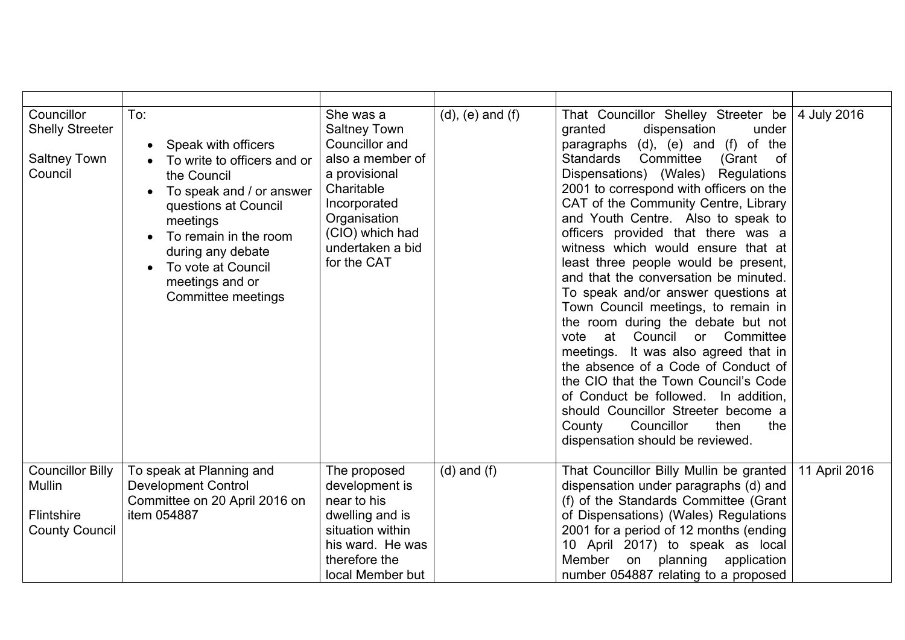| Councillor<br><b>Shelly Streeter</b><br><b>Saltney Town</b><br>Council          | To:<br>Speak with officers<br>To write to officers and or<br>the Council<br>To speak and / or answer<br>$\bullet$<br>questions at Council<br>meetings<br>To remain in the room<br>during any debate<br>To vote at Council<br>meetings and or<br>Committee meetings | She was a<br><b>Saltney Town</b><br>Councillor and<br>also a member of<br>a provisional<br>Charitable<br>Incorporated<br>Organisation<br>(CIO) which had<br>undertaken a bid<br>for the CAT | $(d)$ , $(e)$ and $(f)$ | That Councillor Shelley Streeter be<br>granted<br>dispensation<br>under<br>paragraphs (d), (e) and (f) of the<br>Standards<br>Committee<br>(Grant of<br>Dispensations) (Wales)<br>Regulations<br>2001 to correspond with officers on the<br>CAT of the Community Centre, Library<br>and Youth Centre. Also to speak to<br>officers provided that there was a<br>witness which would ensure that at<br>least three people would be present,<br>and that the conversation be minuted.<br>To speak and/or answer questions at<br>Town Council meetings, to remain in<br>the room during the debate but not<br>at Council or Committee<br>vote<br>meetings. It was also agreed that in<br>the absence of a Code of Conduct of<br>the CIO that the Town Council's Code<br>of Conduct be followed. In addition,<br>should Councillor Streeter become a<br>Councillor<br>County<br>then<br>the<br>dispensation should be reviewed. | 4 July 2016   |
|---------------------------------------------------------------------------------|--------------------------------------------------------------------------------------------------------------------------------------------------------------------------------------------------------------------------------------------------------------------|---------------------------------------------------------------------------------------------------------------------------------------------------------------------------------------------|-------------------------|-----------------------------------------------------------------------------------------------------------------------------------------------------------------------------------------------------------------------------------------------------------------------------------------------------------------------------------------------------------------------------------------------------------------------------------------------------------------------------------------------------------------------------------------------------------------------------------------------------------------------------------------------------------------------------------------------------------------------------------------------------------------------------------------------------------------------------------------------------------------------------------------------------------------------------|---------------|
| <b>Councillor Billy</b><br><b>Mullin</b><br>Flintshire<br><b>County Council</b> | To speak at Planning and<br><b>Development Control</b><br>Committee on 20 April 2016 on<br>item 054887                                                                                                                                                             | The proposed<br>development is<br>near to his<br>dwelling and is<br>situation within<br>his ward. He was<br>therefore the<br>local Member but                                               | $(d)$ and $(f)$         | That Councillor Billy Mullin be granted<br>dispensation under paragraphs (d) and<br>(f) of the Standards Committee (Grant<br>of Dispensations) (Wales) Regulations<br>2001 for a period of 12 months (ending<br>10 April 2017) to speak as local<br>Member<br>planning<br>on<br>application<br>number 054887 relating to a proposed                                                                                                                                                                                                                                                                                                                                                                                                                                                                                                                                                                                         | 11 April 2016 |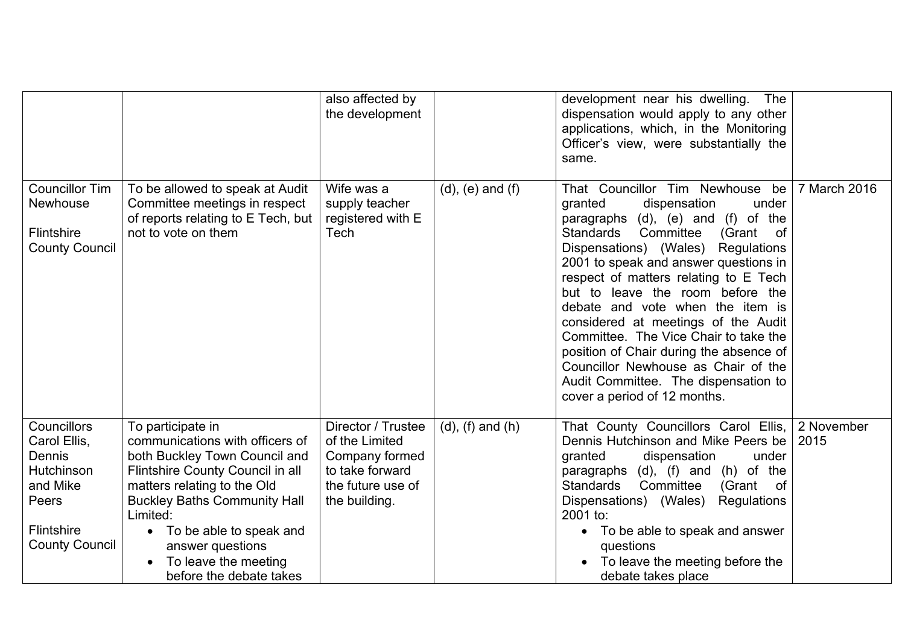|                                                                                                                               |                                                                                                                                                                                                                                                                                                                 | also affected by<br>the development                                                                             |                         | development near his dwelling.<br>The<br>dispensation would apply to any other<br>applications, which, in the Monitoring<br>Officer's view, were substantially the<br>same.                                                                                                                                                                                                                                                                                                                                                                                                                      |                    |
|-------------------------------------------------------------------------------------------------------------------------------|-----------------------------------------------------------------------------------------------------------------------------------------------------------------------------------------------------------------------------------------------------------------------------------------------------------------|-----------------------------------------------------------------------------------------------------------------|-------------------------|--------------------------------------------------------------------------------------------------------------------------------------------------------------------------------------------------------------------------------------------------------------------------------------------------------------------------------------------------------------------------------------------------------------------------------------------------------------------------------------------------------------------------------------------------------------------------------------------------|--------------------|
| <b>Councillor Tim</b><br>Newhouse<br><b>Flintshire</b><br><b>County Council</b>                                               | To be allowed to speak at Audit<br>Committee meetings in respect<br>of reports relating to E Tech, but<br>not to vote on them                                                                                                                                                                                   | Wife was a<br>supply teacher<br>registered with E<br>Tech                                                       | $(d)$ , $(e)$ and $(f)$ | That Councillor Tim Newhouse be<br>granted<br>dispensation<br>under<br>paragraphs (d), (e) and (f) of the<br>Standards<br>Committee<br>(Grant<br>of<br>Dispensations) (Wales)<br>Regulations<br>2001 to speak and answer questions in<br>respect of matters relating to E Tech<br>but to leave the room before the<br>debate and vote when the item is<br>considered at meetings of the Audit<br>Committee. The Vice Chair to take the<br>position of Chair during the absence of<br>Councillor Newhouse as Chair of the<br>Audit Committee. The dispensation to<br>cover a period of 12 months. | 7 March 2016       |
| Councillors<br>Carol Ellis,<br><b>Dennis</b><br><b>Hutchinson</b><br>and Mike<br>Peers<br>Flintshire<br><b>County Council</b> | To participate in<br>communications with officers of<br>both Buckley Town Council and<br>Flintshire County Council in all<br>matters relating to the Old<br><b>Buckley Baths Community Hall</b><br>Limited:<br>• To be able to speak and<br>answer questions<br>To leave the meeting<br>before the debate takes | Director / Trustee<br>of the Limited<br>Company formed<br>to take forward<br>the future use of<br>the building. | $(d)$ , $(f)$ and $(h)$ | That County Councillors Carol Ellis,<br>Dennis Hutchinson and Mike Peers be<br>granted<br>dispensation<br>under<br>paragraphs (d), (f) and (h) of the<br>Committee<br><b>Standards</b><br>(Grant<br>of<br>Dispensations) (Wales)<br>Regulations<br>2001 to:<br>• To be able to speak and answer<br>questions<br>To leave the meeting before the<br>debate takes place                                                                                                                                                                                                                            | 2 November<br>2015 |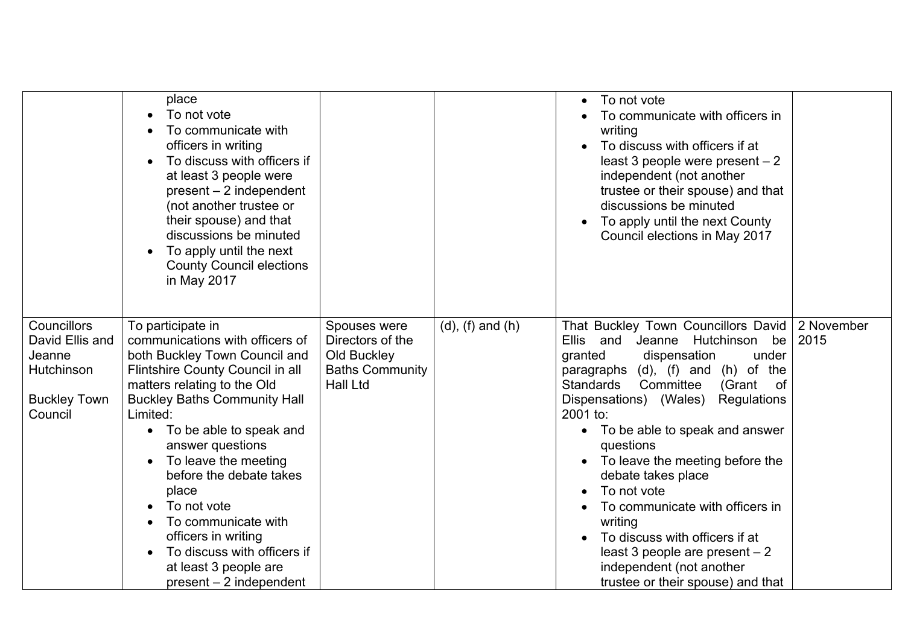|                                                                                          | place<br>To not vote<br>To communicate with<br>officers in writing<br>To discuss with officers if<br>$\bullet$<br>at least 3 people were<br>$present - 2 independent$<br>(not another trustee or<br>their spouse) and that<br>discussions be minuted<br>To apply until the next<br>$\bullet$<br><b>County Council elections</b><br>in May 2017                                                                                                                             |                                                                                              |                         | To not vote<br>$\bullet$<br>To communicate with officers in<br>writing<br>To discuss with officers if at<br>least 3 people were present $-2$<br>independent (not another<br>trustee or their spouse) and that<br>discussions be minuted<br>To apply until the next County<br>Council elections in May 2017                                                                                                                                                                                                                                                                                                 |                    |
|------------------------------------------------------------------------------------------|----------------------------------------------------------------------------------------------------------------------------------------------------------------------------------------------------------------------------------------------------------------------------------------------------------------------------------------------------------------------------------------------------------------------------------------------------------------------------|----------------------------------------------------------------------------------------------|-------------------------|------------------------------------------------------------------------------------------------------------------------------------------------------------------------------------------------------------------------------------------------------------------------------------------------------------------------------------------------------------------------------------------------------------------------------------------------------------------------------------------------------------------------------------------------------------------------------------------------------------|--------------------|
| Councillors<br>David Ellis and<br>Jeanne<br>Hutchinson<br><b>Buckley Town</b><br>Council | To participate in<br>communications with officers of<br>both Buckley Town Council and<br>Flintshire County Council in all<br>matters relating to the Old<br><b>Buckley Baths Community Hall</b><br>Limited:<br>• To be able to speak and<br>answer questions<br>To leave the meeting<br>before the debate takes<br>place<br>To not vote<br>To communicate with<br>officers in writing<br>To discuss with officers if<br>at least 3 people are<br>$present - 2 independent$ | Spouses were<br>Directors of the<br>Old Buckley<br><b>Baths Community</b><br><b>Hall Ltd</b> | $(d)$ , $(f)$ and $(h)$ | That Buckley Town Councillors David<br><b>Ellis</b><br>and Jeanne<br>Hutchinson<br>be<br>granted<br>dispensation<br>under<br>paragraphs (d), (f) and (h) of the<br>Committee<br><b>Standards</b><br>(Grant<br>of<br>Dispensations) (Wales)<br>Regulations<br>2001 to:<br>To be able to speak and answer<br>$\bullet$<br>questions<br>To leave the meeting before the<br>$\bullet$<br>debate takes place<br>To not vote<br>To communicate with officers in<br>writing<br>To discuss with officers if at<br>least 3 people are present $-2$<br>independent (not another<br>trustee or their spouse) and that | 2 November<br>2015 |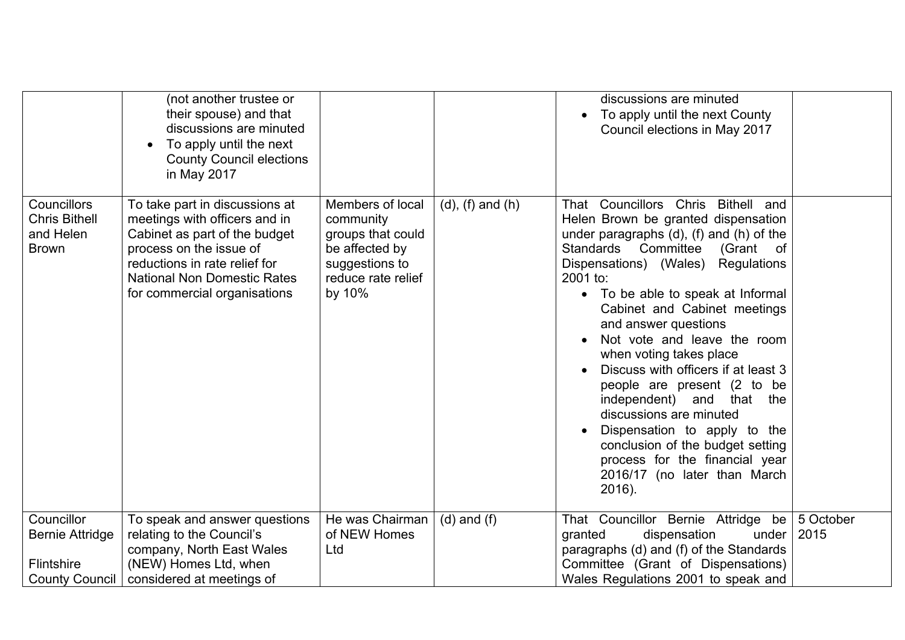|                                                                                    | (not another trustee or<br>their spouse) and that<br>discussions are minuted<br>To apply until the next<br><b>County Council elections</b><br>in May 2017                                                                          |                                                                                                                        |                         | discussions are minuted<br>To apply until the next County<br>Council elections in May 2017                                                                                                                                                                                                                                                                                                                                                                                                                                                                                                                                                                    |                   |
|------------------------------------------------------------------------------------|------------------------------------------------------------------------------------------------------------------------------------------------------------------------------------------------------------------------------------|------------------------------------------------------------------------------------------------------------------------|-------------------------|---------------------------------------------------------------------------------------------------------------------------------------------------------------------------------------------------------------------------------------------------------------------------------------------------------------------------------------------------------------------------------------------------------------------------------------------------------------------------------------------------------------------------------------------------------------------------------------------------------------------------------------------------------------|-------------------|
| <b>Councillors</b><br><b>Chris Bithell</b><br>and Helen<br><b>Brown</b>            | To take part in discussions at<br>meetings with officers and in<br>Cabinet as part of the budget<br>process on the issue of<br>reductions in rate relief for<br><b>National Non Domestic Rates</b><br>for commercial organisations | Members of local<br>community<br>groups that could<br>be affected by<br>suggestions to<br>reduce rate relief<br>by 10% | $(d)$ , $(f)$ and $(h)$ | That Councillors Chris<br>Bithell and<br>Helen Brown be granted dispensation<br>under paragraphs $(d)$ , $(f)$ and $(h)$ of the<br>Standards Committee<br>(Grant of<br>Dispensations) (Wales)<br>Regulations<br>2001 to:<br>• To be able to speak at Informal<br>Cabinet and Cabinet meetings<br>and answer questions<br>Not vote and leave the room<br>when voting takes place<br>Discuss with officers if at least 3<br>people are present (2 to be<br>independent) and that the<br>discussions are minuted<br>Dispensation to apply to the<br>conclusion of the budget setting<br>process for the financial year<br>2016/17 (no later than March<br>2016). |                   |
| Councillor<br><b>Bernie Attridge</b><br><b>Flintshire</b><br><b>County Council</b> | To speak and answer questions<br>relating to the Council's<br>company, North East Wales<br>(NEW) Homes Ltd, when<br>considered at meetings of                                                                                      | He was Chairman<br>of NEW Homes<br>Ltd                                                                                 | $(d)$ and $(f)$         | That Councillor Bernie Attridge be<br>granted<br>dispensation<br>under<br>paragraphs (d) and (f) of the Standards<br>Committee (Grant of Dispensations)<br>Wales Regulations 2001 to speak and                                                                                                                                                                                                                                                                                                                                                                                                                                                                | 5 October<br>2015 |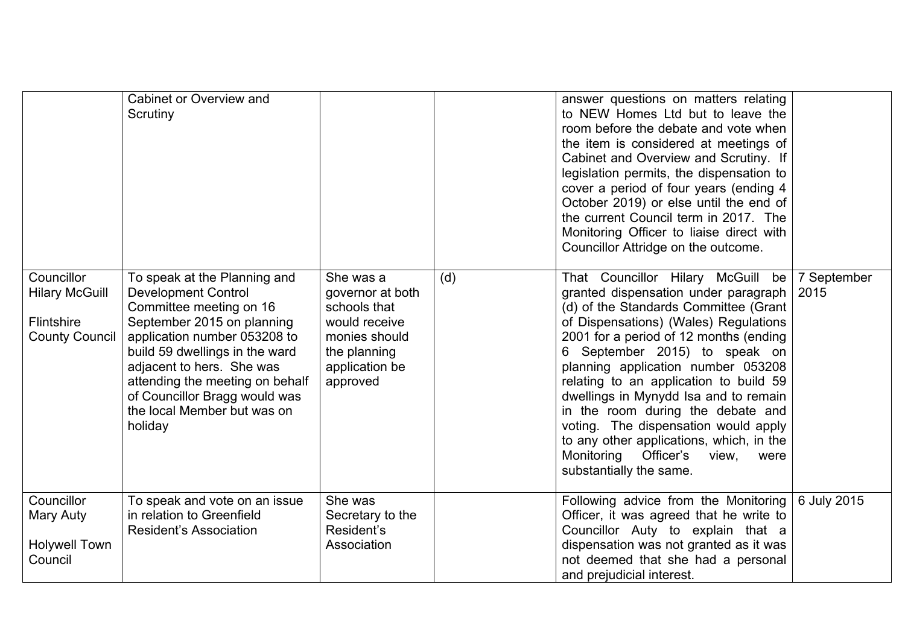|                                                                                   | Cabinet or Overview and<br>Scrutiny                                                                                                                                                                                                                                                                                              |                                                                                                                               |     | answer questions on matters relating<br>to NEW Homes Ltd but to leave the<br>room before the debate and vote when<br>the item is considered at meetings of<br>Cabinet and Overview and Scrutiny. If<br>legislation permits, the dispensation to<br>cover a period of four years (ending 4<br>October 2019) or else until the end of<br>the current Council term in 2017. The<br>Monitoring Officer to liaise direct with<br>Councillor Attridge on the outcome.                                                                                                 |                     |
|-----------------------------------------------------------------------------------|----------------------------------------------------------------------------------------------------------------------------------------------------------------------------------------------------------------------------------------------------------------------------------------------------------------------------------|-------------------------------------------------------------------------------------------------------------------------------|-----|-----------------------------------------------------------------------------------------------------------------------------------------------------------------------------------------------------------------------------------------------------------------------------------------------------------------------------------------------------------------------------------------------------------------------------------------------------------------------------------------------------------------------------------------------------------------|---------------------|
| Councillor<br><b>Hilary McGuill</b><br><b>Flintshire</b><br><b>County Council</b> | To speak at the Planning and<br><b>Development Control</b><br>Committee meeting on 16<br>September 2015 on planning<br>application number 053208 to<br>build 59 dwellings in the ward<br>adjacent to hers. She was<br>attending the meeting on behalf<br>of Councillor Bragg would was<br>the local Member but was on<br>holiday | She was a<br>governor at both<br>schools that<br>would receive<br>monies should<br>the planning<br>application be<br>approved | (d) | That Councillor Hilary McGuill be<br>granted dispensation under paragraph<br>(d) of the Standards Committee (Grant<br>of Dispensations) (Wales) Regulations<br>2001 for a period of 12 months (ending<br>September 2015) to speak on<br>6<br>planning application number 053208<br>relating to an application to build 59<br>dwellings in Mynydd Isa and to remain<br>in the room during the debate and<br>voting. The dispensation would apply<br>to any other applications, which, in the<br>Monitoring Officer's<br>view,<br>were<br>substantially the same. | 7 September<br>2015 |
| Councillor<br>Mary Auty<br><b>Holywell Town</b><br>Council                        | To speak and vote on an issue<br>in relation to Greenfield<br><b>Resident's Association</b>                                                                                                                                                                                                                                      | She was<br>Secretary to the<br>Resident's<br>Association                                                                      |     | Following advice from the Monitoring<br>Officer, it was agreed that he write to<br>Councillor Auty to explain that a<br>dispensation was not granted as it was<br>not deemed that she had a personal<br>and prejudicial interest.                                                                                                                                                                                                                                                                                                                               | 6 July 2015         |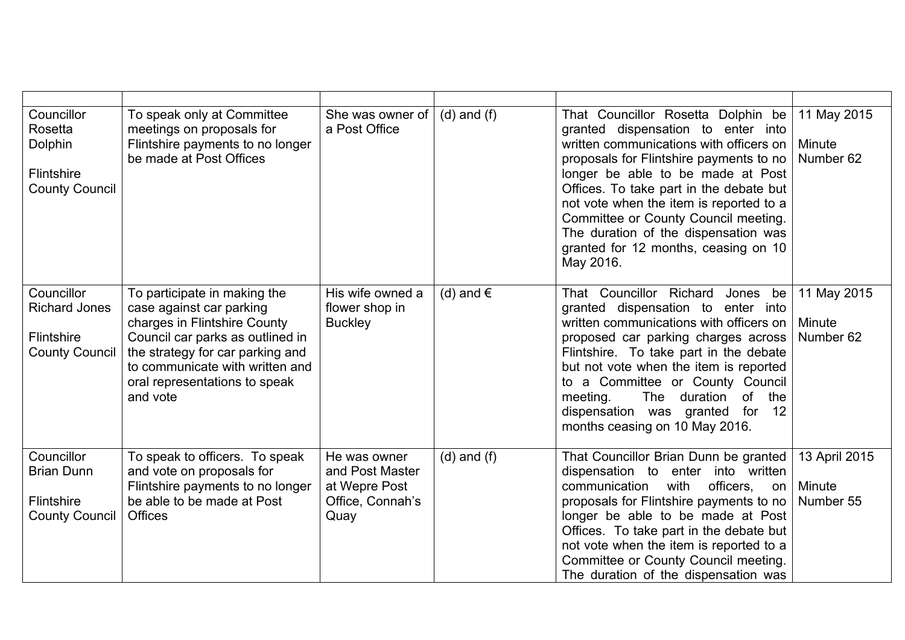| Councillor<br>Rosetta<br>Dolphin<br>Flintshire<br><b>County Council</b>       | To speak only at Committee<br>meetings on proposals for<br>Flintshire payments to no longer<br>be made at Post Offices                                                                                                                           | She was owner of<br>a Post Office                                            | $(d)$ and $(f)$    | That Councillor Rosetta Dolphin be<br>granted dispensation to enter into<br>written communications with officers on<br>proposals for Flintshire payments to no<br>longer be able to be made at Post<br>Offices. To take part in the debate but<br>not vote when the item is reported to a<br>Committee or County Council meeting.<br>The duration of the dispensation was<br>granted for 12 months, ceasing on 10<br>May 2016. | 11 May 2015<br>Minute<br>Number 62   |
|-------------------------------------------------------------------------------|--------------------------------------------------------------------------------------------------------------------------------------------------------------------------------------------------------------------------------------------------|------------------------------------------------------------------------------|--------------------|--------------------------------------------------------------------------------------------------------------------------------------------------------------------------------------------------------------------------------------------------------------------------------------------------------------------------------------------------------------------------------------------------------------------------------|--------------------------------------|
| Councillor<br><b>Richard Jones</b><br>Flintshire<br><b>County Council</b>     | To participate in making the<br>case against car parking<br>charges in Flintshire County<br>Council car parks as outlined in<br>the strategy for car parking and<br>to communicate with written and<br>oral representations to speak<br>and vote | His wife owned a<br>flower shop in<br><b>Buckley</b>                         | (d) and $\epsilon$ | That Councillor Richard<br>Jones be<br>granted dispensation to enter into<br>written communications with officers on<br>proposed car parking charges across<br>Flintshire. To take part in the debate<br>but not vote when the item is reported<br>to a Committee or County Council<br>meeting.<br>The duration<br>of<br>the<br>dispensation was granted<br>for<br>12<br>months ceasing on 10 May 2016.                        | 11 May 2015<br>Minute<br>Number 62   |
| Councillor<br><b>Brian Dunn</b><br><b>Flintshire</b><br><b>County Council</b> | To speak to officers. To speak<br>and vote on proposals for<br>Flintshire payments to no longer<br>be able to be made at Post<br><b>Offices</b>                                                                                                  | He was owner<br>and Post Master<br>at Wepre Post<br>Office, Connah's<br>Quay | $(d)$ and $(f)$    | That Councillor Brian Dunn be granted<br>dispensation to enter into written<br>with<br>officers,<br>communication<br>on<br>proposals for Flintshire payments to no<br>longer be able to be made at Post<br>Offices. To take part in the debate but<br>not vote when the item is reported to a<br>Committee or County Council meeting.<br>The duration of the dispensation was                                                  | 13 April 2015<br>Minute<br>Number 55 |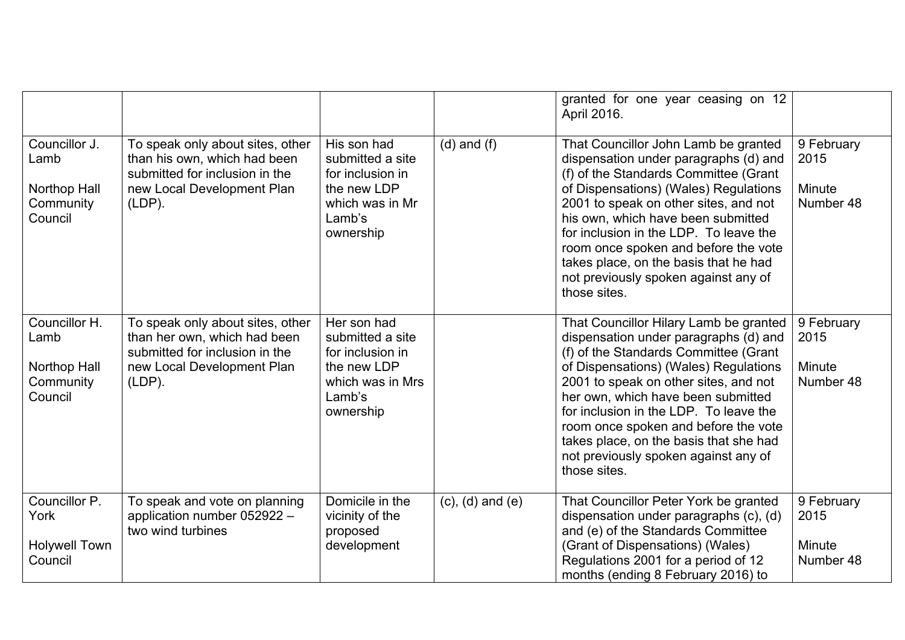|                                                               |                                                                                                                                               |                                                                                                               |                         | granted for one year ceasing on 12<br>April 2016.                                                                                                                                                                                                                                                                                                                                                                                    |                                           |
|---------------------------------------------------------------|-----------------------------------------------------------------------------------------------------------------------------------------------|---------------------------------------------------------------------------------------------------------------|-------------------------|--------------------------------------------------------------------------------------------------------------------------------------------------------------------------------------------------------------------------------------------------------------------------------------------------------------------------------------------------------------------------------------------------------------------------------------|-------------------------------------------|
| Councillor J.<br>Lamb<br>Northop Hall<br>Community<br>Council | To speak only about sites, other<br>than his own, which had been<br>submitted for inclusion in the<br>new Local Development Plan<br>$(LDP)$ . | His son had<br>submitted a site<br>for inclusion in<br>the new LDP<br>which was in Mr<br>Lamb's<br>ownership  | $(d)$ and $(f)$         | That Councillor John Lamb be granted<br>dispensation under paragraphs (d) and<br>(f) of the Standards Committee (Grant<br>of Dispensations) (Wales) Regulations<br>2001 to speak on other sites, and not<br>his own, which have been submitted<br>for inclusion in the LDP. To leave the<br>room once spoken and before the vote<br>takes place, on the basis that he had<br>not previously spoken against any of<br>those sites.    | 9 February<br>2015<br>Minute<br>Number 48 |
| Councillor H.<br>Lamb<br>Northop Hall<br>Community<br>Council | To speak only about sites, other<br>than her own, which had been<br>submitted for inclusion in the<br>new Local Development Plan<br>$(LDP)$ . | Her son had<br>submitted a site<br>for inclusion in<br>the new LDP<br>which was in Mrs<br>Lamb's<br>ownership |                         | That Councillor Hilary Lamb be granted<br>dispensation under paragraphs (d) and<br>(f) of the Standards Committee (Grant<br>of Dispensations) (Wales) Regulations<br>2001 to speak on other sites, and not<br>her own, which have been submitted<br>for inclusion in the LDP. To leave the<br>room once spoken and before the vote<br>takes place, on the basis that she had<br>not previously spoken against any of<br>those sites. | 9 February<br>2015<br>Minute<br>Number 48 |
| Councillor P.<br>York<br><b>Holywell Town</b><br>Council      | To speak and vote on planning<br>application number 052922 -<br>two wind turbines                                                             | Domicile in the<br>vicinity of the<br>proposed<br>development                                                 | $(c)$ , $(d)$ and $(e)$ | That Councillor Peter York be granted<br>dispensation under paragraphs (c), (d)<br>and (e) of the Standards Committee<br>(Grant of Dispensations) (Wales)<br>Regulations 2001 for a period of 12<br>months (ending 8 February 2016) to                                                                                                                                                                                               | 9 February<br>2015<br>Minute<br>Number 48 |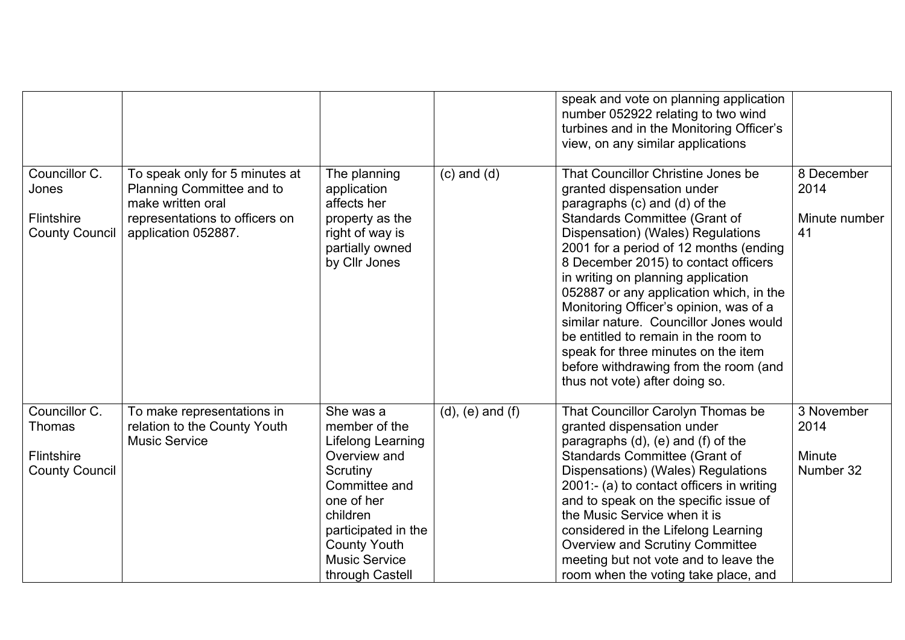|                                                                       |                                                                                                                                           |                                                                                                                                                                                                                 |                         | speak and vote on planning application<br>number 052922 relating to two wind<br>turbines and in the Monitoring Officer's<br>view, on any similar applications                                                                                                                                                                                                                                                                                                                                                                                                                            |                                           |
|-----------------------------------------------------------------------|-------------------------------------------------------------------------------------------------------------------------------------------|-----------------------------------------------------------------------------------------------------------------------------------------------------------------------------------------------------------------|-------------------------|------------------------------------------------------------------------------------------------------------------------------------------------------------------------------------------------------------------------------------------------------------------------------------------------------------------------------------------------------------------------------------------------------------------------------------------------------------------------------------------------------------------------------------------------------------------------------------------|-------------------------------------------|
| Councillor C.<br>Jones<br>Flintshire<br><b>County Council</b>         | To speak only for 5 minutes at<br>Planning Committee and to<br>make written oral<br>representations to officers on<br>application 052887. | The planning<br>application<br>affects her<br>property as the<br>right of way is<br>partially owned<br>by Cllr Jones                                                                                            | $(c)$ and $(d)$         | That Councillor Christine Jones be<br>granted dispensation under<br>paragraphs (c) and (d) of the<br>Standards Committee (Grant of<br>Dispensation) (Wales) Regulations<br>2001 for a period of 12 months (ending<br>8 December 2015) to contact officers<br>in writing on planning application<br>052887 or any application which, in the<br>Monitoring Officer's opinion, was of a<br>similar nature. Councillor Jones would<br>be entitled to remain in the room to<br>speak for three minutes on the item<br>before withdrawing from the room (and<br>thus not vote) after doing so. | 8 December<br>2014<br>Minute number<br>41 |
| Councillor C.<br>Thomas<br><b>Flintshire</b><br><b>County Council</b> | To make representations in<br>relation to the County Youth<br><b>Music Service</b>                                                        | She was a<br>member of the<br>Lifelong Learning<br>Overview and<br>Scrutiny<br>Committee and<br>one of her<br>children<br>participated in the<br><b>County Youth</b><br><b>Music Service</b><br>through Castell | $(d)$ , $(e)$ and $(f)$ | That Councillor Carolyn Thomas be<br>granted dispensation under<br>paragraphs (d), (e) and (f) of the<br>Standards Committee (Grant of<br>Dispensations) (Wales) Regulations<br>2001:- (a) to contact officers in writing<br>and to speak on the specific issue of<br>the Music Service when it is<br>considered in the Lifelong Learning<br><b>Overview and Scrutiny Committee</b><br>meeting but not vote and to leave the<br>room when the voting take place, and                                                                                                                     | 3 November<br>2014<br>Minute<br>Number 32 |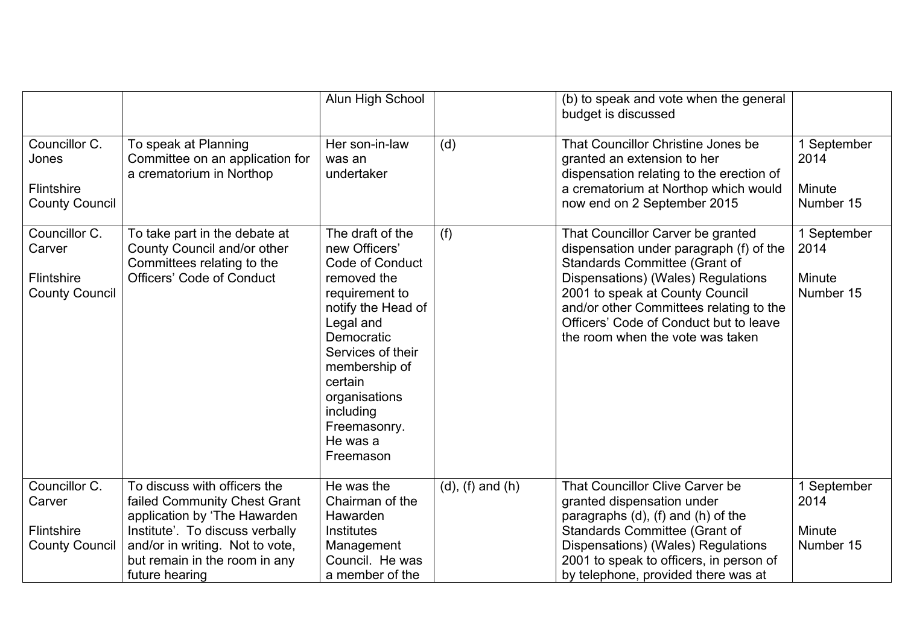|                                                                |                                                                                                                                                                                                                       | Alun High School                                                                                                                                                                                                                                               |                         | (b) to speak and vote when the general<br>budget is discussed                                                                                                                                                                                                                                                          |                                            |
|----------------------------------------------------------------|-----------------------------------------------------------------------------------------------------------------------------------------------------------------------------------------------------------------------|----------------------------------------------------------------------------------------------------------------------------------------------------------------------------------------------------------------------------------------------------------------|-------------------------|------------------------------------------------------------------------------------------------------------------------------------------------------------------------------------------------------------------------------------------------------------------------------------------------------------------------|--------------------------------------------|
| Councillor C.<br>Jones<br>Flintshire<br><b>County Council</b>  | To speak at Planning<br>Committee on an application for<br>a crematorium in Northop                                                                                                                                   | Her son-in-law<br>was an<br>undertaker                                                                                                                                                                                                                         | (d)                     | That Councillor Christine Jones be<br>granted an extension to her<br>dispensation relating to the erection of<br>a crematorium at Northop which would<br>now end on 2 September 2015                                                                                                                                   | 1 September<br>2014<br>Minute<br>Number 15 |
| Councillor C.<br>Carver<br>Flintshire<br><b>County Council</b> | To take part in the debate at<br>County Council and/or other<br>Committees relating to the<br><b>Officers' Code of Conduct</b>                                                                                        | The draft of the<br>new Officers'<br>Code of Conduct<br>removed the<br>requirement to<br>notify the Head of<br>Legal and<br>Democratic<br>Services of their<br>membership of<br>certain<br>organisations<br>including<br>Freemasonry.<br>He was a<br>Freemason | (f)                     | That Councillor Carver be granted<br>dispensation under paragraph (f) of the<br><b>Standards Committee (Grant of</b><br>Dispensations) (Wales) Regulations<br>2001 to speak at County Council<br>and/or other Committees relating to the<br>Officers' Code of Conduct but to leave<br>the room when the vote was taken | 1 September<br>2014<br>Minute<br>Number 15 |
| Councillor C.<br>Carver<br>Flintshire<br><b>County Council</b> | To discuss with officers the<br>failed Community Chest Grant<br>application by 'The Hawarden<br>Institute'. To discuss verbally<br>and/or in writing. Not to vote,<br>but remain in the room in any<br>future hearing | He was the<br>Chairman of the<br>Hawarden<br><b>Institutes</b><br>Management<br>Council. He was<br>a member of the                                                                                                                                             | $(d)$ , $(f)$ and $(h)$ | That Councillor Clive Carver be<br>granted dispensation under<br>paragraphs (d), (f) and (h) of the<br><b>Standards Committee (Grant of</b><br>Dispensations) (Wales) Regulations<br>2001 to speak to officers, in person of<br>by telephone, provided there was at                                                    | 1 September<br>2014<br>Minute<br>Number 15 |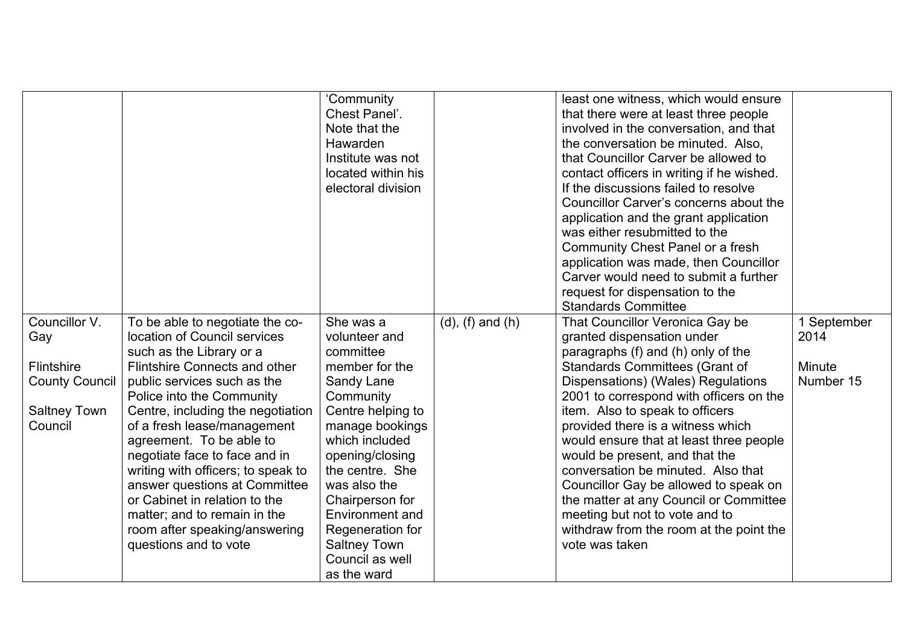|                                                                                         | 'Community<br>Chest Panel'.<br>Note that the<br>Hawarden<br>Institute was not<br>located within his<br>electoral division |                         | least one witness, which would ensure<br>that there were at least three people<br>involved in the conversation, and that<br>the conversation be minuted. Also,<br>that Councillor Carver be allowed to<br>contact officers in writing if he wished.<br>If the discussions failed to resolve<br>Councillor Carver's concerns about the<br>application and the grant application<br>was either resubmitted to the<br>Community Chest Panel or a fresh<br>application was made, then Councillor<br>Carver would need to submit a further<br>request for dispensation to the<br><b>Standards Committee</b> |                     |
|-----------------------------------------------------------------------------------------|---------------------------------------------------------------------------------------------------------------------------|-------------------------|--------------------------------------------------------------------------------------------------------------------------------------------------------------------------------------------------------------------------------------------------------------------------------------------------------------------------------------------------------------------------------------------------------------------------------------------------------------------------------------------------------------------------------------------------------------------------------------------------------|---------------------|
| Councillor V.<br>To be able to negotiate the co-<br>location of Council services<br>Gay | She was a<br>volunteer and                                                                                                | $(d)$ , $(f)$ and $(h)$ | That Councillor Veronica Gay be<br>granted dispensation under                                                                                                                                                                                                                                                                                                                                                                                                                                                                                                                                          | 1 September<br>2014 |
| such as the Library or a                                                                | committee                                                                                                                 |                         | paragraphs (f) and (h) only of the                                                                                                                                                                                                                                                                                                                                                                                                                                                                                                                                                                     |                     |
| Flintshire<br>Flintshire Connects and other                                             | member for the                                                                                                            |                         | <b>Standards Committees (Grant of</b>                                                                                                                                                                                                                                                                                                                                                                                                                                                                                                                                                                  | Minute              |
| <b>County Council</b><br>public services such as the<br>Police into the Community       | Sandy Lane<br>Community                                                                                                   |                         | Dispensations) (Wales) Regulations<br>2001 to correspond with officers on the                                                                                                                                                                                                                                                                                                                                                                                                                                                                                                                          | Number 15           |
| Centre, including the negotiation<br><b>Saltney Town</b>                                | Centre helping to                                                                                                         |                         | item. Also to speak to officers                                                                                                                                                                                                                                                                                                                                                                                                                                                                                                                                                                        |                     |
| Council<br>of a fresh lease/management                                                  | manage bookings                                                                                                           |                         | provided there is a witness which                                                                                                                                                                                                                                                                                                                                                                                                                                                                                                                                                                      |                     |
| agreement. To be able to                                                                | which included                                                                                                            |                         | would ensure that at least three people                                                                                                                                                                                                                                                                                                                                                                                                                                                                                                                                                                |                     |
| negotiate face to face and in                                                           | opening/closing                                                                                                           |                         | would be present, and that the                                                                                                                                                                                                                                                                                                                                                                                                                                                                                                                                                                         |                     |
| writing with officers; to speak to                                                      | the centre. She                                                                                                           |                         | conversation be minuted. Also that                                                                                                                                                                                                                                                                                                                                                                                                                                                                                                                                                                     |                     |
| answer questions at Committee                                                           | was also the                                                                                                              |                         | Councillor Gay be allowed to speak on                                                                                                                                                                                                                                                                                                                                                                                                                                                                                                                                                                  |                     |
| or Cabinet in relation to the                                                           | Chairperson for                                                                                                           |                         | the matter at any Council or Committee                                                                                                                                                                                                                                                                                                                                                                                                                                                                                                                                                                 |                     |
| matter; and to remain in the<br>room after speaking/answering                           | Environment and<br>Regeneration for                                                                                       |                         | meeting but not to vote and to<br>withdraw from the room at the point the                                                                                                                                                                                                                                                                                                                                                                                                                                                                                                                              |                     |
| questions and to vote                                                                   | <b>Saltney Town</b>                                                                                                       |                         | vote was taken                                                                                                                                                                                                                                                                                                                                                                                                                                                                                                                                                                                         |                     |
|                                                                                         | Council as well                                                                                                           |                         |                                                                                                                                                                                                                                                                                                                                                                                                                                                                                                                                                                                                        |                     |
|                                                                                         | as the ward                                                                                                               |                         |                                                                                                                                                                                                                                                                                                                                                                                                                                                                                                                                                                                                        |                     |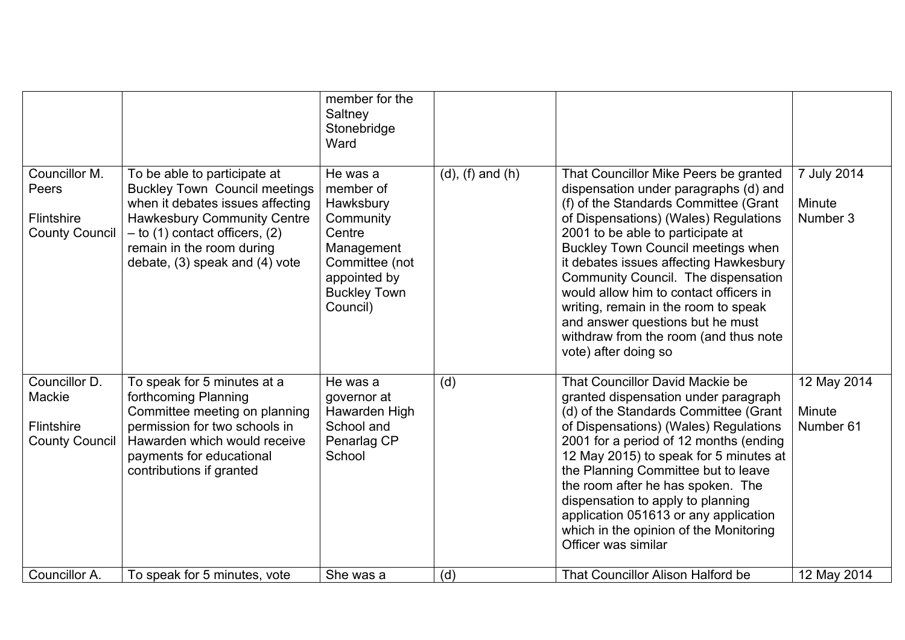|                                                                |                                                                                                                                                                                                                                                   | member for the<br>Saltney<br>Stonebridge<br>Ward                                                                                             |                         |                                                                                                                                                                                                                                                                                                                                                                                                                                                                                                                            |                                    |
|----------------------------------------------------------------|---------------------------------------------------------------------------------------------------------------------------------------------------------------------------------------------------------------------------------------------------|----------------------------------------------------------------------------------------------------------------------------------------------|-------------------------|----------------------------------------------------------------------------------------------------------------------------------------------------------------------------------------------------------------------------------------------------------------------------------------------------------------------------------------------------------------------------------------------------------------------------------------------------------------------------------------------------------------------------|------------------------------------|
| Councillor M.<br>Peers<br>Flintshire<br><b>County Council</b>  | To be able to participate at<br><b>Buckley Town Council meetings</b><br>when it debates issues affecting<br><b>Hawkesbury Community Centre</b><br>$-$ to (1) contact officers, (2)<br>remain in the room during<br>debate, (3) speak and (4) vote | He was a<br>member of<br>Hawksbury<br>Community<br>Centre<br>Management<br>Committee (not<br>appointed by<br><b>Buckley Town</b><br>Council) | $(d)$ , $(f)$ and $(h)$ | That Councillor Mike Peers be granted<br>dispensation under paragraphs (d) and<br>(f) of the Standards Committee (Grant<br>of Dispensations) (Wales) Regulations<br>2001 to be able to participate at<br><b>Buckley Town Council meetings when</b><br>it debates issues affecting Hawkesbury<br>Community Council. The dispensation<br>would allow him to contact officers in<br>writing, remain in the room to speak<br>and answer questions but he must<br>withdraw from the room (and thus note<br>vote) after doing so | 7 July 2014<br>Minute<br>Number 3  |
| Councillor D.<br>Mackie<br>Flintshire<br><b>County Council</b> | To speak for 5 minutes at a<br>forthcoming Planning<br>Committee meeting on planning<br>permission for two schools in<br>Hawarden which would receive<br>payments for educational<br>contributions if granted                                     | He was a<br>governor at<br>Hawarden High<br>School and<br>Penarlag CP<br>School                                                              | (d)                     | That Councillor David Mackie be<br>granted dispensation under paragraph<br>(d) of the Standards Committee (Grant<br>of Dispensations) (Wales) Regulations<br>2001 for a period of 12 months (ending<br>12 May 2015) to speak for 5 minutes at<br>the Planning Committee but to leave<br>the room after he has spoken. The<br>dispensation to apply to planning<br>application 051613 or any application<br>which in the opinion of the Monitoring<br>Officer was similar                                                   | 12 May 2014<br>Minute<br>Number 61 |
| Councillor A.                                                  | To speak for 5 minutes, vote                                                                                                                                                                                                                      | She was a                                                                                                                                    | (d)                     | That Councillor Alison Halford be                                                                                                                                                                                                                                                                                                                                                                                                                                                                                          | 12 May 2014                        |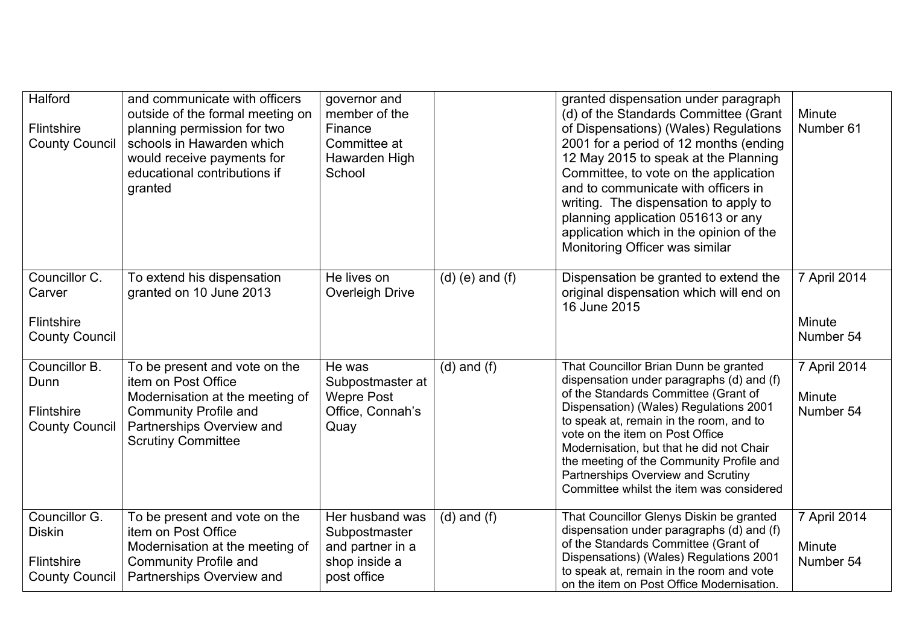| Halford<br>Flintshire<br><b>County Council</b>                        | and communicate with officers<br>outside of the formal meeting on<br>planning permission for two<br>schools in Hawarden which<br>would receive payments for<br>educational contributions if<br>granted | governor and<br>member of the<br>Finance<br>Committee at<br>Hawarden High<br>School  |                     | granted dispensation under paragraph<br>(d) of the Standards Committee (Grant<br>of Dispensations) (Wales) Regulations<br>2001 for a period of 12 months (ending<br>12 May 2015 to speak at the Planning<br>Committee, to vote on the application<br>and to communicate with officers in<br>writing. The dispensation to apply to<br>planning application 051613 or any<br>application which in the opinion of the<br>Monitoring Officer was similar | Minute<br>Number 61                 |
|-----------------------------------------------------------------------|--------------------------------------------------------------------------------------------------------------------------------------------------------------------------------------------------------|--------------------------------------------------------------------------------------|---------------------|------------------------------------------------------------------------------------------------------------------------------------------------------------------------------------------------------------------------------------------------------------------------------------------------------------------------------------------------------------------------------------------------------------------------------------------------------|-------------------------------------|
| Councillor C.<br>Carver<br>Flintshire<br><b>County Council</b>        | To extend his dispensation<br>granted on 10 June 2013                                                                                                                                                  | He lives on<br>Overleigh Drive                                                       | $(d)$ (e) and $(f)$ | Dispensation be granted to extend the<br>original dispensation which will end on<br>16 June 2015                                                                                                                                                                                                                                                                                                                                                     | 7 April 2014<br>Minute<br>Number 54 |
| Councillor B.<br>Dunn<br>Flintshire<br><b>County Council</b>          | To be present and vote on the<br>item on Post Office<br>Modernisation at the meeting of<br><b>Community Profile and</b><br>Partnerships Overview and<br><b>Scrutiny Committee</b>                      | He was<br>Subpostmaster at<br><b>Wepre Post</b><br>Office, Connah's<br>Quay          | $(d)$ and $(f)$     | That Councillor Brian Dunn be granted<br>dispensation under paragraphs (d) and (f)<br>of the Standards Committee (Grant of<br>Dispensation) (Wales) Regulations 2001<br>to speak at, remain in the room, and to<br>vote on the item on Post Office<br>Modernisation, but that he did not Chair<br>the meeting of the Community Profile and<br>Partnerships Overview and Scrutiny<br>Committee whilst the item was considered                         | 7 April 2014<br>Minute<br>Number 54 |
| Councillor G.<br><b>Diskin</b><br>Flintshire<br><b>County Council</b> | To be present and vote on the<br>item on Post Office<br>Modernisation at the meeting of<br><b>Community Profile and</b><br>Partnerships Overview and                                                   | Her husband was<br>Subpostmaster<br>and partner in a<br>shop inside a<br>post office | $(d)$ and $(f)$     | That Councillor Glenys Diskin be granted<br>dispensation under paragraphs (d) and (f)<br>of the Standards Committee (Grant of<br>Dispensations) (Wales) Regulations 2001<br>to speak at, remain in the room and vote<br>on the item on Post Office Modernisation.                                                                                                                                                                                    | 7 April 2014<br>Minute<br>Number 54 |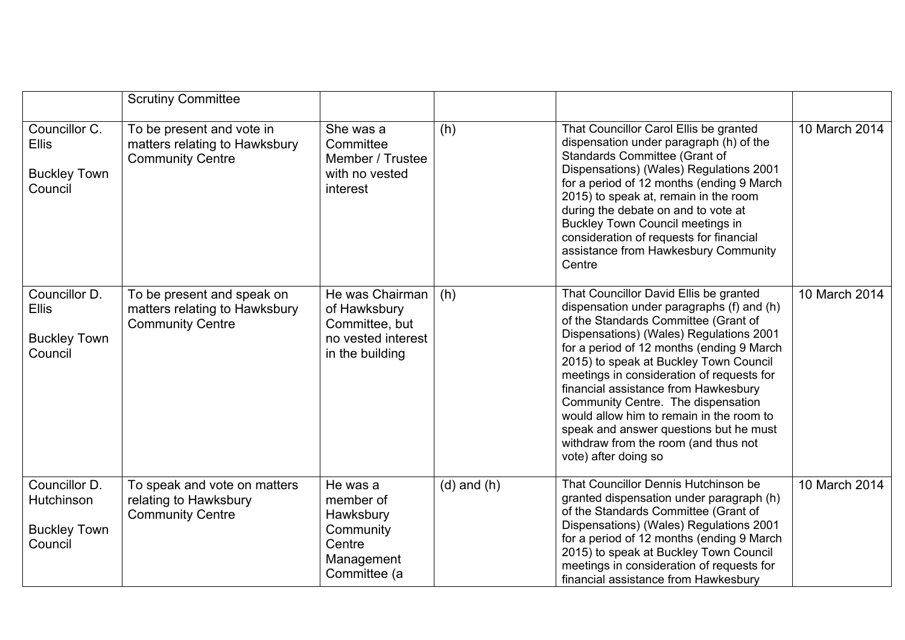|                                                                 | <b>Scrutiny Committee</b>                                                              |                                                                                            |                 |                                                                                                                                                                                                                                                                                                                                                                                                                                                                                                                                                |               |
|-----------------------------------------------------------------|----------------------------------------------------------------------------------------|--------------------------------------------------------------------------------------------|-----------------|------------------------------------------------------------------------------------------------------------------------------------------------------------------------------------------------------------------------------------------------------------------------------------------------------------------------------------------------------------------------------------------------------------------------------------------------------------------------------------------------------------------------------------------------|---------------|
| Councillor C.<br><b>Ellis</b><br><b>Buckley Town</b><br>Council | To be present and vote in<br>matters relating to Hawksbury<br><b>Community Centre</b>  | She was a<br>Committee<br>Member / Trustee<br>with no vested<br>interest                   | (h)             | That Councillor Carol Ellis be granted<br>dispensation under paragraph (h) of the<br>Standards Committee (Grant of<br>Dispensations) (Wales) Regulations 2001<br>for a period of 12 months (ending 9 March<br>2015) to speak at, remain in the room<br>during the debate on and to vote at<br><b>Buckley Town Council meetings in</b><br>consideration of requests for financial<br>assistance from Hawkesbury Community<br>Centre                                                                                                             | 10 March 2014 |
| Councillor D.<br><b>Ellis</b><br><b>Buckley Town</b><br>Council | To be present and speak on<br>matters relating to Hawksbury<br><b>Community Centre</b> | He was Chairman<br>of Hawksbury<br>Committee, but<br>no vested interest<br>in the building | (h)             | That Councillor David Ellis be granted<br>dispensation under paragraphs (f) and (h)<br>of the Standards Committee (Grant of<br>Dispensations) (Wales) Regulations 2001<br>for a period of 12 months (ending 9 March<br>2015) to speak at Buckley Town Council<br>meetings in consideration of requests for<br>financial assistance from Hawkesbury<br>Community Centre. The dispensation<br>would allow him to remain in the room to<br>speak and answer questions but he must<br>withdraw from the room (and thus not<br>vote) after doing so | 10 March 2014 |
| Councillor D.<br>Hutchinson<br><b>Buckley Town</b><br>Council   | To speak and vote on matters<br>relating to Hawksbury<br><b>Community Centre</b>       | He was a<br>member of<br>Hawksbury<br>Community<br>Centre<br>Management<br>Committee (a    | $(d)$ and $(h)$ | That Councillor Dennis Hutchinson be<br>granted dispensation under paragraph (h)<br>of the Standards Committee (Grant of<br>Dispensations) (Wales) Regulations 2001<br>for a period of 12 months (ending 9 March<br>2015) to speak at Buckley Town Council<br>meetings in consideration of requests for<br>financial assistance from Hawkesbury                                                                                                                                                                                                | 10 March 2014 |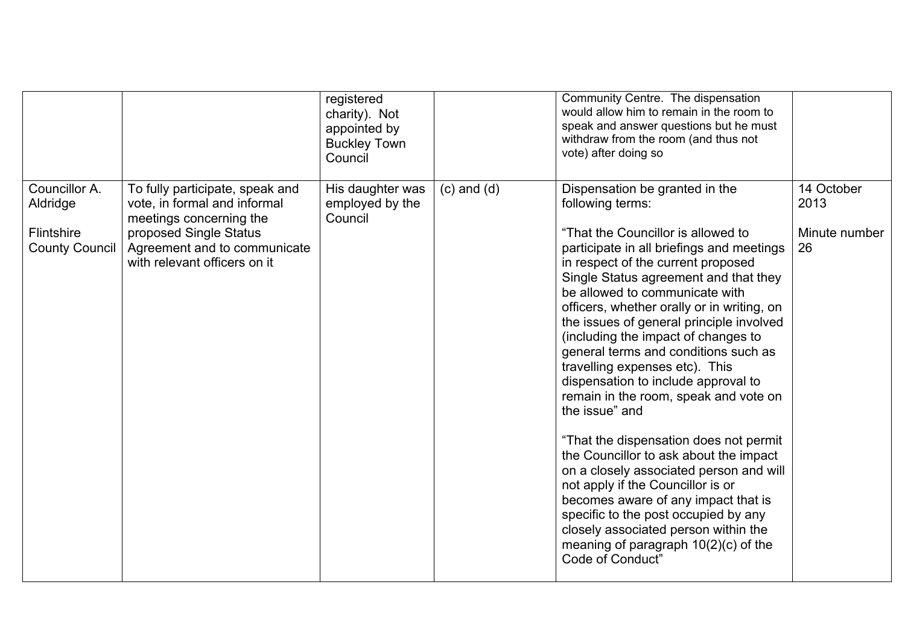|                                                                  |                                                                                                                                                                                      | registered<br>charity). Not<br>appointed by<br><b>Buckley Town</b><br>Council |                 | Community Centre. The dispensation<br>would allow him to remain in the room to<br>speak and answer questions but he must<br>withdraw from the room (and thus not<br>vote) after doing so                                                                                                                                                                                                                                                                                                                                                                                                                                                                                                                                                                                                                                                                                                                                     |                                           |
|------------------------------------------------------------------|--------------------------------------------------------------------------------------------------------------------------------------------------------------------------------------|-------------------------------------------------------------------------------|-----------------|------------------------------------------------------------------------------------------------------------------------------------------------------------------------------------------------------------------------------------------------------------------------------------------------------------------------------------------------------------------------------------------------------------------------------------------------------------------------------------------------------------------------------------------------------------------------------------------------------------------------------------------------------------------------------------------------------------------------------------------------------------------------------------------------------------------------------------------------------------------------------------------------------------------------------|-------------------------------------------|
| Councillor A.<br>Aldridge<br>Flintshire<br><b>County Council</b> | To fully participate, speak and<br>vote, in formal and informal<br>meetings concerning the<br>proposed Single Status<br>Agreement and to communicate<br>with relevant officers on it | His daughter was<br>employed by the<br>Council                                | $(c)$ and $(d)$ | Dispensation be granted in the<br>following terms:<br>"That the Councillor is allowed to<br>participate in all briefings and meetings<br>in respect of the current proposed<br>Single Status agreement and that they<br>be allowed to communicate with<br>officers, whether orally or in writing, on<br>the issues of general principle involved<br>(including the impact of changes to<br>general terms and conditions such as<br>travelling expenses etc). This<br>dispensation to include approval to<br>remain in the room, speak and vote on<br>the issue" and<br>"That the dispensation does not permit<br>the Councillor to ask about the impact<br>on a closely associated person and will<br>not apply if the Councillor is or<br>becomes aware of any impact that is<br>specific to the post occupied by any<br>closely associated person within the<br>meaning of paragraph $10(2)(c)$ of the<br>Code of Conduct" | 14 October<br>2013<br>Minute number<br>26 |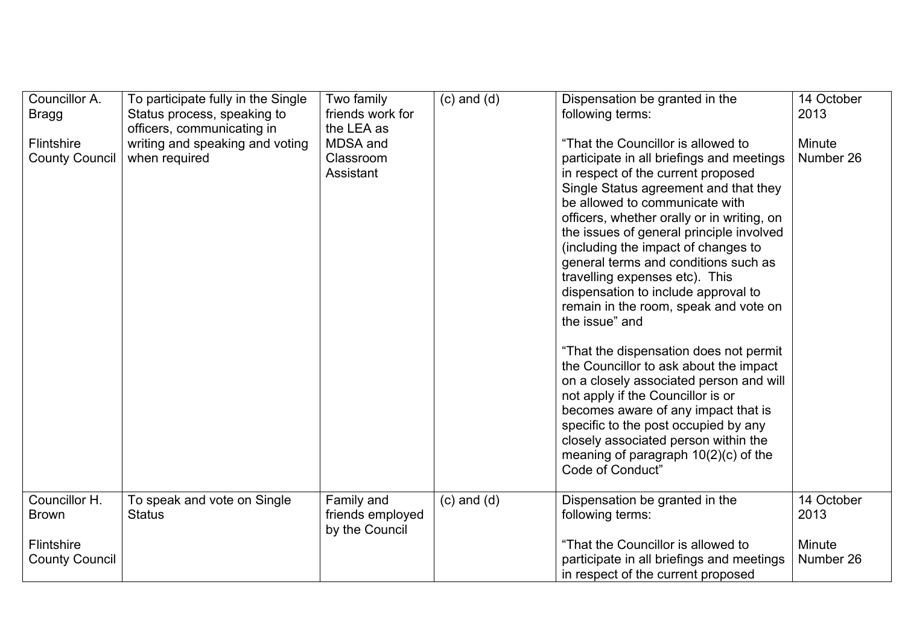| Councillor A.<br><b>Bragg</b><br>Flintshire<br><b>County Council</b> | To participate fully in the Single<br>Status process, speaking to<br>officers, communicating in<br>writing and speaking and voting<br>when required | Two family<br>friends work for<br>the LEA as<br>MDSA and<br>Classroom<br>Assistant | $(c)$ and $(d)$ | Dispensation be granted in the<br>following terms:<br>"That the Councillor is allowed to<br>participate in all briefings and meetings<br>in respect of the current proposed<br>Single Status agreement and that they<br>be allowed to communicate with<br>officers, whether orally or in writing, on<br>the issues of general principle involved<br>(including the impact of changes to<br>general terms and conditions such as<br>travelling expenses etc). This<br>dispensation to include approval to<br>remain in the room, speak and vote on<br>the issue" and<br>"That the dispensation does not permit<br>the Councillor to ask about the impact<br>on a closely associated person and will<br>not apply if the Councillor is or<br>becomes aware of any impact that is<br>specific to the post occupied by any<br>closely associated person within the<br>meaning of paragraph $10(2)(c)$ of the<br>Code of Conduct" | 14 October<br>2013<br><b>Minute</b><br>Number 26 |
|----------------------------------------------------------------------|-----------------------------------------------------------------------------------------------------------------------------------------------------|------------------------------------------------------------------------------------|-----------------|------------------------------------------------------------------------------------------------------------------------------------------------------------------------------------------------------------------------------------------------------------------------------------------------------------------------------------------------------------------------------------------------------------------------------------------------------------------------------------------------------------------------------------------------------------------------------------------------------------------------------------------------------------------------------------------------------------------------------------------------------------------------------------------------------------------------------------------------------------------------------------------------------------------------------|--------------------------------------------------|
| Councillor H.                                                        | To speak and vote on Single                                                                                                                         | Family and                                                                         | $(c)$ and $(d)$ | Dispensation be granted in the                                                                                                                                                                                                                                                                                                                                                                                                                                                                                                                                                                                                                                                                                                                                                                                                                                                                                               | 14 October                                       |
| <b>Brown</b>                                                         | <b>Status</b>                                                                                                                                       | friends employed<br>by the Council                                                 |                 | following terms:                                                                                                                                                                                                                                                                                                                                                                                                                                                                                                                                                                                                                                                                                                                                                                                                                                                                                                             | 2013                                             |
| <b>Flintshire</b><br><b>County Council</b>                           |                                                                                                                                                     |                                                                                    |                 | "That the Councillor is allowed to<br>participate in all briefings and meetings<br>in respect of the current proposed                                                                                                                                                                                                                                                                                                                                                                                                                                                                                                                                                                                                                                                                                                                                                                                                        | <b>Minute</b><br>Number 26                       |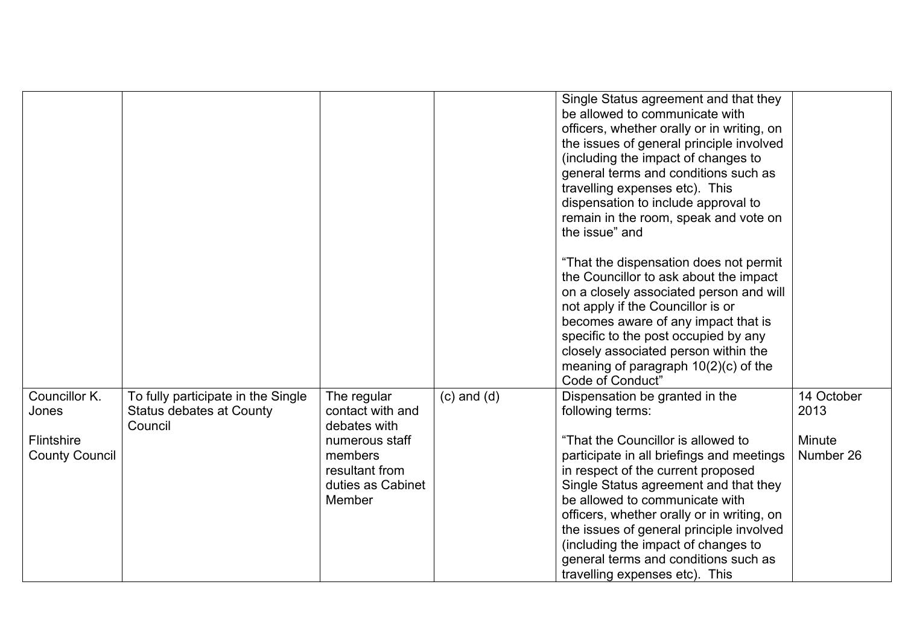|                                                               |                                                                           |                                                                                                                               |                 | Single Status agreement and that they<br>be allowed to communicate with<br>officers, whether orally or in writing, on<br>the issues of general principle involved<br>(including the impact of changes to<br>general terms and conditions such as<br>travelling expenses etc). This<br>dispensation to include approval to<br>remain in the room, speak and vote on<br>the issue" and                                                                              |                                           |
|---------------------------------------------------------------|---------------------------------------------------------------------------|-------------------------------------------------------------------------------------------------------------------------------|-----------------|-------------------------------------------------------------------------------------------------------------------------------------------------------------------------------------------------------------------------------------------------------------------------------------------------------------------------------------------------------------------------------------------------------------------------------------------------------------------|-------------------------------------------|
|                                                               |                                                                           |                                                                                                                               |                 | "That the dispensation does not permit<br>the Councillor to ask about the impact<br>on a closely associated person and will<br>not apply if the Councillor is or<br>becomes aware of any impact that is<br>specific to the post occupied by any<br>closely associated person within the<br>meaning of paragraph $10(2)(c)$ of the<br>Code of Conduct"                                                                                                             |                                           |
| Councillor K.<br>Jones<br>Flintshire<br><b>County Council</b> | To fully participate in the Single<br>Status debates at County<br>Council | The regular<br>contact with and<br>debates with<br>numerous staff<br>members<br>resultant from<br>duties as Cabinet<br>Member | $(c)$ and $(d)$ | Dispensation be granted in the<br>following terms:<br>"That the Councillor is allowed to<br>participate in all briefings and meetings<br>in respect of the current proposed<br>Single Status agreement and that they<br>be allowed to communicate with<br>officers, whether orally or in writing, on<br>the issues of general principle involved<br>(including the impact of changes to<br>general terms and conditions such as<br>travelling expenses etc). This | 14 October<br>2013<br>Minute<br>Number 26 |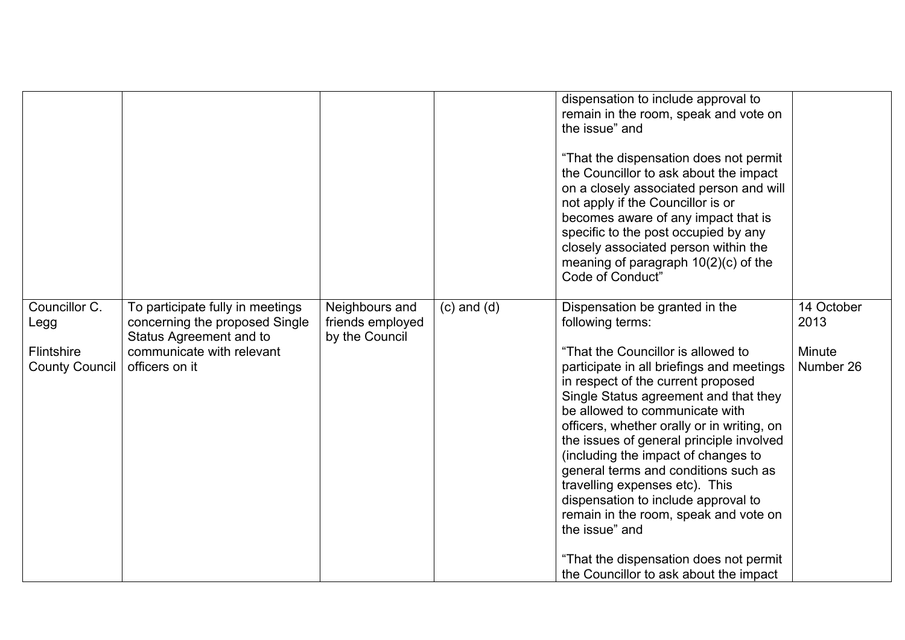|                                                              |                                                                                                                                              |                                                      |                 | dispensation to include approval to<br>remain in the room, speak and vote on<br>the issue" and<br>"That the dispensation does not permit<br>the Councillor to ask about the impact<br>on a closely associated person and will<br>not apply if the Councillor is or<br>becomes aware of any impact that is<br>specific to the post occupied by any<br>closely associated person within the<br>meaning of paragraph $10(2)(c)$ of the<br>Code of Conduct"                                                                                                                                                                                                 |                                           |
|--------------------------------------------------------------|----------------------------------------------------------------------------------------------------------------------------------------------|------------------------------------------------------|-----------------|---------------------------------------------------------------------------------------------------------------------------------------------------------------------------------------------------------------------------------------------------------------------------------------------------------------------------------------------------------------------------------------------------------------------------------------------------------------------------------------------------------------------------------------------------------------------------------------------------------------------------------------------------------|-------------------------------------------|
| Councillor C.<br>Legg<br>Flintshire<br><b>County Council</b> | To participate fully in meetings<br>concerning the proposed Single<br>Status Agreement and to<br>communicate with relevant<br>officers on it | Neighbours and<br>friends employed<br>by the Council | $(c)$ and $(d)$ | Dispensation be granted in the<br>following terms:<br>"That the Councillor is allowed to<br>participate in all briefings and meetings<br>in respect of the current proposed<br>Single Status agreement and that they<br>be allowed to communicate with<br>officers, whether orally or in writing, on<br>the issues of general principle involved<br>(including the impact of changes to<br>general terms and conditions such as<br>travelling expenses etc). This<br>dispensation to include approval to<br>remain in the room, speak and vote on<br>the issue" and<br>"That the dispensation does not permit<br>the Councillor to ask about the impact | 14 October<br>2013<br>Minute<br>Number 26 |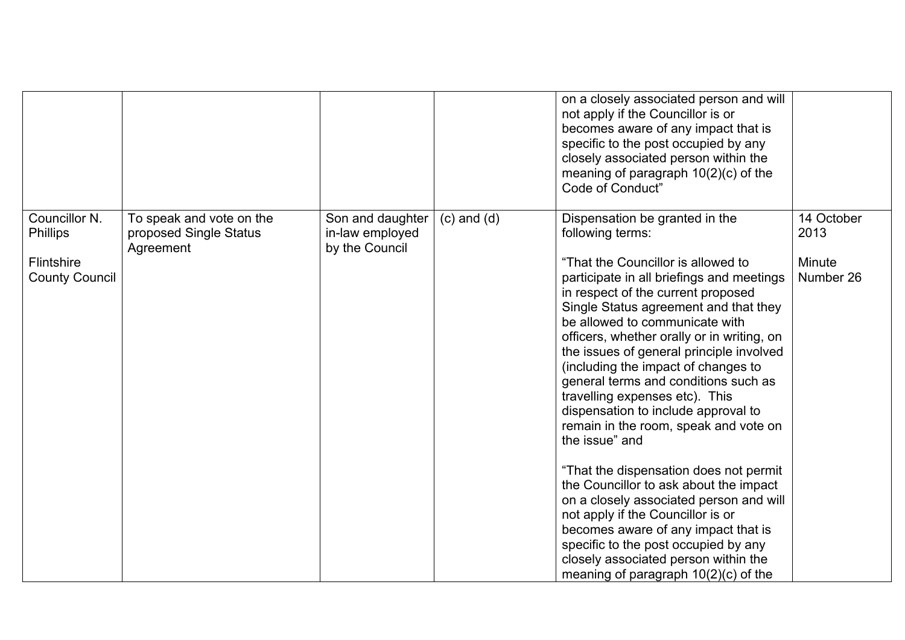|                                                                         |                                                                 |                                                       |                 | on a closely associated person and will<br>not apply if the Councillor is or<br>becomes aware of any impact that is<br>specific to the post occupied by any<br>closely associated person within the<br>meaning of paragraph $10(2)(c)$ of the<br>Code of Conduct"                                                                                                                                                                                                                                                                                                                                                                                                                                                                                                                                                                                                                                        |                                           |
|-------------------------------------------------------------------------|-----------------------------------------------------------------|-------------------------------------------------------|-----------------|----------------------------------------------------------------------------------------------------------------------------------------------------------------------------------------------------------------------------------------------------------------------------------------------------------------------------------------------------------------------------------------------------------------------------------------------------------------------------------------------------------------------------------------------------------------------------------------------------------------------------------------------------------------------------------------------------------------------------------------------------------------------------------------------------------------------------------------------------------------------------------------------------------|-------------------------------------------|
| Councillor N.<br><b>Phillips</b><br>Flintshire<br><b>County Council</b> | To speak and vote on the<br>proposed Single Status<br>Agreement | Son and daughter<br>in-law employed<br>by the Council | $(c)$ and $(d)$ | Dispensation be granted in the<br>following terms:<br>"That the Councillor is allowed to<br>participate in all briefings and meetings<br>in respect of the current proposed<br>Single Status agreement and that they<br>be allowed to communicate with<br>officers, whether orally or in writing, on<br>the issues of general principle involved<br>(including the impact of changes to<br>general terms and conditions such as<br>travelling expenses etc). This<br>dispensation to include approval to<br>remain in the room, speak and vote on<br>the issue" and<br>"That the dispensation does not permit<br>the Councillor to ask about the impact<br>on a closely associated person and will<br>not apply if the Councillor is or<br>becomes aware of any impact that is<br>specific to the post occupied by any<br>closely associated person within the<br>meaning of paragraph $10(2)(c)$ of the | 14 October<br>2013<br>Minute<br>Number 26 |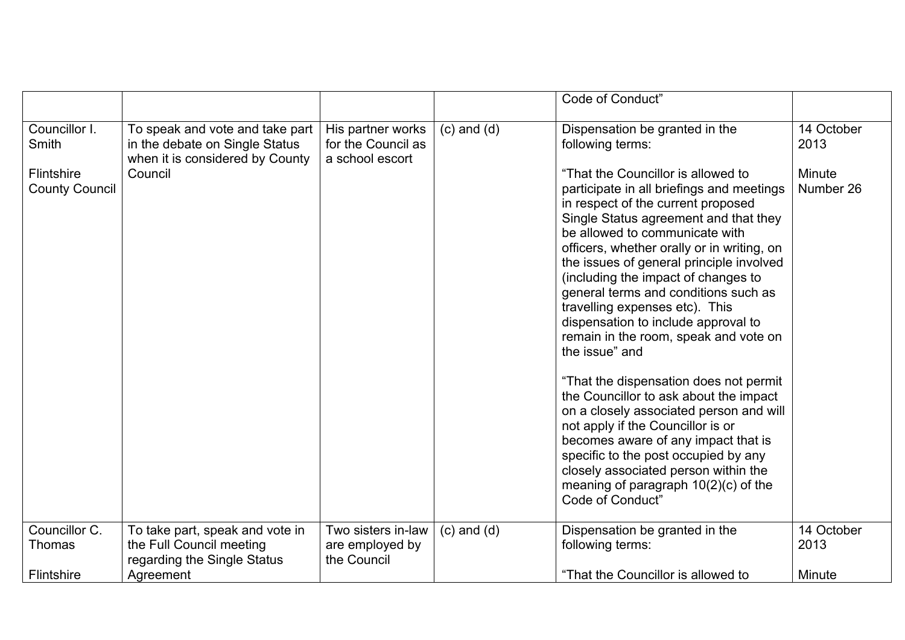|                                                               |                                                                                                                 |                                                            |                 | Code of Conduct"                                                                                                                                                                                                                                                                                                                                                                                                                                                                                                                                                                                                                                                                                                                                                                                                                                                                                                             |                                           |
|---------------------------------------------------------------|-----------------------------------------------------------------------------------------------------------------|------------------------------------------------------------|-----------------|------------------------------------------------------------------------------------------------------------------------------------------------------------------------------------------------------------------------------------------------------------------------------------------------------------------------------------------------------------------------------------------------------------------------------------------------------------------------------------------------------------------------------------------------------------------------------------------------------------------------------------------------------------------------------------------------------------------------------------------------------------------------------------------------------------------------------------------------------------------------------------------------------------------------------|-------------------------------------------|
| Councillor I.<br>Smith<br>Flintshire<br><b>County Council</b> | To speak and vote and take part<br>in the debate on Single Status<br>when it is considered by County<br>Council | His partner works<br>for the Council as<br>a school escort | $(c)$ and $(d)$ | Dispensation be granted in the<br>following terms:<br>"That the Councillor is allowed to<br>participate in all briefings and meetings<br>in respect of the current proposed<br>Single Status agreement and that they<br>be allowed to communicate with<br>officers, whether orally or in writing, on<br>the issues of general principle involved<br>(including the impact of changes to<br>general terms and conditions such as<br>travelling expenses etc). This<br>dispensation to include approval to<br>remain in the room, speak and vote on<br>the issue" and<br>"That the dispensation does not permit<br>the Councillor to ask about the impact<br>on a closely associated person and will<br>not apply if the Councillor is or<br>becomes aware of any impact that is<br>specific to the post occupied by any<br>closely associated person within the<br>meaning of paragraph $10(2)(c)$ of the<br>Code of Conduct' | 14 October<br>2013<br>Minute<br>Number 26 |
| Councillor C.<br><b>Thomas</b><br>Flintshire                  | To take part, speak and vote in<br>the Full Council meeting<br>regarding the Single Status<br>Agreement         | Two sisters in-law<br>are employed by<br>the Council       | $(c)$ and $(d)$ | Dispensation be granted in the<br>following terms:<br>"That the Councillor is allowed to                                                                                                                                                                                                                                                                                                                                                                                                                                                                                                                                                                                                                                                                                                                                                                                                                                     | 14 October<br>2013<br>Minute              |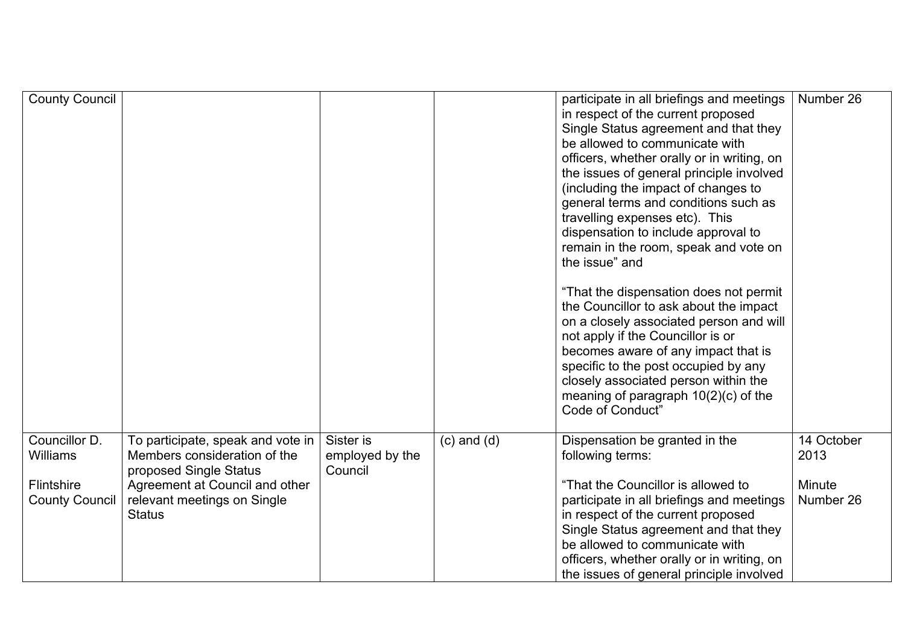| <b>County Council</b>                                                          |                                                                                                                                                                               |                                         |                 | participate in all briefings and meetings<br>in respect of the current proposed<br>Single Status agreement and that they<br>be allowed to communicate with<br>officers, whether orally or in writing, on<br>the issues of general principle involved<br>(including the impact of changes to<br>general terms and conditions such as<br>travelling expenses etc). This<br>dispensation to include approval to<br>remain in the room, speak and vote on<br>the issue" and<br>"That the dispensation does not permit<br>the Councillor to ask about the impact<br>on a closely associated person and will<br>not apply if the Councillor is or<br>becomes aware of any impact that is<br>specific to the post occupied by any<br>closely associated person within the<br>meaning of paragraph $10(2)(c)$ of the<br>Code of Conduct" | Number 26                                 |
|--------------------------------------------------------------------------------|-------------------------------------------------------------------------------------------------------------------------------------------------------------------------------|-----------------------------------------|-----------------|----------------------------------------------------------------------------------------------------------------------------------------------------------------------------------------------------------------------------------------------------------------------------------------------------------------------------------------------------------------------------------------------------------------------------------------------------------------------------------------------------------------------------------------------------------------------------------------------------------------------------------------------------------------------------------------------------------------------------------------------------------------------------------------------------------------------------------|-------------------------------------------|
| Councillor D.<br><b>Williams</b><br><b>Flintshire</b><br><b>County Council</b> | To participate, speak and vote in<br>Members consideration of the<br>proposed Single Status<br>Agreement at Council and other<br>relevant meetings on Single<br><b>Status</b> | Sister is<br>employed by the<br>Council | $(c)$ and $(d)$ | Dispensation be granted in the<br>following terms:<br>"That the Councillor is allowed to<br>participate in all briefings and meetings<br>in respect of the current proposed<br>Single Status agreement and that they<br>be allowed to communicate with<br>officers, whether orally or in writing, on<br>the issues of general principle involved                                                                                                                                                                                                                                                                                                                                                                                                                                                                                 | 14 October<br>2013<br>Minute<br>Number 26 |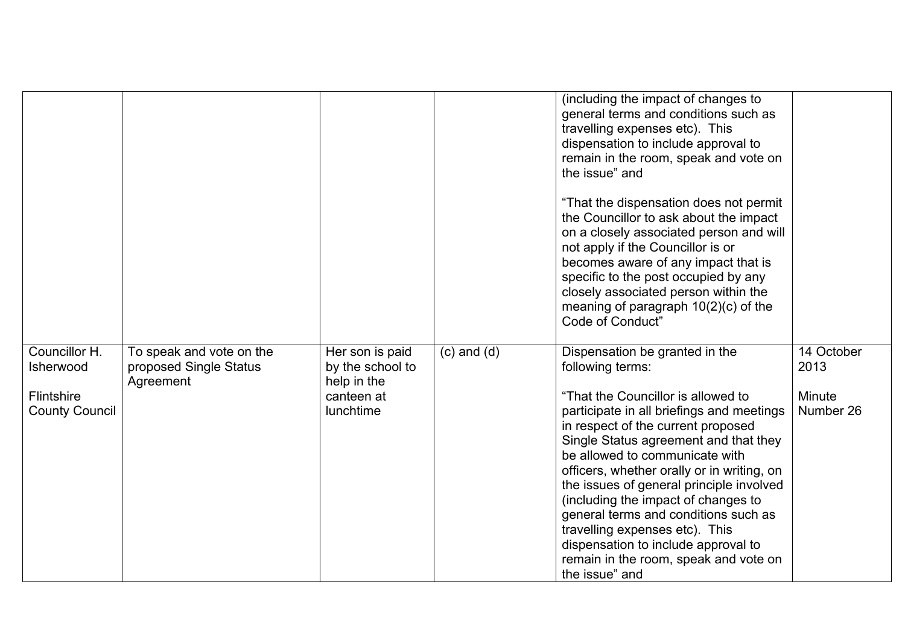|                                            |                                                                 |                                                    |                 | (including the impact of changes to<br>general terms and conditions such as<br>travelling expenses etc). This<br>dispensation to include approval to<br>remain in the room, speak and vote on<br>the issue" and                                                                                                                                                                                                                                                                                               |                     |
|--------------------------------------------|-----------------------------------------------------------------|----------------------------------------------------|-----------------|---------------------------------------------------------------------------------------------------------------------------------------------------------------------------------------------------------------------------------------------------------------------------------------------------------------------------------------------------------------------------------------------------------------------------------------------------------------------------------------------------------------|---------------------|
|                                            |                                                                 |                                                    |                 | "That the dispensation does not permit<br>the Councillor to ask about the impact<br>on a closely associated person and will<br>not apply if the Councillor is or<br>becomes aware of any impact that is<br>specific to the post occupied by any<br>closely associated person within the<br>meaning of paragraph $10(2)(c)$ of the<br>Code of Conduct"                                                                                                                                                         |                     |
| Councillor H.<br>Isherwood                 | To speak and vote on the<br>proposed Single Status<br>Agreement | Her son is paid<br>by the school to<br>help in the | $(c)$ and $(d)$ | Dispensation be granted in the<br>following terms:                                                                                                                                                                                                                                                                                                                                                                                                                                                            | 14 October<br>2013  |
| <b>Flintshire</b><br><b>County Council</b> |                                                                 | canteen at<br>lunchtime                            |                 | "That the Councillor is allowed to<br>participate in all briefings and meetings<br>in respect of the current proposed<br>Single Status agreement and that they<br>be allowed to communicate with<br>officers, whether orally or in writing, on<br>the issues of general principle involved<br>(including the impact of changes to<br>general terms and conditions such as<br>travelling expenses etc). This<br>dispensation to include approval to<br>remain in the room, speak and vote on<br>the issue" and | Minute<br>Number 26 |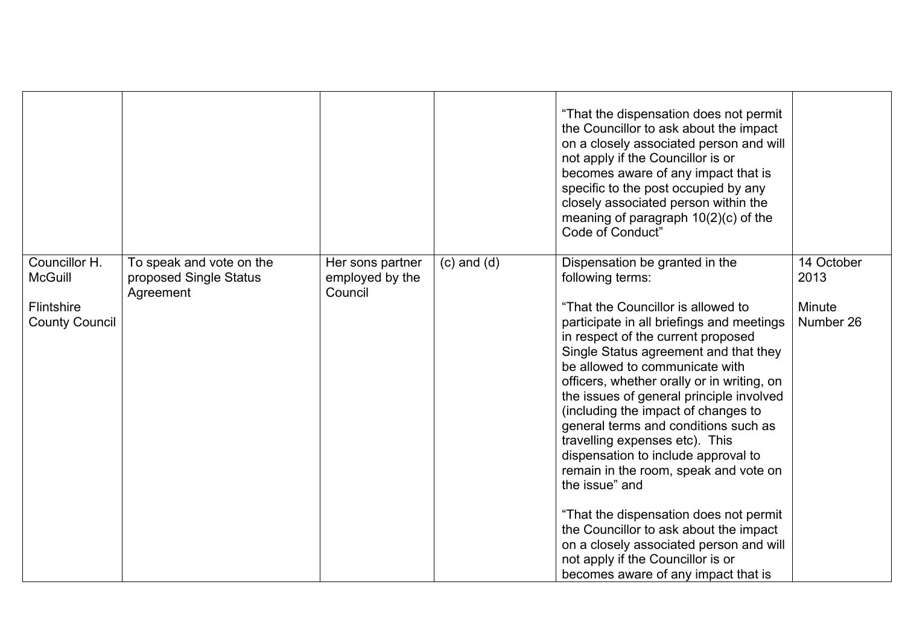|                                                                        |                                                                 |                                                |                 | "That the dispensation does not permit<br>the Councillor to ask about the impact<br>on a closely associated person and will<br>not apply if the Councillor is or<br>becomes aware of any impact that is<br>specific to the post occupied by any<br>closely associated person within the<br>meaning of paragraph 10(2)(c) of the<br>Code of Conduct"                                                                                                                                                                                                                                                                                                                                                                                                                            |                                           |
|------------------------------------------------------------------------|-----------------------------------------------------------------|------------------------------------------------|-----------------|--------------------------------------------------------------------------------------------------------------------------------------------------------------------------------------------------------------------------------------------------------------------------------------------------------------------------------------------------------------------------------------------------------------------------------------------------------------------------------------------------------------------------------------------------------------------------------------------------------------------------------------------------------------------------------------------------------------------------------------------------------------------------------|-------------------------------------------|
| Councillor H.<br><b>McGuill</b><br>Flintshire<br><b>County Council</b> | To speak and vote on the<br>proposed Single Status<br>Agreement | Her sons partner<br>employed by the<br>Council | $(c)$ and $(d)$ | Dispensation be granted in the<br>following terms:<br>"That the Councillor is allowed to<br>participate in all briefings and meetings<br>in respect of the current proposed<br>Single Status agreement and that they<br>be allowed to communicate with<br>officers, whether orally or in writing, on<br>the issues of general principle involved<br>(including the impact of changes to<br>general terms and conditions such as<br>travelling expenses etc). This<br>dispensation to include approval to<br>remain in the room, speak and vote on<br>the issue" and<br>"That the dispensation does not permit<br>the Councillor to ask about the impact<br>on a closely associated person and will<br>not apply if the Councillor is or<br>becomes aware of any impact that is | 14 October<br>2013<br>Minute<br>Number 26 |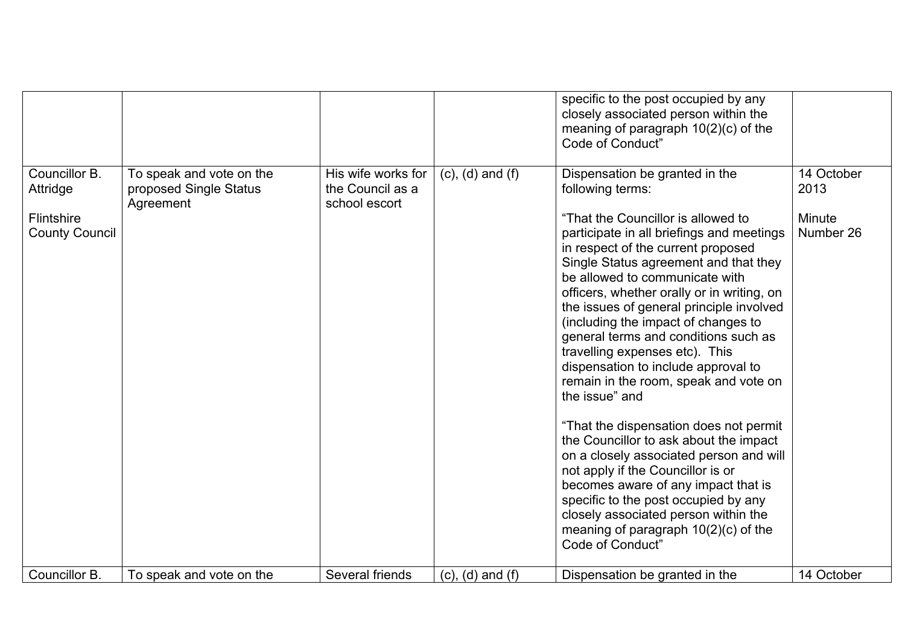|                                                                                          |                                                                                             |                                                                            |                                                    | specific to the post occupied by any<br>closely associated person within the<br>meaning of paragraph $10(2)(c)$ of the<br>Code of Conduct"                                                                                                                                                                                                                                                                                                                                                                                                                                                                                                                                                                                                                                                                                                                                                                                                                     |                                                         |
|------------------------------------------------------------------------------------------|---------------------------------------------------------------------------------------------|----------------------------------------------------------------------------|----------------------------------------------------|----------------------------------------------------------------------------------------------------------------------------------------------------------------------------------------------------------------------------------------------------------------------------------------------------------------------------------------------------------------------------------------------------------------------------------------------------------------------------------------------------------------------------------------------------------------------------------------------------------------------------------------------------------------------------------------------------------------------------------------------------------------------------------------------------------------------------------------------------------------------------------------------------------------------------------------------------------------|---------------------------------------------------------|
| Councillor B.<br>Attridge<br><b>Flintshire</b><br><b>County Council</b><br>Councillor B. | To speak and vote on the<br>proposed Single Status<br>Agreement<br>To speak and vote on the | His wife works for<br>the Council as a<br>school escort<br>Several friends | $(c)$ , $(d)$ and $(f)$<br>$(c)$ , $(d)$ and $(f)$ | Dispensation be granted in the<br>following terms:<br>"That the Councillor is allowed to<br>participate in all briefings and meetings<br>in respect of the current proposed<br>Single Status agreement and that they<br>be allowed to communicate with<br>officers, whether orally or in writing, on<br>the issues of general principle involved<br>(including the impact of changes to<br>general terms and conditions such as<br>travelling expenses etc). This<br>dispensation to include approval to<br>remain in the room, speak and vote on<br>the issue" and<br>"That the dispensation does not permit<br>the Councillor to ask about the impact<br>on a closely associated person and will<br>not apply if the Councillor is or<br>becomes aware of any impact that is<br>specific to the post occupied by any<br>closely associated person within the<br>meaning of paragraph $10(2)(c)$ of the<br>Code of Conduct"<br>Dispensation be granted in the | 14 October<br>2013<br>Minute<br>Number 26<br>14 October |
|                                                                                          |                                                                                             |                                                                            |                                                    |                                                                                                                                                                                                                                                                                                                                                                                                                                                                                                                                                                                                                                                                                                                                                                                                                                                                                                                                                                |                                                         |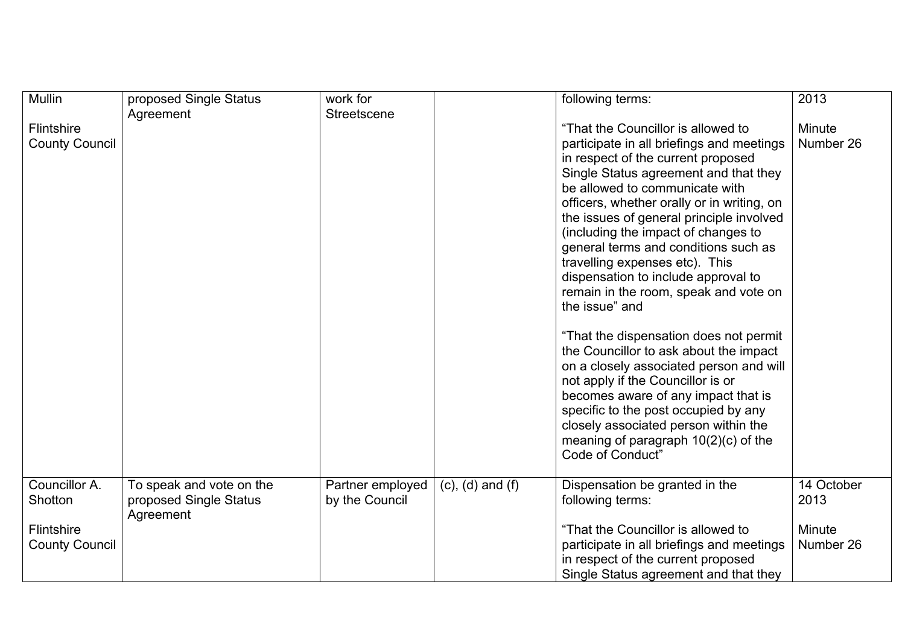| Mullin                                                                 | proposed Single Status                                          | work for                           |                         | following terms:                                                                                                                                                                                                                                                                                                                                                                                                                                                                                                                                                                                                                                                                                                                                                                                                                                                       | 2013                                      |
|------------------------------------------------------------------------|-----------------------------------------------------------------|------------------------------------|-------------------------|------------------------------------------------------------------------------------------------------------------------------------------------------------------------------------------------------------------------------------------------------------------------------------------------------------------------------------------------------------------------------------------------------------------------------------------------------------------------------------------------------------------------------------------------------------------------------------------------------------------------------------------------------------------------------------------------------------------------------------------------------------------------------------------------------------------------------------------------------------------------|-------------------------------------------|
| <b>Flintshire</b><br><b>County Council</b>                             | Agreement                                                       | Streetscene                        |                         | "That the Councillor is allowed to<br>participate in all briefings and meetings<br>in respect of the current proposed<br>Single Status agreement and that they<br>be allowed to communicate with<br>officers, whether orally or in writing, on<br>the issues of general principle involved<br>(including the impact of changes to<br>general terms and conditions such as<br>travelling expenses etc). This<br>dispensation to include approval to<br>remain in the room, speak and vote on<br>the issue" and<br>"That the dispensation does not permit<br>the Councillor to ask about the impact<br>on a closely associated person and will<br>not apply if the Councillor is or<br>becomes aware of any impact that is<br>specific to the post occupied by any<br>closely associated person within the<br>meaning of paragraph $10(2)(c)$ of the<br>Code of Conduct" | Minute<br>Number 26                       |
| Councillor A.<br>Shotton<br><b>Flintshire</b><br><b>County Council</b> | To speak and vote on the<br>proposed Single Status<br>Agreement | Partner employed<br>by the Council | $(c)$ , $(d)$ and $(f)$ | Dispensation be granted in the<br>following terms:<br>"That the Councillor is allowed to<br>participate in all briefings and meetings<br>in respect of the current proposed<br>Single Status agreement and that they                                                                                                                                                                                                                                                                                                                                                                                                                                                                                                                                                                                                                                                   | 14 October<br>2013<br>Minute<br>Number 26 |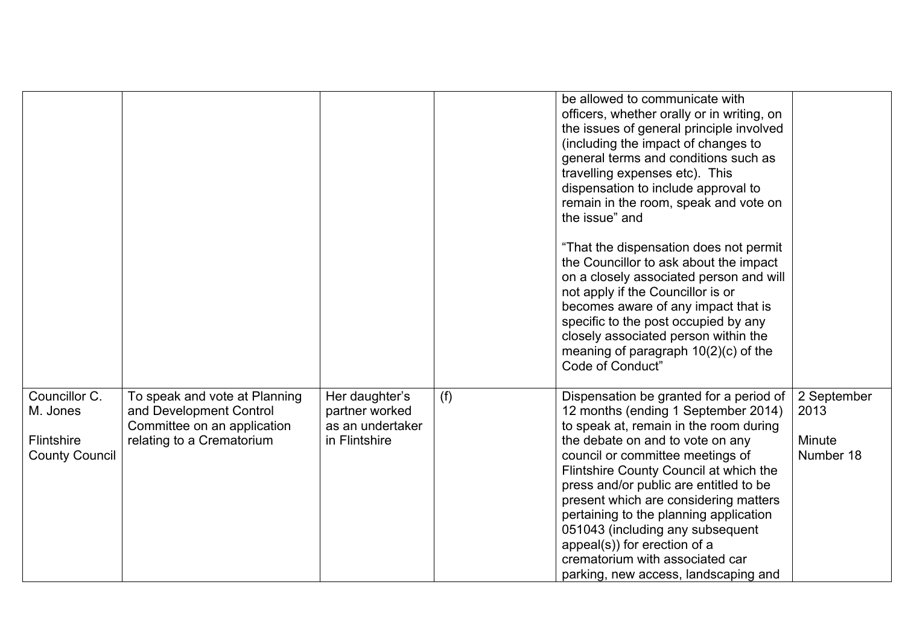|                                                                  |                                                                                                                      |                                                                       |     | be allowed to communicate with<br>officers, whether orally or in writing, on<br>the issues of general principle involved<br>(including the impact of changes to<br>general terms and conditions such as<br>travelling expenses etc). This<br>dispensation to include approval to<br>remain in the room, speak and vote on<br>the issue" and                                                                                                                                                                            |                                            |
|------------------------------------------------------------------|----------------------------------------------------------------------------------------------------------------------|-----------------------------------------------------------------------|-----|------------------------------------------------------------------------------------------------------------------------------------------------------------------------------------------------------------------------------------------------------------------------------------------------------------------------------------------------------------------------------------------------------------------------------------------------------------------------------------------------------------------------|--------------------------------------------|
|                                                                  |                                                                                                                      |                                                                       |     | "That the dispensation does not permit<br>the Councillor to ask about the impact<br>on a closely associated person and will<br>not apply if the Councillor is or<br>becomes aware of any impact that is<br>specific to the post occupied by any<br>closely associated person within the<br>meaning of paragraph $10(2)(c)$ of the<br>Code of Conduct"                                                                                                                                                                  |                                            |
| Councillor C.<br>M. Jones<br>Flintshire<br><b>County Council</b> | To speak and vote at Planning<br>and Development Control<br>Committee on an application<br>relating to a Crematorium | Her daughter's<br>partner worked<br>as an undertaker<br>in Flintshire | (f) | Dispensation be granted for a period of<br>12 months (ending 1 September 2014)<br>to speak at, remain in the room during<br>the debate on and to vote on any<br>council or committee meetings of<br>Flintshire County Council at which the<br>press and/or public are entitled to be<br>present which are considering matters<br>pertaining to the planning application<br>051043 (including any subsequent<br>appeal(s)) for erection of a<br>crematorium with associated car<br>parking, new access, landscaping and | 2 September<br>2013<br>Minute<br>Number 18 |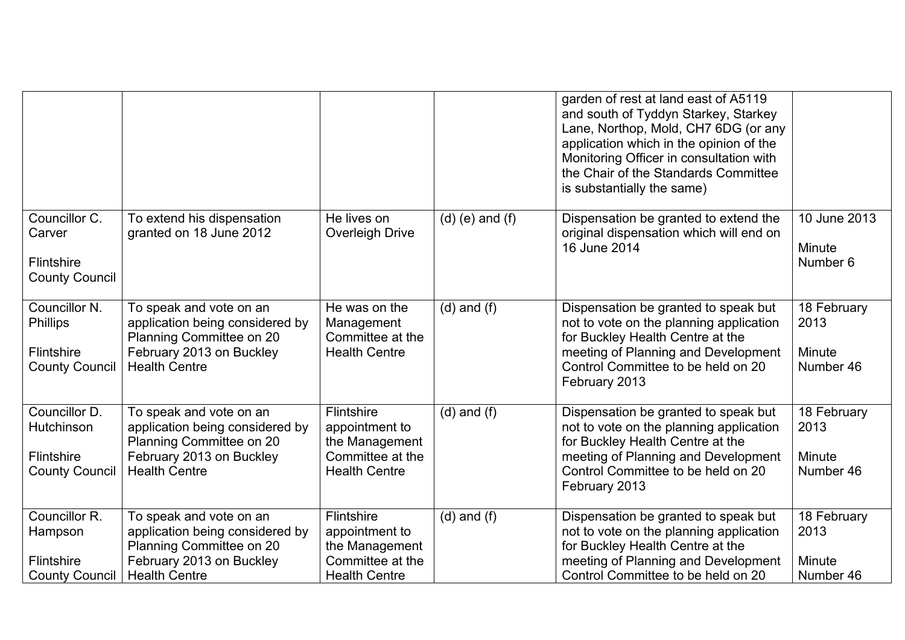|                                                                                |                                                                                                                                            |                                                                                            |                     | garden of rest at land east of A5119<br>and south of Tyddyn Starkey, Starkey<br>Lane, Northop, Mold, CH7 6DG (or any<br>application which in the opinion of the<br>Monitoring Officer in consultation with<br>the Chair of the Standards Committee<br>is substantially the same) |                                            |
|--------------------------------------------------------------------------------|--------------------------------------------------------------------------------------------------------------------------------------------|--------------------------------------------------------------------------------------------|---------------------|----------------------------------------------------------------------------------------------------------------------------------------------------------------------------------------------------------------------------------------------------------------------------------|--------------------------------------------|
| Councillor C.<br>Carver<br>Flintshire<br><b>County Council</b>                 | To extend his dispensation<br>granted on 18 June 2012                                                                                      | He lives on<br>Overleigh Drive                                                             | $(d)$ (e) and $(f)$ | Dispensation be granted to extend the<br>original dispensation which will end on<br>16 June 2014                                                                                                                                                                                 | 10 June 2013<br>Minute<br>Number 6         |
| Councillor N.<br><b>Phillips</b><br><b>Flintshire</b><br><b>County Council</b> | To speak and vote on an<br>application being considered by<br>Planning Committee on 20<br>February 2013 on Buckley<br><b>Health Centre</b> | He was on the<br>Management<br>Committee at the<br><b>Health Centre</b>                    | $(d)$ and $(f)$     | Dispensation be granted to speak but<br>not to vote on the planning application<br>for Buckley Health Centre at the<br>meeting of Planning and Development<br>Control Committee to be held on 20<br>February 2013                                                                | 18 February<br>2013<br>Minute<br>Number 46 |
| Councillor D.<br>Hutchinson<br><b>Flintshire</b><br><b>County Council</b>      | To speak and vote on an<br>application being considered by<br>Planning Committee on 20<br>February 2013 on Buckley<br><b>Health Centre</b> | Flintshire<br>appointment to<br>the Management<br>Committee at the<br><b>Health Centre</b> | $(d)$ and $(f)$     | Dispensation be granted to speak but<br>not to vote on the planning application<br>for Buckley Health Centre at the<br>meeting of Planning and Development<br>Control Committee to be held on 20<br>February 2013                                                                | 18 February<br>2013<br>Minute<br>Number 46 |
| Councillor R.<br>Hampson<br>Flintshire<br><b>County Council</b>                | To speak and vote on an<br>application being considered by<br>Planning Committee on 20<br>February 2013 on Buckley<br><b>Health Centre</b> | Flintshire<br>appointment to<br>the Management<br>Committee at the<br><b>Health Centre</b> | $(d)$ and $(f)$     | Dispensation be granted to speak but<br>not to vote on the planning application<br>for Buckley Health Centre at the<br>meeting of Planning and Development<br>Control Committee to be held on 20                                                                                 | 18 February<br>2013<br>Minute<br>Number 46 |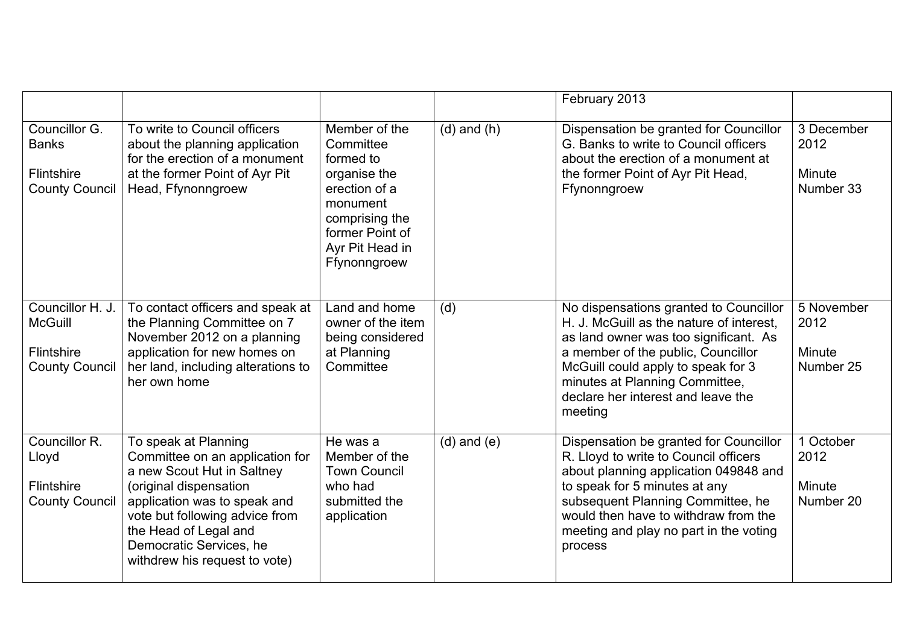|                                                                                  |                                                                                                                                                                                                                                                                        |                                                                                                                                                              |                 | February 2013                                                                                                                                                                                                                                                                               |                                           |
|----------------------------------------------------------------------------------|------------------------------------------------------------------------------------------------------------------------------------------------------------------------------------------------------------------------------------------------------------------------|--------------------------------------------------------------------------------------------------------------------------------------------------------------|-----------------|---------------------------------------------------------------------------------------------------------------------------------------------------------------------------------------------------------------------------------------------------------------------------------------------|-------------------------------------------|
| Councillor G.<br><b>Banks</b><br><b>Flintshire</b><br><b>County Council</b>      | To write to Council officers<br>about the planning application<br>for the erection of a monument<br>at the former Point of Ayr Pit<br>Head, Ffynonngroew                                                                                                               | Member of the<br>Committee<br>formed to<br>organise the<br>erection of a<br>monument<br>comprising the<br>former Point of<br>Ayr Pit Head in<br>Ffynonngroew | $(d)$ and $(h)$ | Dispensation be granted for Councillor<br>G. Banks to write to Council officers<br>about the erection of a monument at<br>the former Point of Ayr Pit Head,<br>Ffynonngroew                                                                                                                 | 3 December<br>2012<br>Minute<br>Number 33 |
| Councillor H. J.<br><b>McGuill</b><br><b>Flintshire</b><br><b>County Council</b> | To contact officers and speak at<br>the Planning Committee on 7<br>November 2012 on a planning<br>application for new homes on<br>her land, including alterations to<br>her own home                                                                                   | Land and home<br>owner of the item<br>being considered<br>at Planning<br>Committee                                                                           | (d)             | No dispensations granted to Councillor<br>H. J. McGuill as the nature of interest,<br>as land owner was too significant. As<br>a member of the public, Councillor<br>McGuill could apply to speak for 3<br>minutes at Planning Committee,<br>declare her interest and leave the<br>meeting  | 5 November<br>2012<br>Minute<br>Number 25 |
| Councillor R.<br>Lloyd<br>Flintshire<br><b>County Council</b>                    | To speak at Planning<br>Committee on an application for<br>a new Scout Hut in Saltney<br>(original dispensation<br>application was to speak and<br>vote but following advice from<br>the Head of Legal and<br>Democratic Services, he<br>withdrew his request to vote) | He was a<br>Member of the<br><b>Town Council</b><br>who had<br>submitted the<br>application                                                                  | $(d)$ and $(e)$ | Dispensation be granted for Councillor<br>R. Lloyd to write to Council officers<br>about planning application 049848 and<br>to speak for 5 minutes at any<br>subsequent Planning Committee, he<br>would then have to withdraw from the<br>meeting and play no part in the voting<br>process | 1 October<br>2012<br>Minute<br>Number 20  |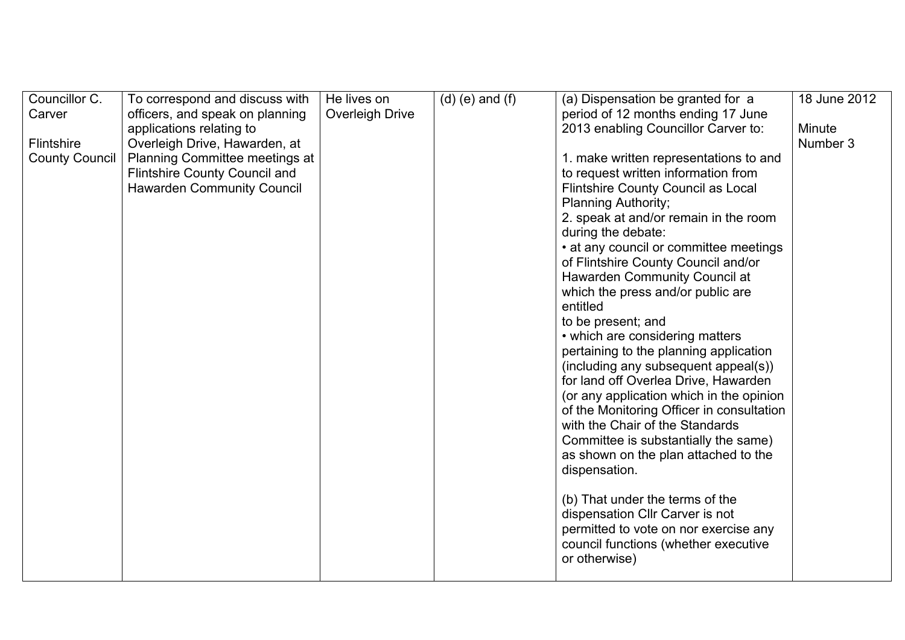| Councillor C.         | To correspond and discuss with        | He lives on     | $(d)$ (e) and $(f)$ | (a) Dispensation be granted for a         | 18 June 2012 |
|-----------------------|---------------------------------------|-----------------|---------------------|-------------------------------------------|--------------|
| Carver                | officers, and speak on planning       | Overleigh Drive |                     | period of 12 months ending 17 June        |              |
|                       | applications relating to              |                 |                     | 2013 enabling Councillor Carver to:       | Minute       |
| <b>Flintshire</b>     | Overleigh Drive, Hawarden, at         |                 |                     |                                           | Number 3     |
| <b>County Council</b> | <b>Planning Committee meetings at</b> |                 |                     | 1. make written representations to and    |              |
|                       | <b>Flintshire County Council and</b>  |                 |                     | to request written information from       |              |
|                       | <b>Hawarden Community Council</b>     |                 |                     | Flintshire County Council as Local        |              |
|                       |                                       |                 |                     | <b>Planning Authority;</b>                |              |
|                       |                                       |                 |                     | 2. speak at and/or remain in the room     |              |
|                       |                                       |                 |                     | during the debate:                        |              |
|                       |                                       |                 |                     | • at any council or committee meetings    |              |
|                       |                                       |                 |                     | of Flintshire County Council and/or       |              |
|                       |                                       |                 |                     | Hawarden Community Council at             |              |
|                       |                                       |                 |                     | which the press and/or public are         |              |
|                       |                                       |                 |                     | entitled                                  |              |
|                       |                                       |                 |                     | to be present; and                        |              |
|                       |                                       |                 |                     | • which are considering matters           |              |
|                       |                                       |                 |                     | pertaining to the planning application    |              |
|                       |                                       |                 |                     | (including any subsequent appeal(s))      |              |
|                       |                                       |                 |                     | for land off Overlea Drive, Hawarden      |              |
|                       |                                       |                 |                     | (or any application which in the opinion  |              |
|                       |                                       |                 |                     | of the Monitoring Officer in consultation |              |
|                       |                                       |                 |                     | with the Chair of the Standards           |              |
|                       |                                       |                 |                     | Committee is substantially the same)      |              |
|                       |                                       |                 |                     | as shown on the plan attached to the      |              |
|                       |                                       |                 |                     | dispensation.                             |              |
|                       |                                       |                 |                     |                                           |              |
|                       |                                       |                 |                     | (b) That under the terms of the           |              |
|                       |                                       |                 |                     | dispensation Cllr Carver is not           |              |
|                       |                                       |                 |                     | permitted to vote on nor exercise any     |              |
|                       |                                       |                 |                     | council functions (whether executive      |              |
|                       |                                       |                 |                     | or otherwise)                             |              |
|                       |                                       |                 |                     |                                           |              |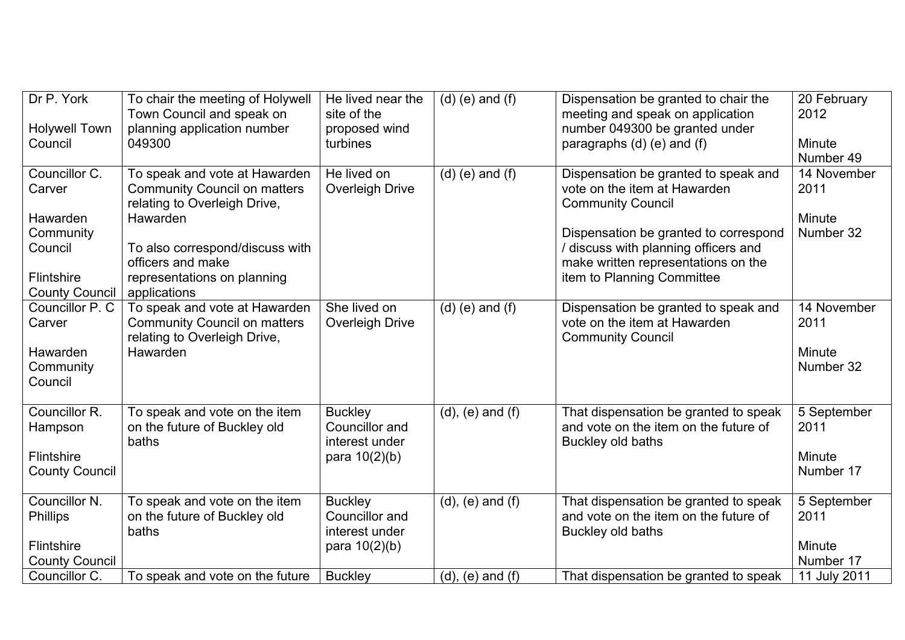| Dr P. York<br><b>Holywell Town</b><br>Council                                                             | To chair the meeting of Holywell<br>Town Council and speak on<br>planning application number<br>049300                                                                                                                  | He lived near the<br>site of the<br>proposed wind<br>turbines         | $(d)$ (e) and $(f)$     | Dispensation be granted to chair the<br>meeting and speak on application<br>number 049300 be granted under<br>paragraphs (d) (e) and (f)                                                                                                               | 20 February<br>2012<br>Minute<br>Number 49                 |
|-----------------------------------------------------------------------------------------------------------|-------------------------------------------------------------------------------------------------------------------------------------------------------------------------------------------------------------------------|-----------------------------------------------------------------------|-------------------------|--------------------------------------------------------------------------------------------------------------------------------------------------------------------------------------------------------------------------------------------------------|------------------------------------------------------------|
| Councillor C.<br>Carver<br>Hawarden<br>Community<br>Council<br><b>Flintshire</b><br><b>County Council</b> | To speak and vote at Hawarden<br><b>Community Council on matters</b><br>relating to Overleigh Drive,<br>Hawarden<br>To also correspond/discuss with<br>officers and make<br>representations on planning<br>applications | He lived on<br>Overleigh Drive                                        | $(d)$ (e) and $(f)$     | Dispensation be granted to speak and<br>vote on the item at Hawarden<br><b>Community Council</b><br>Dispensation be granted to correspond<br>/ discuss with planning officers and<br>make written representations on the<br>item to Planning Committee | 14 November<br>2011<br>Minute<br>Number 32                 |
| Councillor P. C<br>Carver<br>Hawarden<br>Community<br>Council                                             | To speak and vote at Hawarden<br><b>Community Council on matters</b><br>relating to Overleigh Drive,<br>Hawarden                                                                                                        | She lived on<br>Overleigh Drive                                       | $(d)$ (e) and $(f)$     | Dispensation be granted to speak and<br>vote on the item at Hawarden<br><b>Community Council</b>                                                                                                                                                       | 14 November<br>2011<br>Minute<br>Number 32                 |
| Councillor R.<br>Hampson<br>Flintshire<br><b>County Council</b>                                           | To speak and vote on the item<br>on the future of Buckley old<br>baths                                                                                                                                                  | <b>Buckley</b><br>Councillor and<br>interest under<br>para $10(2)(b)$ | $(d)$ , $(e)$ and $(f)$ | That dispensation be granted to speak<br>and vote on the item on the future of<br>Buckley old baths                                                                                                                                                    | 5 September<br>2011<br>Minute<br>Number 17                 |
| Councillor N.<br><b>Phillips</b><br><b>Flintshire</b><br><b>County Council</b><br>Councillor C.           | To speak and vote on the item<br>on the future of Buckley old<br>baths<br>To speak and vote on the future                                                                                                               | <b>Buckley</b><br>Councillor and<br>interest under<br>para $10(2)(b)$ | $(d)$ , $(e)$ and $(f)$ | That dispensation be granted to speak<br>and vote on the item on the future of<br>Buckley old baths<br>That dispensation be granted to speak                                                                                                           | 5 September<br>2011<br>Minute<br>Number 17<br>11 July 2011 |
|                                                                                                           |                                                                                                                                                                                                                         | <b>Buckley</b>                                                        | $(d)$ , $(e)$ and $(f)$ |                                                                                                                                                                                                                                                        |                                                            |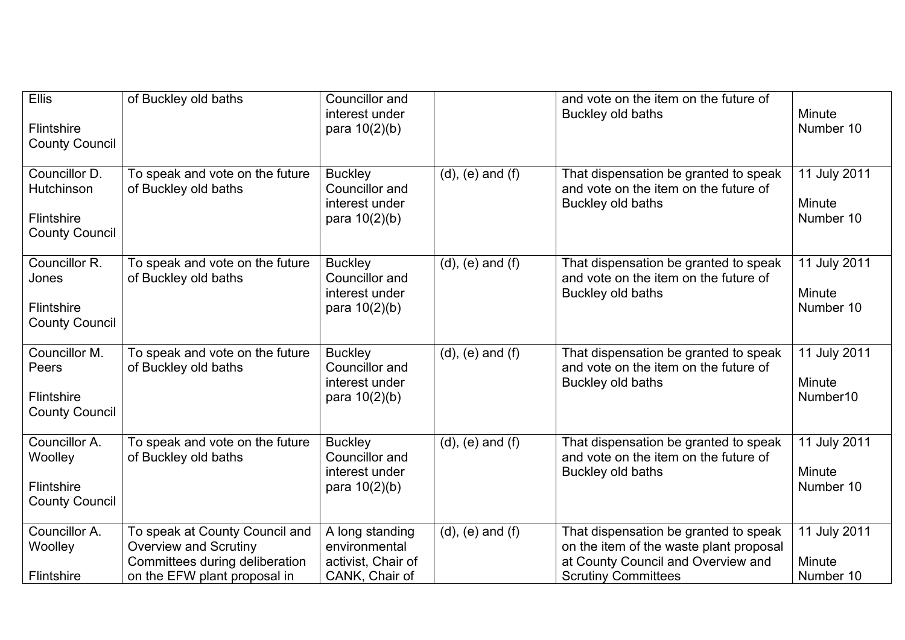| <b>Ellis</b><br>Flintshire<br><b>County Council</b>                  | of Buckley old baths                                                                                                             | Councillor and<br>interest under<br>para $10(2)(b)$                      |                         | and vote on the item on the future of<br>Buckley old baths                                                                                           | <b>Minute</b><br>Number 10                     |
|----------------------------------------------------------------------|----------------------------------------------------------------------------------------------------------------------------------|--------------------------------------------------------------------------|-------------------------|------------------------------------------------------------------------------------------------------------------------------------------------------|------------------------------------------------|
| Councillor D.<br>Hutchinson<br>Flintshire<br><b>County Council</b>   | To speak and vote on the future<br>of Buckley old baths                                                                          | <b>Buckley</b><br>Councillor and<br>interest under<br>para $10(2)(b)$    | $(d)$ , $(e)$ and $(f)$ | That dispensation be granted to speak<br>and vote on the item on the future of<br>Buckley old baths                                                  | 11 July 2011<br><b>Minute</b><br>Number 10     |
| Councillor R.<br>Jones<br><b>Flintshire</b><br><b>County Council</b> | To speak and vote on the future<br>of Buckley old baths                                                                          | <b>Buckley</b><br>Councillor and<br>interest under<br>para $10(2)(b)$    | $(d)$ , $(e)$ and $(f)$ | That dispensation be granted to speak<br>and vote on the item on the future of<br>Buckley old baths                                                  | 11 July 2011<br>Minute<br>Number 10            |
| Councillor M.<br>Peers<br>Flintshire<br><b>County Council</b>        | To speak and vote on the future<br>of Buckley old baths                                                                          | <b>Buckley</b><br>Councillor and<br>interest under<br>para $10(2)(b)$    | $(d)$ , $(e)$ and $(f)$ | That dispensation be granted to speak<br>and vote on the item on the future of<br>Buckley old baths                                                  | 11 July 2011<br>Minute<br>Number <sub>10</sub> |
| Councillor A.<br>Woolley<br>Flintshire<br><b>County Council</b>      | To speak and vote on the future<br>of Buckley old baths                                                                          | <b>Buckley</b><br>Councillor and<br>interest under<br>para $10(2)(b)$    | $(d)$ , $(e)$ and $(f)$ | That dispensation be granted to speak<br>and vote on the item on the future of<br>Buckley old baths                                                  | 11 July 2011<br>Minute<br>Number 10            |
| Councillor A.<br>Woolley<br>Flintshire                               | To speak at County Council and<br><b>Overview and Scrutiny</b><br>Committees during deliberation<br>on the EFW plant proposal in | A long standing<br>environmental<br>activist, Chair of<br>CANK, Chair of | $(d)$ , $(e)$ and $(f)$ | That dispensation be granted to speak<br>on the item of the waste plant proposal<br>at County Council and Overview and<br><b>Scrutiny Committees</b> | 11 July 2011<br>Minute<br>Number 10            |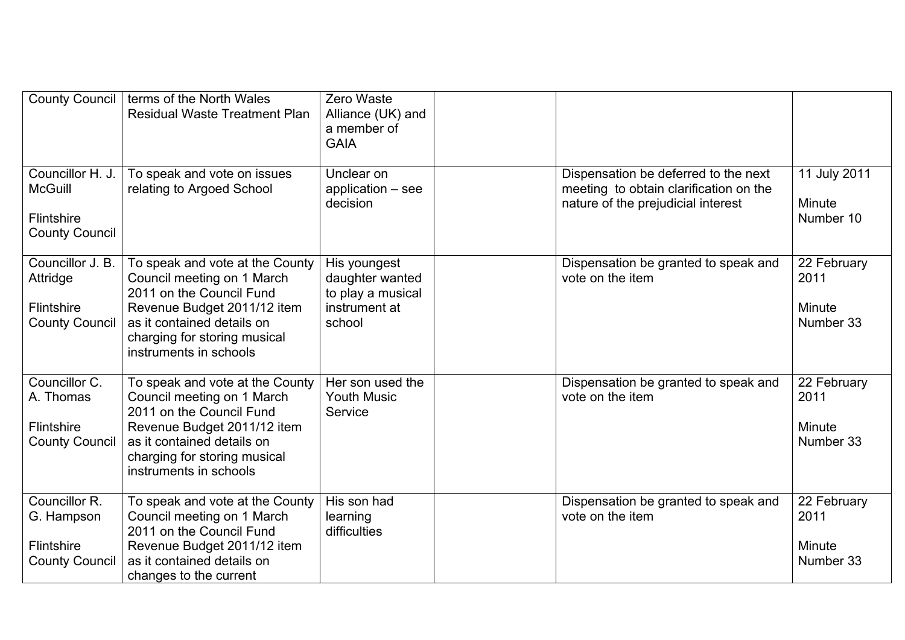| <b>County Council</b>                                                            | terms of the North Wales<br><b>Residual Waste Treatment Plan</b>                                                                                                                                                 | Zero Waste<br>Alliance (UK) and<br>a member of<br><b>GAIA</b>                   |                                                                                                                      |                                            |
|----------------------------------------------------------------------------------|------------------------------------------------------------------------------------------------------------------------------------------------------------------------------------------------------------------|---------------------------------------------------------------------------------|----------------------------------------------------------------------------------------------------------------------|--------------------------------------------|
| Councillor H. J.<br><b>McGuill</b><br><b>Flintshire</b><br><b>County Council</b> | To speak and vote on issues<br>relating to Argoed School                                                                                                                                                         | Unclear on<br>application - see<br>decision                                     | Dispensation be deferred to the next<br>meeting to obtain clarification on the<br>nature of the prejudicial interest | 11 July 2011<br>Minute<br>Number 10        |
| Councillor J. B.<br>Attridge<br><b>Flintshire</b><br><b>County Council</b>       | To speak and vote at the County<br>Council meeting on 1 March<br>2011 on the Council Fund<br>Revenue Budget 2011/12 item<br>as it contained details on<br>charging for storing musical<br>instruments in schools | His youngest<br>daughter wanted<br>to play a musical<br>instrument at<br>school | Dispensation be granted to speak and<br>vote on the item                                                             | 22 February<br>2011<br>Minute<br>Number 33 |
| Councillor C.<br>A. Thomas<br><b>Flintshire</b><br><b>County Council</b>         | To speak and vote at the County<br>Council meeting on 1 March<br>2011 on the Council Fund<br>Revenue Budget 2011/12 item<br>as it contained details on<br>charging for storing musical<br>instruments in schools | Her son used the<br><b>Youth Music</b><br>Service                               | Dispensation be granted to speak and<br>vote on the item                                                             | 22 February<br>2011<br>Minute<br>Number 33 |
| Councillor R.<br>G. Hampson<br><b>Flintshire</b><br><b>County Council</b>        | To speak and vote at the County<br>Council meeting on 1 March<br>2011 on the Council Fund<br>Revenue Budget 2011/12 item<br>as it contained details on<br>changes to the current                                 | His son had<br>learning<br>difficulties                                         | Dispensation be granted to speak and<br>vote on the item                                                             | 22 February<br>2011<br>Minute<br>Number 33 |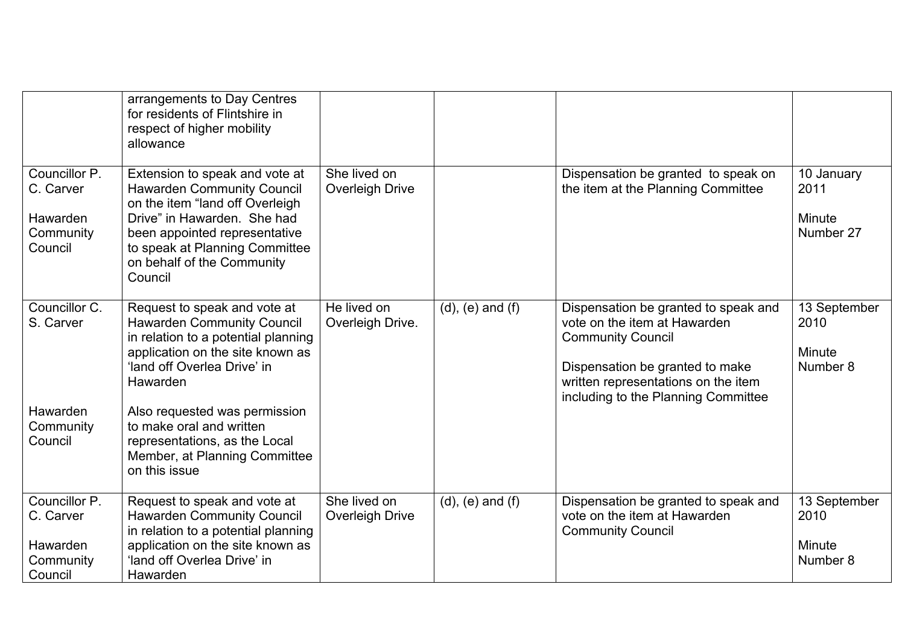|                                                                | arrangements to Day Centres<br>for residents of Flintshire in<br>respect of higher mobility<br>allowance                                                                                                                                          |                                 |                         |                                                                                                                                                                                                                   |                                            |
|----------------------------------------------------------------|---------------------------------------------------------------------------------------------------------------------------------------------------------------------------------------------------------------------------------------------------|---------------------------------|-------------------------|-------------------------------------------------------------------------------------------------------------------------------------------------------------------------------------------------------------------|--------------------------------------------|
| Councillor P.<br>C. Carver<br>Hawarden<br>Community<br>Council | Extension to speak and vote at<br><b>Hawarden Community Council</b><br>on the item "land off Overleigh<br>Drive" in Hawarden. She had<br>been appointed representative<br>to speak at Planning Committee<br>on behalf of the Community<br>Council | She lived on<br>Overleigh Drive |                         | Dispensation be granted to speak on<br>the item at the Planning Committee                                                                                                                                         | 10 January<br>2011<br>Minute<br>Number 27  |
| Councillor C.<br>S. Carver                                     | Request to speak and vote at<br><b>Hawarden Community Council</b><br>in relation to a potential planning<br>application on the site known as<br>'land off Overlea Drive' in<br>Hawarden                                                           | He lived on<br>Overleigh Drive. | $(d)$ , $(e)$ and $(f)$ | Dispensation be granted to speak and<br>vote on the item at Hawarden<br><b>Community Council</b><br>Dispensation be granted to make<br>written representations on the item<br>including to the Planning Committee | 13 September<br>2010<br>Minute<br>Number 8 |
| Hawarden<br>Community<br>Council                               | Also requested was permission<br>to make oral and written<br>representations, as the Local<br>Member, at Planning Committee<br>on this issue                                                                                                      |                                 |                         |                                                                                                                                                                                                                   |                                            |
| Councillor P.<br>C. Carver<br>Hawarden<br>Community<br>Council | Request to speak and vote at<br><b>Hawarden Community Council</b><br>in relation to a potential planning<br>application on the site known as<br>'land off Overlea Drive' in<br>Hawarden                                                           | She lived on<br>Overleigh Drive | $(d)$ , $(e)$ and $(f)$ | Dispensation be granted to speak and<br>vote on the item at Hawarden<br><b>Community Council</b>                                                                                                                  | 13 September<br>2010<br>Minute<br>Number 8 |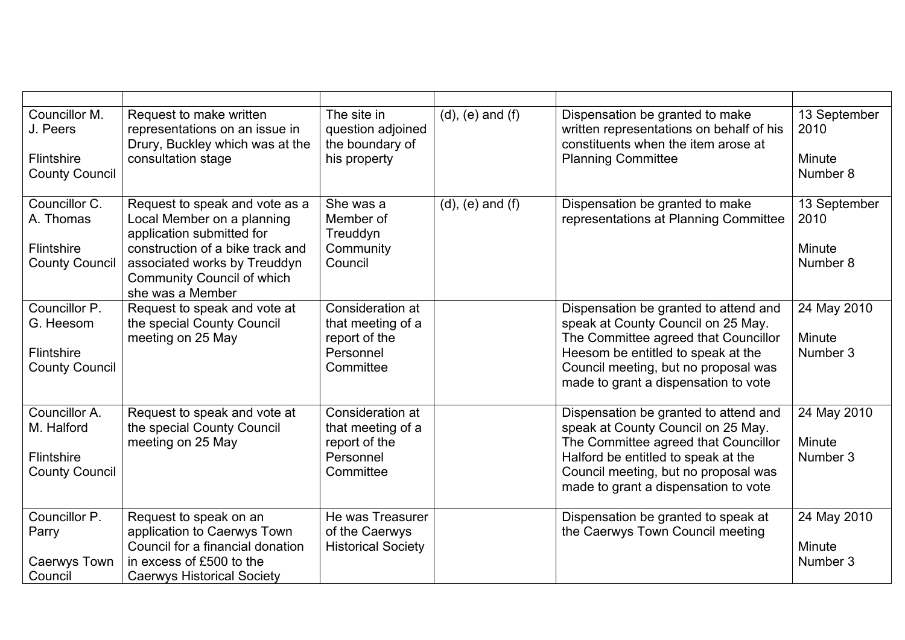| Councillor M.<br>J. Peers                  | Request to make written<br>representations on an issue in<br>Drury, Buckley which was at the                              | The site in<br>question adjoined<br>the boundary of             | $(d)$ , $(e)$ and $(f)$ | Dispensation be granted to make<br>written representations on behalf of his<br>constituents when the item arose at  | 13 September<br>2010  |
|--------------------------------------------|---------------------------------------------------------------------------------------------------------------------------|-----------------------------------------------------------------|-------------------------|---------------------------------------------------------------------------------------------------------------------|-----------------------|
| Flintshire<br><b>County Council</b>        | consultation stage                                                                                                        | his property                                                    |                         | <b>Planning Committee</b>                                                                                           | Minute<br>Number 8    |
| Councillor C.<br>A. Thomas                 | Request to speak and vote as a<br>Local Member on a planning<br>application submitted for                                 | She was a<br>Member of<br>Treuddyn                              | $(d)$ , $(e)$ and $(f)$ | Dispensation be granted to make<br>representations at Planning Committee                                            | 13 September<br>2010  |
| <b>Flintshire</b><br><b>County Council</b> | construction of a bike track and<br>associated works by Treuddyn<br><b>Community Council of which</b><br>she was a Member | Community<br>Council                                            |                         |                                                                                                                     | Minute<br>Number 8    |
| Councillor P.<br>G. Heesom                 | Request to speak and vote at<br>the special County Council<br>meeting on 25 May                                           | Consideration at<br>that meeting of a<br>report of the          |                         | Dispensation be granted to attend and<br>speak at County Council on 25 May.<br>The Committee agreed that Councillor | 24 May 2010<br>Minute |
| <b>Flintshire</b><br><b>County Council</b> |                                                                                                                           | Personnel<br>Committee                                          |                         | Heesom be entitled to speak at the<br>Council meeting, but no proposal was<br>made to grant a dispensation to vote  | Number 3              |
| Councillor A.<br>M. Halford                | Request to speak and vote at<br>the special County Council<br>meeting on 25 May                                           | Consideration at<br>that meeting of a<br>report of the          |                         | Dispensation be granted to attend and<br>speak at County Council on 25 May.<br>The Committee agreed that Councillor | 24 May 2010<br>Minute |
| <b>Flintshire</b><br><b>County Council</b> |                                                                                                                           | Personnel<br>Committee                                          |                         | Halford be entitled to speak at the<br>Council meeting, but no proposal was<br>made to grant a dispensation to vote | Number 3              |
| Councillor P.<br>Parry                     | Request to speak on an<br>application to Caerwys Town<br>Council for a financial donation                                 | He was Treasurer<br>of the Caerwys<br><b>Historical Society</b> |                         | Dispensation be granted to speak at<br>the Caerwys Town Council meeting                                             | 24 May 2010<br>Minute |
| Caerwys Town<br>Council                    | in excess of £500 to the<br><b>Caerwys Historical Society</b>                                                             |                                                                 |                         |                                                                                                                     | Number 3              |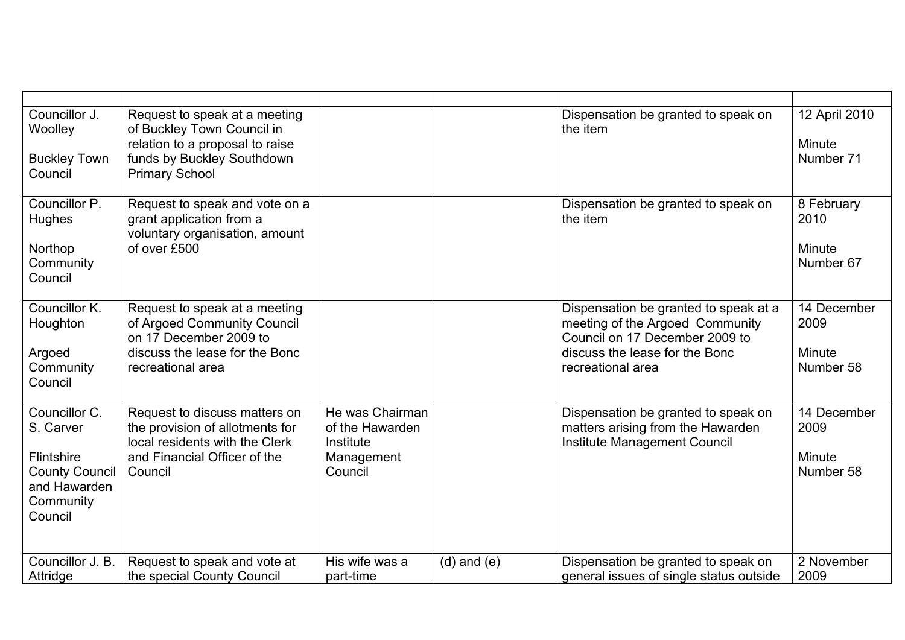| Councillor J.<br>Woolley<br><b>Buckley Town</b><br>Council                                                | Request to speak at a meeting<br>of Buckley Town Council in<br>relation to a proposal to raise<br>funds by Buckley Southdown<br><b>Primary School</b> |                                                                          |                 | Dispensation be granted to speak on<br>the item                                                                                                                   | 12 April 2010<br>Minute<br>Number 71       |
|-----------------------------------------------------------------------------------------------------------|-------------------------------------------------------------------------------------------------------------------------------------------------------|--------------------------------------------------------------------------|-----------------|-------------------------------------------------------------------------------------------------------------------------------------------------------------------|--------------------------------------------|
| Councillor P.<br>Hughes<br>Northop<br>Community<br>Council                                                | Request to speak and vote on a<br>grant application from a<br>voluntary organisation, amount<br>of over £500                                          |                                                                          |                 | Dispensation be granted to speak on<br>the item                                                                                                                   | 8 February<br>2010<br>Minute<br>Number 67  |
| Councillor K.<br>Houghton<br>Argoed<br>Community<br>Council                                               | Request to speak at a meeting<br>of Argoed Community Council<br>on 17 December 2009 to<br>discuss the lease for the Bonc<br>recreational area         |                                                                          |                 | Dispensation be granted to speak at a<br>meeting of the Argoed Community<br>Council on 17 December 2009 to<br>discuss the lease for the Bonc<br>recreational area | 14 December<br>2009<br>Minute<br>Number 58 |
| Councillor C.<br>S. Carver<br>Flintshire<br><b>County Council</b><br>and Hawarden<br>Community<br>Council | Request to discuss matters on<br>the provision of allotments for<br>local residents with the Clerk<br>and Financial Officer of the<br>Council         | He was Chairman<br>of the Hawarden<br>Institute<br>Management<br>Council |                 | Dispensation be granted to speak on<br>matters arising from the Hawarden<br>Institute Management Council                                                          | 14 December<br>2009<br>Minute<br>Number 58 |
| Councillor J. B.<br>Attridge                                                                              | Request to speak and vote at<br>the special County Council                                                                                            | His wife was a<br>part-time                                              | $(d)$ and $(e)$ | Dispensation be granted to speak on<br>general issues of single status outside                                                                                    | 2 November<br>2009                         |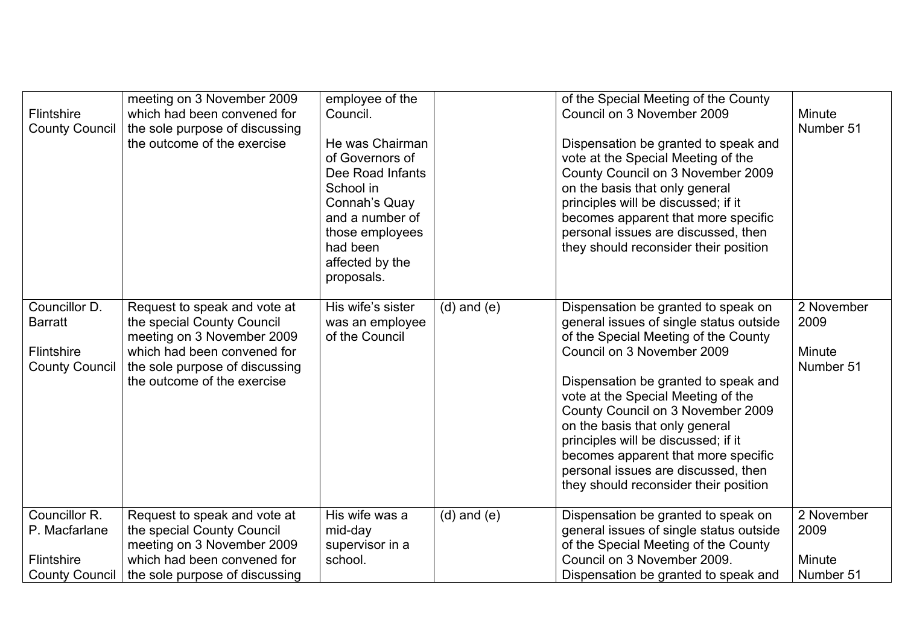| <b>Flintshire</b><br><b>County Council</b>                                   | meeting on 3 November 2009<br>which had been convened for<br>the sole purpose of discussing<br>the outcome of the exercise                                                               | employee of the<br>Council.<br>He was Chairman<br>of Governors of<br>Dee Road Infants<br>School in<br>Connah's Quay<br>and a number of<br>those employees<br>had been<br>affected by the<br>proposals. |                 | of the Special Meeting of the County<br>Council on 3 November 2009<br>Dispensation be granted to speak and<br>vote at the Special Meeting of the<br>County Council on 3 November 2009<br>on the basis that only general<br>principles will be discussed; if it<br>becomes apparent that more specific<br>personal issues are discussed, then<br>they should reconsider their position                                                                                   | Minute<br>Number 51                       |
|------------------------------------------------------------------------------|------------------------------------------------------------------------------------------------------------------------------------------------------------------------------------------|--------------------------------------------------------------------------------------------------------------------------------------------------------------------------------------------------------|-----------------|-------------------------------------------------------------------------------------------------------------------------------------------------------------------------------------------------------------------------------------------------------------------------------------------------------------------------------------------------------------------------------------------------------------------------------------------------------------------------|-------------------------------------------|
| Councillor D.<br><b>Barratt</b><br>Flintshire<br><b>County Council</b>       | Request to speak and vote at<br>the special County Council<br>meeting on 3 November 2009<br>which had been convened for<br>the sole purpose of discussing<br>the outcome of the exercise | His wife's sister<br>was an employee<br>of the Council                                                                                                                                                 | $(d)$ and $(e)$ | Dispensation be granted to speak on<br>general issues of single status outside<br>of the Special Meeting of the County<br>Council on 3 November 2009<br>Dispensation be granted to speak and<br>vote at the Special Meeting of the<br>County Council on 3 November 2009<br>on the basis that only general<br>principles will be discussed; if it<br>becomes apparent that more specific<br>personal issues are discussed, then<br>they should reconsider their position | 2 November<br>2009<br>Minute<br>Number 51 |
| Councillor R.<br>P. Macfarlane<br><b>Flintshire</b><br><b>County Council</b> | Request to speak and vote at<br>the special County Council<br>meeting on 3 November 2009<br>which had been convened for<br>the sole purpose of discussing                                | His wife was a<br>mid-day<br>supervisor in a<br>school.                                                                                                                                                | $(d)$ and $(e)$ | Dispensation be granted to speak on<br>general issues of single status outside<br>of the Special Meeting of the County<br>Council on 3 November 2009.<br>Dispensation be granted to speak and                                                                                                                                                                                                                                                                           | 2 November<br>2009<br>Minute<br>Number 51 |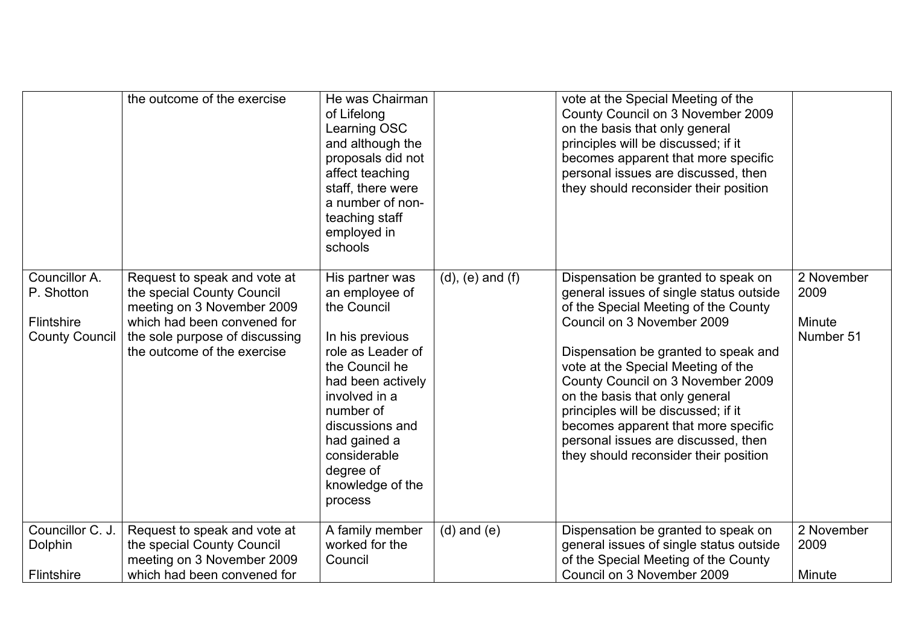|                                                                    | the outcome of the exercise                                                                                                                                                              | He was Chairman<br>of Lifelong<br>Learning OSC<br>and although the<br>proposals did not<br>affect teaching<br>staff, there were<br>a number of non-<br>teaching staff<br>employed in<br>schools                                                              |                         | vote at the Special Meeting of the<br>County Council on 3 November 2009<br>on the basis that only general<br>principles will be discussed; if it<br>becomes apparent that more specific<br>personal issues are discussed, then<br>they should reconsider their position                                                                                                                                                                                                 |                                           |
|--------------------------------------------------------------------|------------------------------------------------------------------------------------------------------------------------------------------------------------------------------------------|--------------------------------------------------------------------------------------------------------------------------------------------------------------------------------------------------------------------------------------------------------------|-------------------------|-------------------------------------------------------------------------------------------------------------------------------------------------------------------------------------------------------------------------------------------------------------------------------------------------------------------------------------------------------------------------------------------------------------------------------------------------------------------------|-------------------------------------------|
| Councillor A.<br>P. Shotton<br>Flintshire<br><b>County Council</b> | Request to speak and vote at<br>the special County Council<br>meeting on 3 November 2009<br>which had been convened for<br>the sole purpose of discussing<br>the outcome of the exercise | His partner was<br>an employee of<br>the Council<br>In his previous<br>role as Leader of<br>the Council he<br>had been actively<br>involved in a<br>number of<br>discussions and<br>had gained a<br>considerable<br>degree of<br>knowledge of the<br>process | $(d)$ , $(e)$ and $(f)$ | Dispensation be granted to speak on<br>general issues of single status outside<br>of the Special Meeting of the County<br>Council on 3 November 2009<br>Dispensation be granted to speak and<br>vote at the Special Meeting of the<br>County Council on 3 November 2009<br>on the basis that only general<br>principles will be discussed; if it<br>becomes apparent that more specific<br>personal issues are discussed, then<br>they should reconsider their position | 2 November<br>2009<br>Minute<br>Number 51 |
| Councillor C. J.<br>Dolphin<br>Flintshire                          | Request to speak and vote at<br>the special County Council<br>meeting on 3 November 2009<br>which had been convened for                                                                  | A family member<br>worked for the<br>Council                                                                                                                                                                                                                 | $(d)$ and $(e)$         | Dispensation be granted to speak on<br>general issues of single status outside<br>of the Special Meeting of the County<br>Council on 3 November 2009                                                                                                                                                                                                                                                                                                                    | 2 November<br>2009<br>Minute              |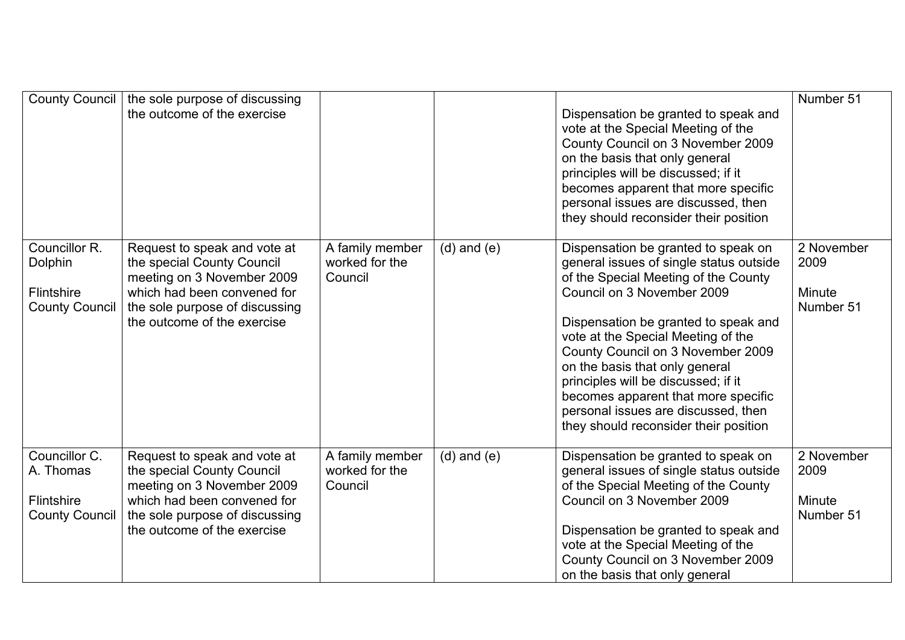| <b>County Council</b>                                             | the sole purpose of discussing<br>the outcome of the exercise                                                                                                                            |                                              |                 | Dispensation be granted to speak and<br>vote at the Special Meeting of the<br>County Council on 3 November 2009<br>on the basis that only general<br>principles will be discussed; if it<br>becomes apparent that more specific<br>personal issues are discussed, then<br>they should reconsider their position                                                                                                                                                         | Number 51                                 |
|-------------------------------------------------------------------|------------------------------------------------------------------------------------------------------------------------------------------------------------------------------------------|----------------------------------------------|-----------------|-------------------------------------------------------------------------------------------------------------------------------------------------------------------------------------------------------------------------------------------------------------------------------------------------------------------------------------------------------------------------------------------------------------------------------------------------------------------------|-------------------------------------------|
| Councillor R.<br>Dolphin<br>Flintshire<br><b>County Council</b>   | Request to speak and vote at<br>the special County Council<br>meeting on 3 November 2009<br>which had been convened for<br>the sole purpose of discussing<br>the outcome of the exercise | A family member<br>worked for the<br>Council | $(d)$ and $(e)$ | Dispensation be granted to speak on<br>general issues of single status outside<br>of the Special Meeting of the County<br>Council on 3 November 2009<br>Dispensation be granted to speak and<br>vote at the Special Meeting of the<br>County Council on 3 November 2009<br>on the basis that only general<br>principles will be discussed; if it<br>becomes apparent that more specific<br>personal issues are discussed, then<br>they should reconsider their position | 2 November<br>2009<br>Minute<br>Number 51 |
| Councillor C.<br>A. Thomas<br>Flintshire<br><b>County Council</b> | Request to speak and vote at<br>the special County Council<br>meeting on 3 November 2009<br>which had been convened for<br>the sole purpose of discussing<br>the outcome of the exercise | A family member<br>worked for the<br>Council | $(d)$ and $(e)$ | Dispensation be granted to speak on<br>general issues of single status outside<br>of the Special Meeting of the County<br>Council on 3 November 2009<br>Dispensation be granted to speak and<br>vote at the Special Meeting of the<br>County Council on 3 November 2009<br>on the basis that only general                                                                                                                                                               | 2 November<br>2009<br>Minute<br>Number 51 |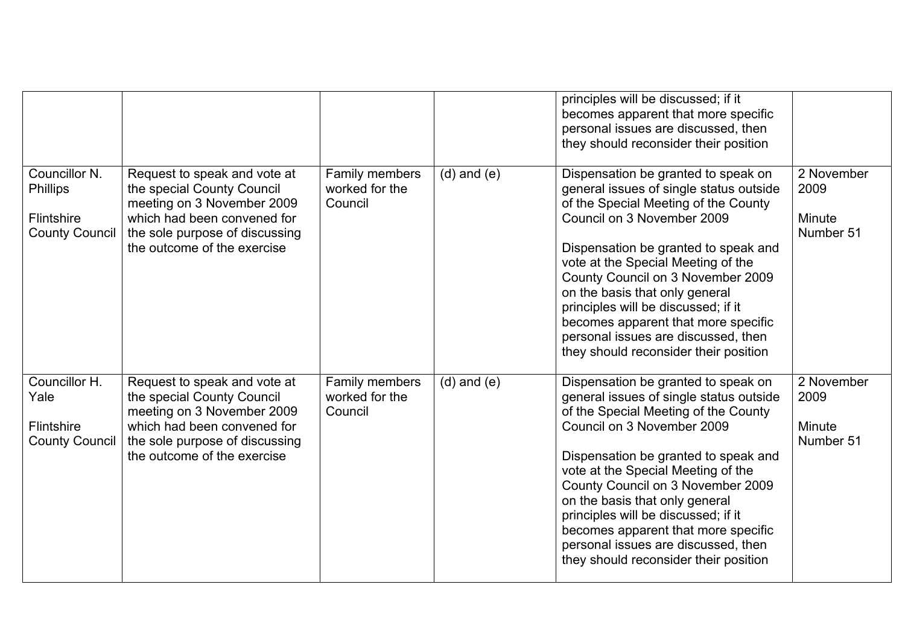|                                                                                |                                                                                                                                                                                          |                                             |                 | principles will be discussed; if it<br>becomes apparent that more specific<br>personal issues are discussed, then<br>they should reconsider their position                                                                                                                                                                                                                                                                                                              |                                           |
|--------------------------------------------------------------------------------|------------------------------------------------------------------------------------------------------------------------------------------------------------------------------------------|---------------------------------------------|-----------------|-------------------------------------------------------------------------------------------------------------------------------------------------------------------------------------------------------------------------------------------------------------------------------------------------------------------------------------------------------------------------------------------------------------------------------------------------------------------------|-------------------------------------------|
| Councillor N.<br><b>Phillips</b><br><b>Flintshire</b><br><b>County Council</b> | Request to speak and vote at<br>the special County Council<br>meeting on 3 November 2009<br>which had been convened for<br>the sole purpose of discussing<br>the outcome of the exercise | Family members<br>worked for the<br>Council | $(d)$ and $(e)$ | Dispensation be granted to speak on<br>general issues of single status outside<br>of the Special Meeting of the County<br>Council on 3 November 2009<br>Dispensation be granted to speak and<br>vote at the Special Meeting of the<br>County Council on 3 November 2009<br>on the basis that only general<br>principles will be discussed; if it<br>becomes apparent that more specific<br>personal issues are discussed, then<br>they should reconsider their position | 2 November<br>2009<br>Minute<br>Number 51 |
| Councillor H.<br>Yale<br><b>Flintshire</b><br><b>County Council</b>            | Request to speak and vote at<br>the special County Council<br>meeting on 3 November 2009<br>which had been convened for<br>the sole purpose of discussing<br>the outcome of the exercise | Family members<br>worked for the<br>Council | $(d)$ and $(e)$ | Dispensation be granted to speak on<br>general issues of single status outside<br>of the Special Meeting of the County<br>Council on 3 November 2009<br>Dispensation be granted to speak and<br>vote at the Special Meeting of the<br>County Council on 3 November 2009<br>on the basis that only general<br>principles will be discussed; if it<br>becomes apparent that more specific<br>personal issues are discussed, then<br>they should reconsider their position | 2 November<br>2009<br>Minute<br>Number 51 |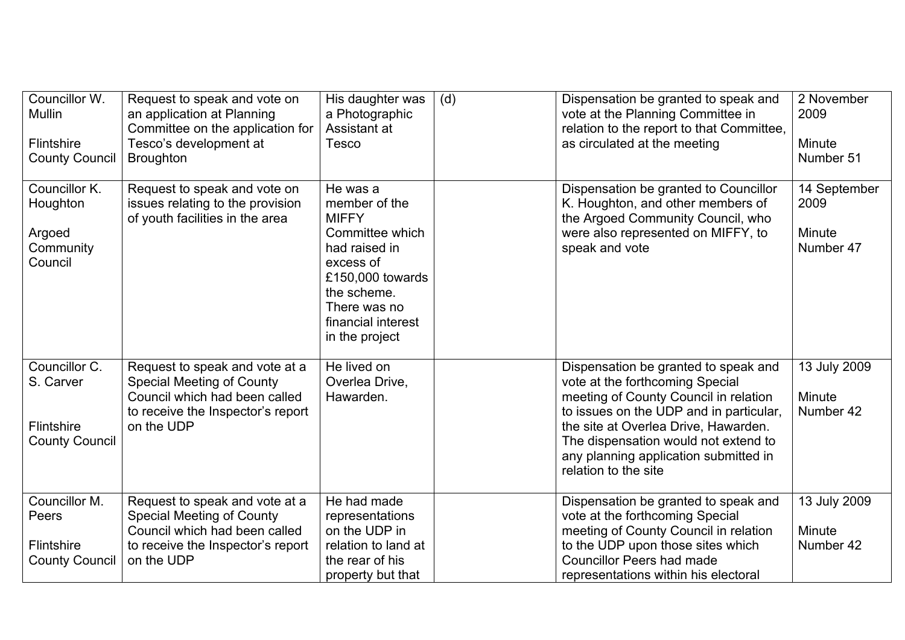| Councillor W.<br><b>Mullin</b><br><b>Flintshire</b><br><b>County Council</b> | Request to speak and vote on<br>an application at Planning<br>Committee on the application for<br>Tesco's development at<br><b>Broughton</b>           | His daughter was<br>a Photographic<br>Assistant at<br>Tesco                                                                                                                           | (d) | Dispensation be granted to speak and<br>vote at the Planning Committee in<br>relation to the report to that Committee,<br>as circulated at the meeting                                                                                                                                                       | 2 November<br>2009<br>Minute<br>Number 51   |
|------------------------------------------------------------------------------|--------------------------------------------------------------------------------------------------------------------------------------------------------|---------------------------------------------------------------------------------------------------------------------------------------------------------------------------------------|-----|--------------------------------------------------------------------------------------------------------------------------------------------------------------------------------------------------------------------------------------------------------------------------------------------------------------|---------------------------------------------|
| Councillor K.<br>Houghton<br>Argoed<br>Community<br>Council                  | Request to speak and vote on<br>issues relating to the provision<br>of youth facilities in the area                                                    | He was a<br>member of the<br><b>MIFFY</b><br>Committee which<br>had raised in<br>excess of<br>£150,000 towards<br>the scheme.<br>There was no<br>financial interest<br>in the project |     | Dispensation be granted to Councillor<br>K. Houghton, and other members of<br>the Argoed Community Council, who<br>were also represented on MIFFY, to<br>speak and vote                                                                                                                                      | 14 September<br>2009<br>Minute<br>Number 47 |
| Councillor C.<br>S. Carver<br>Flintshire<br><b>County Council</b>            | Request to speak and vote at a<br><b>Special Meeting of County</b><br>Council which had been called<br>to receive the Inspector's report<br>on the UDP | He lived on<br>Overlea Drive,<br>Hawarden.                                                                                                                                            |     | Dispensation be granted to speak and<br>vote at the forthcoming Special<br>meeting of County Council in relation<br>to issues on the UDP and in particular,<br>the site at Overlea Drive, Hawarden.<br>The dispensation would not extend to<br>any planning application submitted in<br>relation to the site | 13 July 2009<br>Minute<br>Number 42         |
| Councillor M.<br>Peers<br>Flintshire<br><b>County Council</b>                | Request to speak and vote at a<br><b>Special Meeting of County</b><br>Council which had been called<br>to receive the Inspector's report<br>on the UDP | He had made<br>representations<br>on the UDP in<br>relation to land at<br>the rear of his<br>property but that                                                                        |     | Dispensation be granted to speak and<br>vote at the forthcoming Special<br>meeting of County Council in relation<br>to the UDP upon those sites which<br><b>Councillor Peers had made</b><br>representations within his electoral                                                                            | 13 July 2009<br>Minute<br>Number 42         |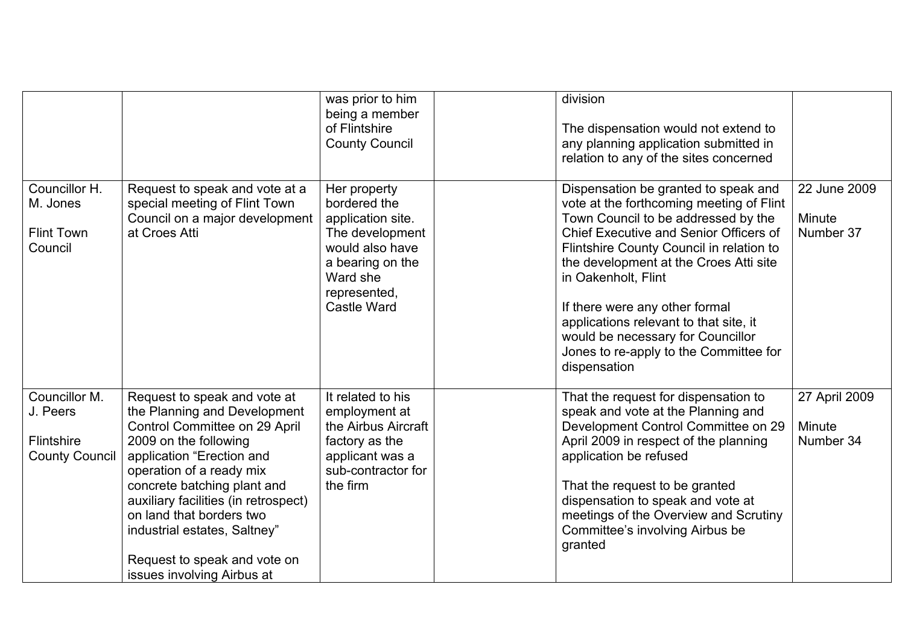|                                                                  |                                                                                                                                                                                                                                                                                                                                                                                  | was prior to him<br>being a member<br>of Flintshire<br><b>County Council</b>                                                                                  | division<br>The dispensation would not extend to<br>any planning application submitted in<br>relation to any of the sites concerned                                                                                                                                                                                                                                                                                                                              |                                      |
|------------------------------------------------------------------|----------------------------------------------------------------------------------------------------------------------------------------------------------------------------------------------------------------------------------------------------------------------------------------------------------------------------------------------------------------------------------|---------------------------------------------------------------------------------------------------------------------------------------------------------------|------------------------------------------------------------------------------------------------------------------------------------------------------------------------------------------------------------------------------------------------------------------------------------------------------------------------------------------------------------------------------------------------------------------------------------------------------------------|--------------------------------------|
| Councillor H.<br>M. Jones<br><b>Flint Town</b><br>Council        | Request to speak and vote at a<br>special meeting of Flint Town<br>Council on a major development<br>at Croes Atti                                                                                                                                                                                                                                                               | Her property<br>bordered the<br>application site.<br>The development<br>would also have<br>a bearing on the<br>Ward she<br>represented,<br><b>Castle Ward</b> | Dispensation be granted to speak and<br>vote at the forthcoming meeting of Flint<br>Town Council to be addressed by the<br><b>Chief Executive and Senior Officers of</b><br>Flintshire County Council in relation to<br>the development at the Croes Atti site<br>in Oakenholt, Flint<br>If there were any other formal<br>applications relevant to that site, it<br>would be necessary for Councillor<br>Jones to re-apply to the Committee for<br>dispensation | 22 June 2009<br>Minute<br>Number 37  |
| Councillor M.<br>J. Peers<br>Flintshire<br><b>County Council</b> | Request to speak and vote at<br>the Planning and Development<br>Control Committee on 29 April<br>2009 on the following<br>application "Erection and<br>operation of a ready mix<br>concrete batching plant and<br>auxiliary facilities (in retrospect)<br>on land that borders two<br>industrial estates, Saltney"<br>Request to speak and vote on<br>issues involving Airbus at | It related to his<br>employment at<br>the Airbus Aircraft<br>factory as the<br>applicant was a<br>sub-contractor for<br>the firm                              | That the request for dispensation to<br>speak and vote at the Planning and<br>Development Control Committee on 29<br>April 2009 in respect of the planning<br>application be refused<br>That the request to be granted<br>dispensation to speak and vote at<br>meetings of the Overview and Scrutiny<br>Committee's involving Airbus be<br>granted                                                                                                               | 27 April 2009<br>Minute<br>Number 34 |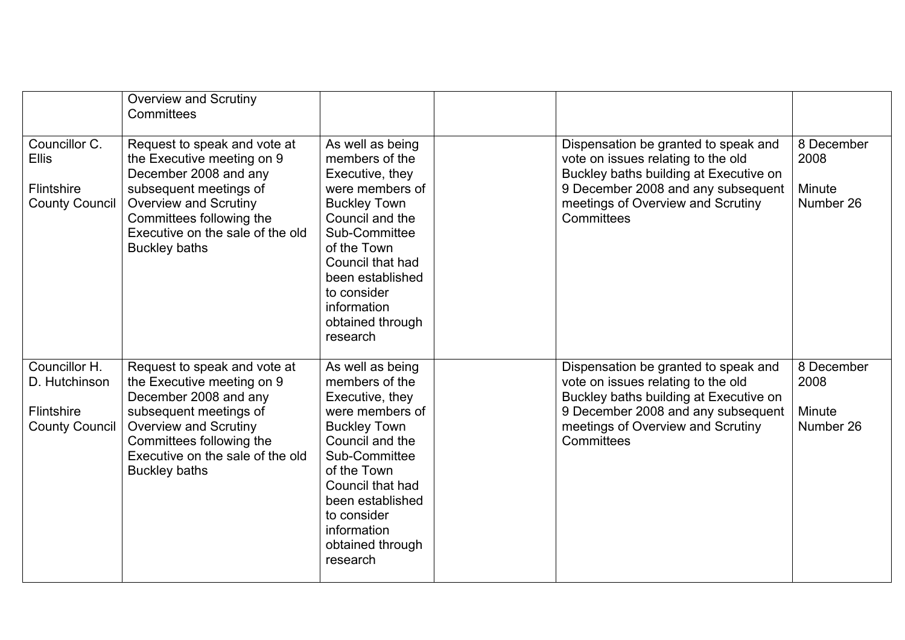|                                                                              | <b>Overview and Scrutiny</b><br>Committees                                                                                                                                                                                            |                                                                                                                                                                                                                                                          |                                                                                                                                                                                                               |                                           |
|------------------------------------------------------------------------------|---------------------------------------------------------------------------------------------------------------------------------------------------------------------------------------------------------------------------------------|----------------------------------------------------------------------------------------------------------------------------------------------------------------------------------------------------------------------------------------------------------|---------------------------------------------------------------------------------------------------------------------------------------------------------------------------------------------------------------|-------------------------------------------|
| Councillor C.<br><b>Ellis</b><br><b>Flintshire</b><br><b>County Council</b>  | Request to speak and vote at<br>the Executive meeting on 9<br>December 2008 and any<br>subsequent meetings of<br><b>Overview and Scrutiny</b><br>Committees following the<br>Executive on the sale of the old<br><b>Buckley baths</b> | As well as being<br>members of the<br>Executive, they<br>were members of<br><b>Buckley Town</b><br>Council and the<br>Sub-Committee<br>of the Town<br>Council that had<br>been established<br>to consider<br>information<br>obtained through<br>research | Dispensation be granted to speak and<br>vote on issues relating to the old<br>Buckley baths building at Executive on<br>9 December 2008 and any subsequent<br>meetings of Overview and Scrutiny<br>Committees | 8 December<br>2008<br>Minute<br>Number 26 |
| Councillor H.<br>D. Hutchinson<br><b>Flintshire</b><br><b>County Council</b> | Request to speak and vote at<br>the Executive meeting on 9<br>December 2008 and any<br>subsequent meetings of<br><b>Overview and Scrutiny</b><br>Committees following the<br>Executive on the sale of the old<br><b>Buckley baths</b> | As well as being<br>members of the<br>Executive, they<br>were members of<br><b>Buckley Town</b><br>Council and the<br>Sub-Committee<br>of the Town<br>Council that had<br>been established<br>to consider<br>information<br>obtained through<br>research | Dispensation be granted to speak and<br>vote on issues relating to the old<br>Buckley baths building at Executive on<br>9 December 2008 and any subsequent<br>meetings of Overview and Scrutiny<br>Committees | 8 December<br>2008<br>Minute<br>Number 26 |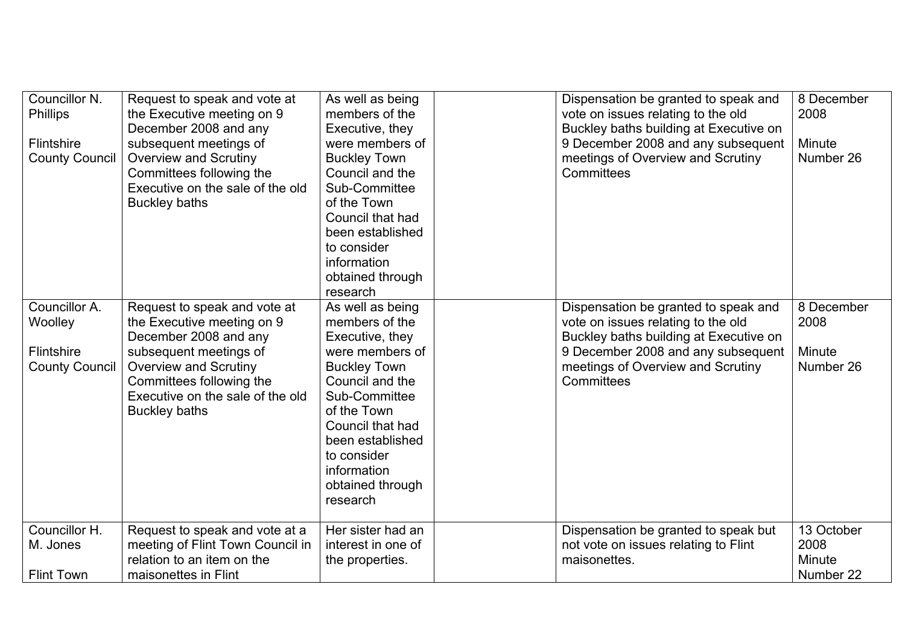| Councillor N.<br><b>Phillips</b><br>Flintshire<br><b>County Council</b> | Request to speak and vote at<br>the Executive meeting on 9<br>December 2008 and any<br>subsequent meetings of<br><b>Overview and Scrutiny</b><br>Committees following the<br>Executive on the sale of the old<br><b>Buckley baths</b> | As well as being<br>members of the<br>Executive, they<br>were members of<br><b>Buckley Town</b><br>Council and the<br>Sub-Committee<br>of the Town<br>Council that had<br>been established<br>to consider<br>information<br>obtained through<br>research | Dispensation be granted to speak and<br>vote on issues relating to the old<br>Buckley baths building at Executive on<br>9 December 2008 and any subsequent<br>meetings of Overview and Scrutiny<br>Committees | 8 December<br>2008<br>Minute<br>Number 26 |
|-------------------------------------------------------------------------|---------------------------------------------------------------------------------------------------------------------------------------------------------------------------------------------------------------------------------------|----------------------------------------------------------------------------------------------------------------------------------------------------------------------------------------------------------------------------------------------------------|---------------------------------------------------------------------------------------------------------------------------------------------------------------------------------------------------------------|-------------------------------------------|
| Councillor A.<br>Woolley<br><b>Flintshire</b><br><b>County Council</b>  | Request to speak and vote at<br>the Executive meeting on 9<br>December 2008 and any<br>subsequent meetings of<br><b>Overview and Scrutiny</b><br>Committees following the<br>Executive on the sale of the old<br><b>Buckley baths</b> | As well as being<br>members of the<br>Executive, they<br>were members of<br><b>Buckley Town</b><br>Council and the<br>Sub-Committee<br>of the Town<br>Council that had<br>been established<br>to consider<br>information<br>obtained through<br>research | Dispensation be granted to speak and<br>vote on issues relating to the old<br>Buckley baths building at Executive on<br>9 December 2008 and any subsequent<br>meetings of Overview and Scrutiny<br>Committees | 8 December<br>2008<br>Minute<br>Number 26 |
| Councillor H.<br>M. Jones<br><b>Flint Town</b>                          | Request to speak and vote at a<br>meeting of Flint Town Council in<br>relation to an item on the<br>maisonettes in Flint                                                                                                              | Her sister had an<br>interest in one of<br>the properties.                                                                                                                                                                                               | Dispensation be granted to speak but<br>not vote on issues relating to Flint<br>maisonettes.                                                                                                                  | 13 October<br>2008<br>Minute<br>Number 22 |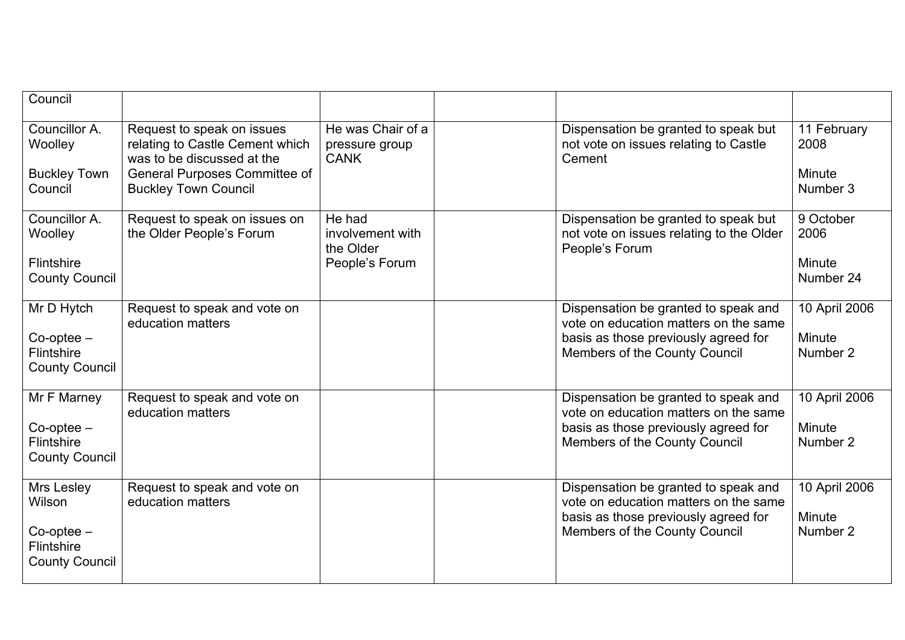| Council                                                                        |                                                                                                                                                                    |                                                           |                                                                                                                                                               |                                           |
|--------------------------------------------------------------------------------|--------------------------------------------------------------------------------------------------------------------------------------------------------------------|-----------------------------------------------------------|---------------------------------------------------------------------------------------------------------------------------------------------------------------|-------------------------------------------|
| Councillor A.<br>Woolley<br><b>Buckley Town</b><br>Council                     | Request to speak on issues<br>relating to Castle Cement which<br>was to be discussed at the<br><b>General Purposes Committee of</b><br><b>Buckley Town Council</b> | He was Chair of a<br>pressure group<br><b>CANK</b>        | Dispensation be granted to speak but<br>not vote on issues relating to Castle<br>Cement                                                                       | 11 February<br>2008<br>Minute<br>Number 3 |
| Councillor A.<br>Woolley<br>Flintshire<br><b>County Council</b>                | Request to speak on issues on<br>the Older People's Forum                                                                                                          | He had<br>involvement with<br>the Older<br>People's Forum | Dispensation be granted to speak but<br>not vote on issues relating to the Older<br>People's Forum                                                            | 9 October<br>2006<br>Minute<br>Number 24  |
| Mr D Hytch<br>$Co$ -optee $-$<br>Flintshire<br><b>County Council</b>           | Request to speak and vote on<br>education matters                                                                                                                  |                                                           | Dispensation be granted to speak and<br>vote on education matters on the same<br>basis as those previously agreed for<br>Members of the County Council        | 10 April 2006<br>Minute<br>Number 2       |
| Mr F Marney<br>$Co$ -optee $-$<br>Flintshire<br><b>County Council</b>          | Request to speak and vote on<br>education matters                                                                                                                  |                                                           | Dispensation be granted to speak and<br>vote on education matters on the same<br>basis as those previously agreed for<br>Members of the County Council        | 10 April 2006<br>Minute<br>Number 2       |
| Mrs Lesley<br>Wilson<br>$Co$ -optee $-$<br>Flintshire<br><b>County Council</b> | Request to speak and vote on<br>education matters                                                                                                                  |                                                           | Dispensation be granted to speak and<br>vote on education matters on the same<br>basis as those previously agreed for<br><b>Members of the County Council</b> | 10 April 2006<br>Minute<br>Number 2       |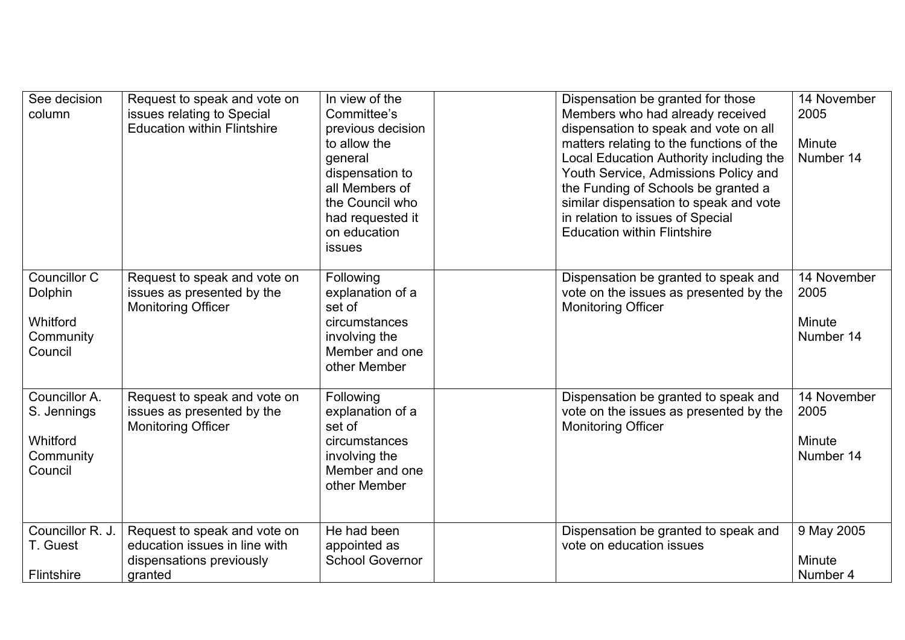| See decision<br>column                                           | Request to speak and vote on<br>issues relating to Special<br><b>Education within Flintshire</b>     | In view of the<br>Committee's<br>previous decision<br>to allow the<br>general<br>dispensation to<br>all Members of<br>the Council who<br>had requested it<br>on education<br><b>issues</b> | Dispensation be granted for those<br>Members who had already received<br>dispensation to speak and vote on all<br>matters relating to the functions of the<br>Local Education Authority including the<br>Youth Service, Admissions Policy and<br>the Funding of Schools be granted a<br>similar dispensation to speak and vote<br>in relation to issues of Special<br><b>Education within Flintshire</b> | 14 November<br>2005<br>Minute<br>Number 14 |
|------------------------------------------------------------------|------------------------------------------------------------------------------------------------------|--------------------------------------------------------------------------------------------------------------------------------------------------------------------------------------------|----------------------------------------------------------------------------------------------------------------------------------------------------------------------------------------------------------------------------------------------------------------------------------------------------------------------------------------------------------------------------------------------------------|--------------------------------------------|
| Councillor C<br>Dolphin<br>Whitford<br>Community<br>Council      | Request to speak and vote on<br>issues as presented by the<br><b>Monitoring Officer</b>              | Following<br>explanation of a<br>set of<br>circumstances<br>involving the<br>Member and one<br>other Member                                                                                | Dispensation be granted to speak and<br>vote on the issues as presented by the<br><b>Monitoring Officer</b>                                                                                                                                                                                                                                                                                              | 14 November<br>2005<br>Minute<br>Number 14 |
| Councillor A.<br>S. Jennings<br>Whitford<br>Community<br>Council | Request to speak and vote on<br>issues as presented by the<br><b>Monitoring Officer</b>              | Following<br>explanation of a<br>set of<br>circumstances<br>involving the<br>Member and one<br>other Member                                                                                | Dispensation be granted to speak and<br>vote on the issues as presented by the<br><b>Monitoring Officer</b>                                                                                                                                                                                                                                                                                              | 14 November<br>2005<br>Minute<br>Number 14 |
| Councillor R. J.<br>T. Guest<br>Flintshire                       | Request to speak and vote on<br>education issues in line with<br>dispensations previously<br>granted | He had been<br>appointed as<br><b>School Governor</b>                                                                                                                                      | Dispensation be granted to speak and<br>vote on education issues                                                                                                                                                                                                                                                                                                                                         | 9 May 2005<br>Minute<br>Number 4           |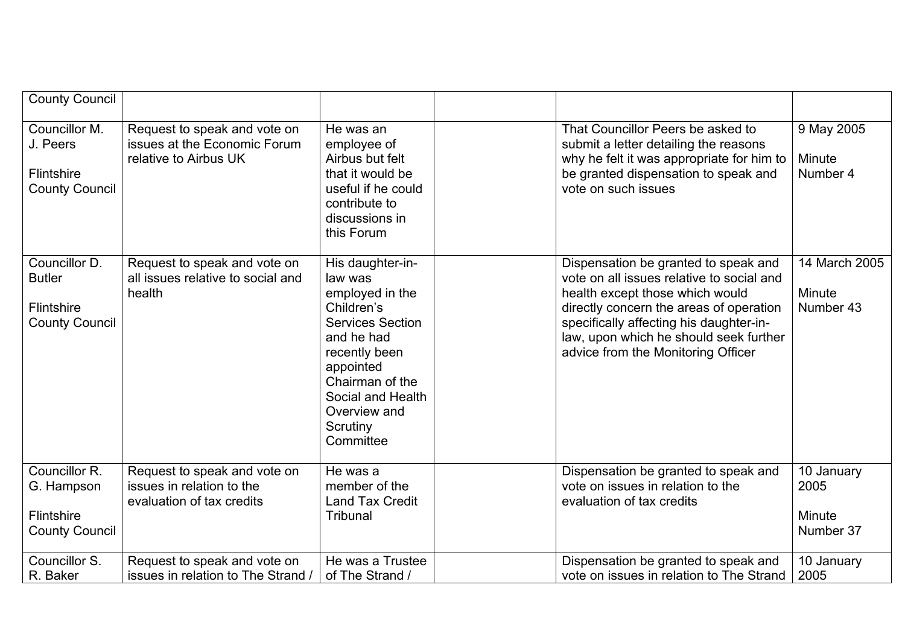| <b>County Council</b>                                                 |                                                                                        |                                                                                                                                                                                                                      |                                                                                                                                                                                                                                                                                            |                                           |
|-----------------------------------------------------------------------|----------------------------------------------------------------------------------------|----------------------------------------------------------------------------------------------------------------------------------------------------------------------------------------------------------------------|--------------------------------------------------------------------------------------------------------------------------------------------------------------------------------------------------------------------------------------------------------------------------------------------|-------------------------------------------|
| Councillor M.<br>J. Peers<br>Flintshire<br><b>County Council</b>      | Request to speak and vote on<br>issues at the Economic Forum<br>relative to Airbus UK  | He was an<br>employee of<br>Airbus but felt<br>that it would be<br>useful if he could<br>contribute to<br>discussions in<br>this Forum                                                                               | That Councillor Peers be asked to<br>submit a letter detailing the reasons<br>why he felt it was appropriate for him to<br>be granted dispensation to speak and<br>vote on such issues                                                                                                     | 9 May 2005<br>Minute<br>Number 4          |
| Councillor D.<br><b>Butler</b><br>Flintshire<br><b>County Council</b> | Request to speak and vote on<br>all issues relative to social and<br>health            | His daughter-in-<br>law was<br>employed in the<br>Children's<br><b>Services Section</b><br>and he had<br>recently been<br>appointed<br>Chairman of the<br>Social and Health<br>Overview and<br>Scrutiny<br>Committee | Dispensation be granted to speak and<br>vote on all issues relative to social and<br>health except those which would<br>directly concern the areas of operation<br>specifically affecting his daughter-in-<br>law, upon which he should seek further<br>advice from the Monitoring Officer | 14 March 2005<br>Minute<br>Number 43      |
| Councillor R.<br>G. Hampson<br>Flintshire<br><b>County Council</b>    | Request to speak and vote on<br>issues in relation to the<br>evaluation of tax credits | He was a<br>member of the<br><b>Land Tax Credit</b><br>Tribunal                                                                                                                                                      | Dispensation be granted to speak and<br>vote on issues in relation to the<br>evaluation of tax credits                                                                                                                                                                                     | 10 January<br>2005<br>Minute<br>Number 37 |
| Councillor S.<br>R. Baker                                             | Request to speak and vote on<br>issues in relation to The Strand /                     | He was a Trustee<br>of The Strand /                                                                                                                                                                                  | Dispensation be granted to speak and<br>vote on issues in relation to The Strand                                                                                                                                                                                                           | 10 January<br>2005                        |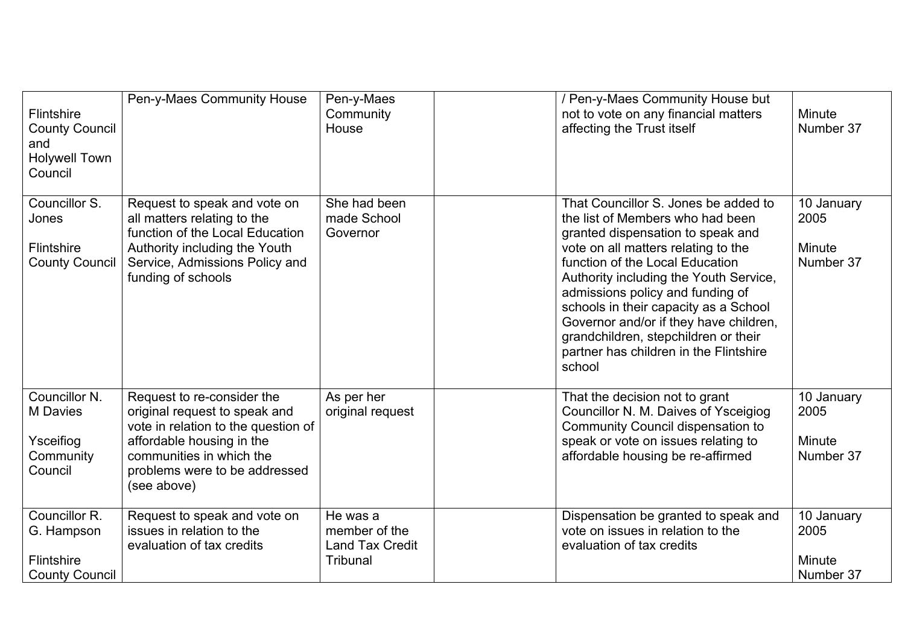| <b>Flintshire</b><br><b>County Council</b><br>and<br><b>Holywell Town</b><br>Council | Pen-y-Maes Community House                                                                                                                                                                                  | Pen-y-Maes<br>Community<br>House                                | / Pen-y-Maes Community House but<br>not to vote on any financial matters<br>affecting the Trust itself                                                                                                                                                                                                                                                                                                                                               | Minute<br>Number 37                       |
|--------------------------------------------------------------------------------------|-------------------------------------------------------------------------------------------------------------------------------------------------------------------------------------------------------------|-----------------------------------------------------------------|------------------------------------------------------------------------------------------------------------------------------------------------------------------------------------------------------------------------------------------------------------------------------------------------------------------------------------------------------------------------------------------------------------------------------------------------------|-------------------------------------------|
| Councillor S.<br>Jones<br><b>Flintshire</b><br><b>County Council</b>                 | Request to speak and vote on<br>all matters relating to the<br>function of the Local Education<br>Authority including the Youth<br>Service, Admissions Policy and<br>funding of schools                     | She had been<br>made School<br>Governor                         | That Councillor S. Jones be added to<br>the list of Members who had been<br>granted dispensation to speak and<br>vote on all matters relating to the<br>function of the Local Education<br>Authority including the Youth Service,<br>admissions policy and funding of<br>schools in their capacity as a School<br>Governor and/or if they have children,<br>grandchildren, stepchildren or their<br>partner has children in the Flintshire<br>school | 10 January<br>2005<br>Minute<br>Number 37 |
| Councillor N.<br><b>M</b> Davies<br>Ysceifiog<br>Community<br>Council                | Request to re-consider the<br>original request to speak and<br>vote in relation to the question of<br>affordable housing in the<br>communities in which the<br>problems were to be addressed<br>(see above) | As per her<br>original request                                  | That the decision not to grant<br>Councillor N. M. Daives of Ysceigiog<br>Community Council dispensation to<br>speak or vote on issues relating to<br>affordable housing be re-affirmed                                                                                                                                                                                                                                                              | 10 January<br>2005<br>Minute<br>Number 37 |
| Councillor R.<br>G. Hampson<br><b>Flintshire</b><br><b>County Council</b>            | Request to speak and vote on<br>issues in relation to the<br>evaluation of tax credits                                                                                                                      | He was a<br>member of the<br><b>Land Tax Credit</b><br>Tribunal | Dispensation be granted to speak and<br>vote on issues in relation to the<br>evaluation of tax credits                                                                                                                                                                                                                                                                                                                                               | 10 January<br>2005<br>Minute<br>Number 37 |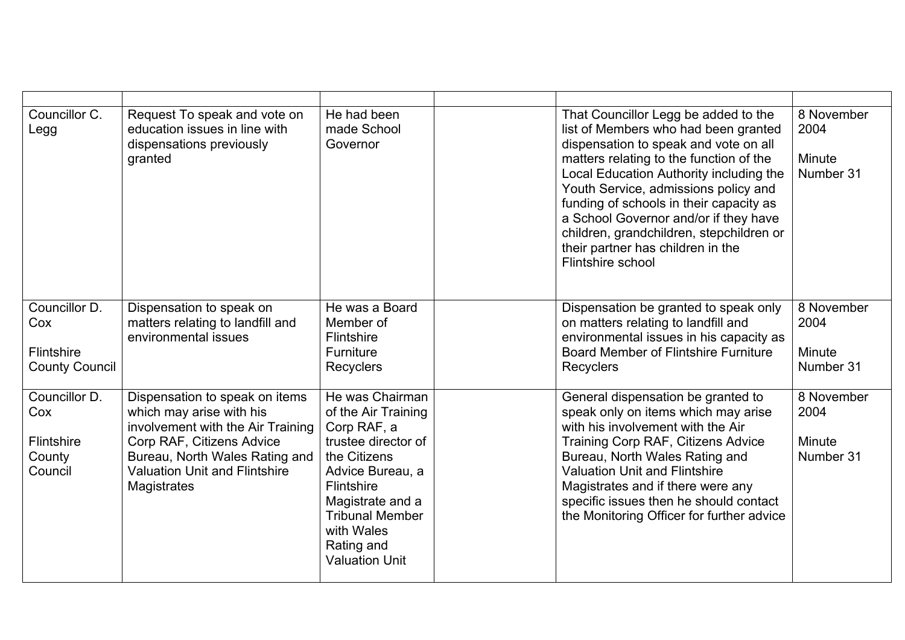| Councillor C.<br>Legg                                          | Request To speak and vote on<br>education issues in line with<br>dispensations previously<br>granted                                                                                                                  | He had been<br>made School<br>Governor                                                                                                                                                                                            | That Councillor Legg be added to the<br>list of Members who had been granted<br>dispensation to speak and vote on all<br>matters relating to the function of the<br>Local Education Authority including the<br>Youth Service, admissions policy and<br>funding of schools in their capacity as<br>a School Governor and/or if they have<br>children, grandchildren, stepchildren or<br>their partner has children in the<br>Flintshire school | 8 November<br>2004<br>Minute<br>Number 31 |
|----------------------------------------------------------------|-----------------------------------------------------------------------------------------------------------------------------------------------------------------------------------------------------------------------|-----------------------------------------------------------------------------------------------------------------------------------------------------------------------------------------------------------------------------------|-----------------------------------------------------------------------------------------------------------------------------------------------------------------------------------------------------------------------------------------------------------------------------------------------------------------------------------------------------------------------------------------------------------------------------------------------|-------------------------------------------|
| Councillor D.<br>Cox<br>Flintshire<br><b>County Council</b>    | Dispensation to speak on<br>matters relating to landfill and<br>environmental issues                                                                                                                                  | He was a Board<br>Member of<br>Flintshire<br>Furniture<br><b>Recyclers</b>                                                                                                                                                        | Dispensation be granted to speak only<br>on matters relating to landfill and<br>environmental issues in his capacity as<br><b>Board Member of Flintshire Furniture</b><br>Recyclers                                                                                                                                                                                                                                                           | 8 November<br>2004<br>Minute<br>Number 31 |
| Councillor D.<br>Cox<br><b>Flintshire</b><br>County<br>Council | Dispensation to speak on items<br>which may arise with his<br>involvement with the Air Training<br>Corp RAF, Citizens Advice<br>Bureau, North Wales Rating and<br><b>Valuation Unit and Flintshire</b><br>Magistrates | He was Chairman<br>of the Air Training<br>Corp RAF, a<br>trustee director of<br>the Citizens<br>Advice Bureau, a<br>Flintshire<br>Magistrate and a<br><b>Tribunal Member</b><br>with Wales<br>Rating and<br><b>Valuation Unit</b> | General dispensation be granted to<br>speak only on items which may arise<br>with his involvement with the Air<br>Training Corp RAF, Citizens Advice<br>Bureau, North Wales Rating and<br><b>Valuation Unit and Flintshire</b><br>Magistrates and if there were any<br>specific issues then he should contact<br>the Monitoring Officer for further advice                                                                                    | 8 November<br>2004<br>Minute<br>Number 31 |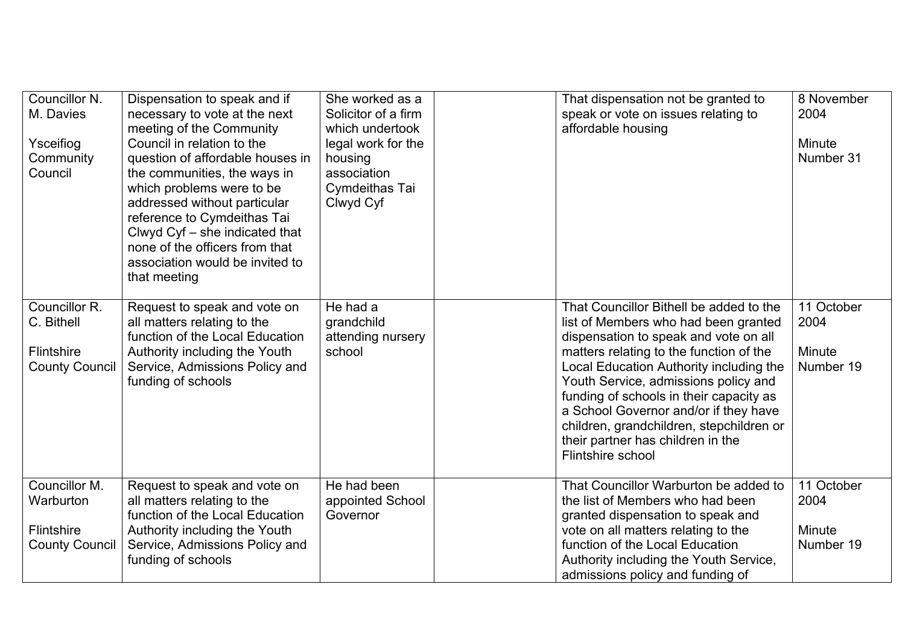| Councillor N.<br>M. Davies<br>Ysceifiog<br>Community<br>Council           | Dispensation to speak and if<br>necessary to vote at the next<br>meeting of the Community<br>Council in relation to the<br>question of affordable houses in<br>the communities, the ways in<br>which problems were to be<br>addressed without particular<br>reference to Cymdeithas Tai<br>Clwyd Cyf - she indicated that<br>none of the officers from that<br>association would be invited to<br>that meeting | She worked as a<br>Solicitor of a firm<br>which undertook<br>legal work for the<br>housing<br>association<br>Cymdeithas Tai<br>Clwyd Cyf | That dispensation not be granted to<br>speak or vote on issues relating to<br>affordable housing                                                                                                                                                                                                                                                                                                                                                 | 8 November<br>2004<br>Minute<br>Number 31 |
|---------------------------------------------------------------------------|----------------------------------------------------------------------------------------------------------------------------------------------------------------------------------------------------------------------------------------------------------------------------------------------------------------------------------------------------------------------------------------------------------------|------------------------------------------------------------------------------------------------------------------------------------------|--------------------------------------------------------------------------------------------------------------------------------------------------------------------------------------------------------------------------------------------------------------------------------------------------------------------------------------------------------------------------------------------------------------------------------------------------|-------------------------------------------|
| Councillor R.<br>C. Bithell<br><b>Flintshire</b><br><b>County Council</b> | Request to speak and vote on<br>all matters relating to the<br>function of the Local Education<br>Authority including the Youth<br>Service, Admissions Policy and<br>funding of schools                                                                                                                                                                                                                        | He had a<br>grandchild<br>attending nursery<br>school                                                                                    | That Councillor Bithell be added to the<br>list of Members who had been granted<br>dispensation to speak and vote on all<br>matters relating to the function of the<br>Local Education Authority including the<br>Youth Service, admissions policy and<br>funding of schools in their capacity as<br>a School Governor and/or if they have<br>children, grandchildren, stepchildren or<br>their partner has children in the<br>Flintshire school | 11 October<br>2004<br>Minute<br>Number 19 |
| Councillor M.<br>Warburton<br>Flintshire<br><b>County Council</b>         | Request to speak and vote on<br>all matters relating to the<br>function of the Local Education<br>Authority including the Youth<br>Service, Admissions Policy and<br>funding of schools                                                                                                                                                                                                                        | He had been<br>appointed School<br>Governor                                                                                              | That Councillor Warburton be added to<br>the list of Members who had been<br>granted dispensation to speak and<br>vote on all matters relating to the<br>function of the Local Education<br>Authority including the Youth Service,<br>admissions policy and funding of                                                                                                                                                                           | 11 October<br>2004<br>Minute<br>Number 19 |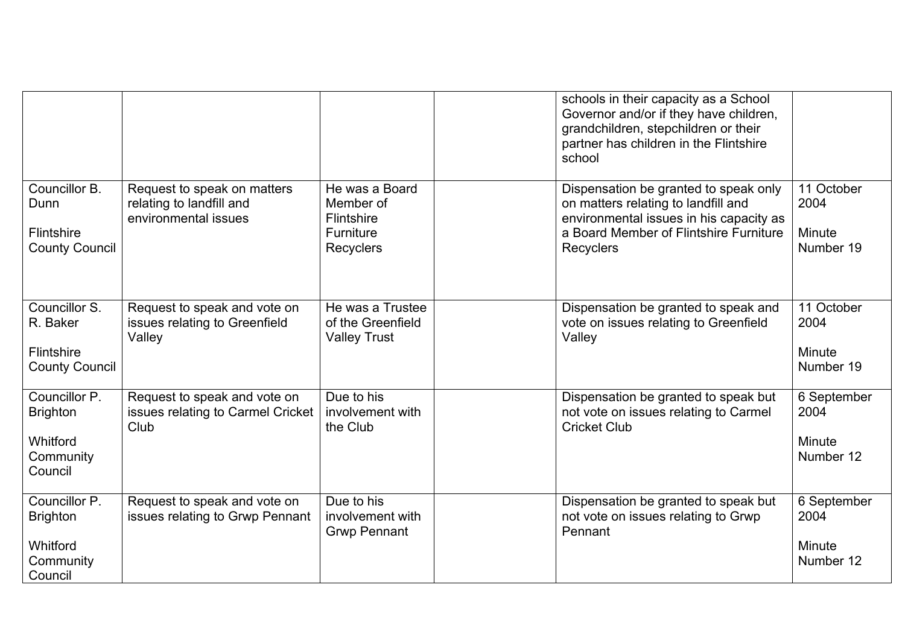|                                                                      |                                                                                 |                                                                            | schools in their capacity as a School<br>Governor and/or if they have children,<br>grandchildren, stepchildren or their<br>partner has children in the Flintshire<br>school           |                                            |
|----------------------------------------------------------------------|---------------------------------------------------------------------------------|----------------------------------------------------------------------------|---------------------------------------------------------------------------------------------------------------------------------------------------------------------------------------|--------------------------------------------|
| Councillor B.<br>Dunn<br>Flintshire<br><b>County Council</b>         | Request to speak on matters<br>relating to landfill and<br>environmental issues | He was a Board<br>Member of<br>Flintshire<br>Furniture<br><b>Recyclers</b> | Dispensation be granted to speak only<br>on matters relating to landfill and<br>environmental issues in his capacity as<br>a Board Member of Flintshire Furniture<br><b>Recyclers</b> | 11 October<br>2004<br>Minute<br>Number 19  |
| Councillor S.<br>R. Baker<br>Flintshire<br><b>County Council</b>     | Request to speak and vote on<br>issues relating to Greenfield<br>Valley         | He was a Trustee<br>of the Greenfield<br><b>Valley Trust</b>               | Dispensation be granted to speak and<br>vote on issues relating to Greenfield<br>Valley                                                                                               | 11 October<br>2004<br>Minute<br>Number 19  |
| Councillor P.<br><b>Brighton</b><br>Whitford<br>Community<br>Council | Request to speak and vote on<br>issues relating to Carmel Cricket<br>Club       | Due to his<br>involvement with<br>the Club                                 | Dispensation be granted to speak but<br>not vote on issues relating to Carmel<br><b>Cricket Club</b>                                                                                  | 6 September<br>2004<br>Minute<br>Number 12 |
| Councillor P.<br><b>Brighton</b><br>Whitford<br>Community<br>Council | Request to speak and vote on<br>issues relating to Grwp Pennant                 | Due to his<br>involvement with<br><b>Grwp Pennant</b>                      | Dispensation be granted to speak but<br>not vote on issues relating to Grwp<br>Pennant                                                                                                | 6 September<br>2004<br>Minute<br>Number 12 |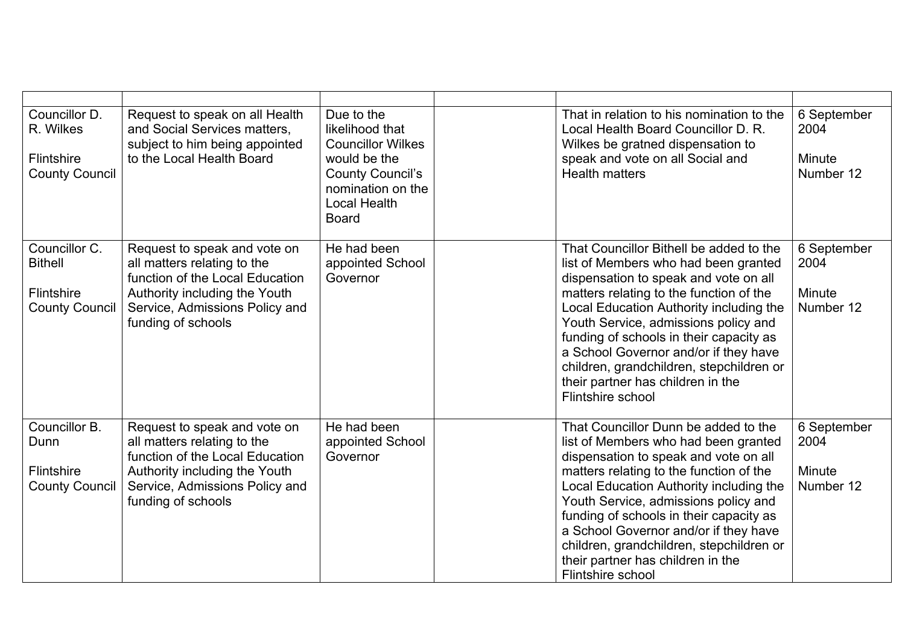| Councillor D.<br>R. Wilkes<br>Flintshire<br><b>County Council</b>      | Request to speak on all Health<br>and Social Services matters,<br>subject to him being appointed<br>to the Local Health Board                                                           | Due to the<br>likelihood that<br><b>Councillor Wilkes</b><br>would be the<br><b>County Council's</b><br>nomination on the<br><b>Local Health</b><br><b>Board</b> | That in relation to his nomination to the<br>Local Health Board Councillor D. R.<br>Wilkes be gratned dispensation to<br>speak and vote on all Social and<br><b>Health matters</b>                                                                                                                                                                                                                                                               | 6 September<br>2004<br>Minute<br>Number 12 |
|------------------------------------------------------------------------|-----------------------------------------------------------------------------------------------------------------------------------------------------------------------------------------|------------------------------------------------------------------------------------------------------------------------------------------------------------------|--------------------------------------------------------------------------------------------------------------------------------------------------------------------------------------------------------------------------------------------------------------------------------------------------------------------------------------------------------------------------------------------------------------------------------------------------|--------------------------------------------|
| Councillor C.<br><b>Bithell</b><br>Flintshire<br><b>County Council</b> | Request to speak and vote on<br>all matters relating to the<br>function of the Local Education<br>Authority including the Youth<br>Service, Admissions Policy and<br>funding of schools | He had been<br>appointed School<br>Governor                                                                                                                      | That Councillor Bithell be added to the<br>list of Members who had been granted<br>dispensation to speak and vote on all<br>matters relating to the function of the<br>Local Education Authority including the<br>Youth Service, admissions policy and<br>funding of schools in their capacity as<br>a School Governor and/or if they have<br>children, grandchildren, stepchildren or<br>their partner has children in the<br>Flintshire school | 6 September<br>2004<br>Minute<br>Number 12 |
| Councillor B.<br>Dunn<br>Flintshire<br><b>County Council</b>           | Request to speak and vote on<br>all matters relating to the<br>function of the Local Education<br>Authority including the Youth<br>Service, Admissions Policy and<br>funding of schools | He had been<br>appointed School<br>Governor                                                                                                                      | That Councillor Dunn be added to the<br>list of Members who had been granted<br>dispensation to speak and vote on all<br>matters relating to the function of the<br>Local Education Authority including the<br>Youth Service, admissions policy and<br>funding of schools in their capacity as<br>a School Governor and/or if they have<br>children, grandchildren, stepchildren or<br>their partner has children in the<br>Flintshire school    | 6 September<br>2004<br>Minute<br>Number 12 |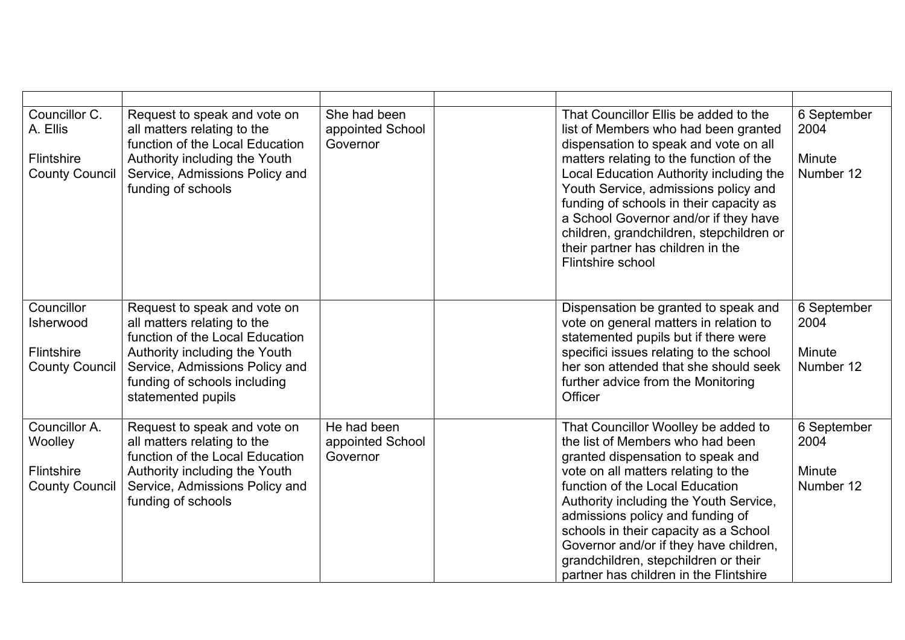| Councillor C.<br>A. Ellis<br>Flintshire<br><b>County Council</b> | Request to speak and vote on<br>all matters relating to the<br>function of the Local Education<br>Authority including the Youth<br>Service, Admissions Policy and<br>funding of schools                                 | She had been<br>appointed School<br>Governor | That Councillor Ellis be added to the<br>list of Members who had been granted<br>dispensation to speak and vote on all<br>matters relating to the function of the<br>Local Education Authority including the<br>Youth Service, admissions policy and<br>funding of schools in their capacity as<br>a School Governor and/or if they have<br>children, grandchildren, stepchildren or<br>their partner has children in the<br>Flintshire school | 6 September<br>2004<br>Minute<br>Number 12 |
|------------------------------------------------------------------|-------------------------------------------------------------------------------------------------------------------------------------------------------------------------------------------------------------------------|----------------------------------------------|------------------------------------------------------------------------------------------------------------------------------------------------------------------------------------------------------------------------------------------------------------------------------------------------------------------------------------------------------------------------------------------------------------------------------------------------|--------------------------------------------|
| Councillor<br>Isherwood<br>Flintshire<br><b>County Council</b>   | Request to speak and vote on<br>all matters relating to the<br>function of the Local Education<br>Authority including the Youth<br>Service, Admissions Policy and<br>funding of schools including<br>statemented pupils |                                              | Dispensation be granted to speak and<br>vote on general matters in relation to<br>statemented pupils but if there were<br>specifici issues relating to the school<br>her son attended that she should seek<br>further advice from the Monitoring<br>Officer                                                                                                                                                                                    | 6 September<br>2004<br>Minute<br>Number 12 |
| Councillor A.<br>Woolley<br>Flintshire<br><b>County Council</b>  | Request to speak and vote on<br>all matters relating to the<br>function of the Local Education<br>Authority including the Youth<br>Service, Admissions Policy and<br>funding of schools                                 | He had been<br>appointed School<br>Governor  | That Councillor Woolley be added to<br>the list of Members who had been<br>granted dispensation to speak and<br>vote on all matters relating to the<br>function of the Local Education<br>Authority including the Youth Service,<br>admissions policy and funding of<br>schools in their capacity as a School<br>Governor and/or if they have children,<br>grandchildren, stepchildren or their<br>partner has children in the Flintshire      | 6 September<br>2004<br>Minute<br>Number 12 |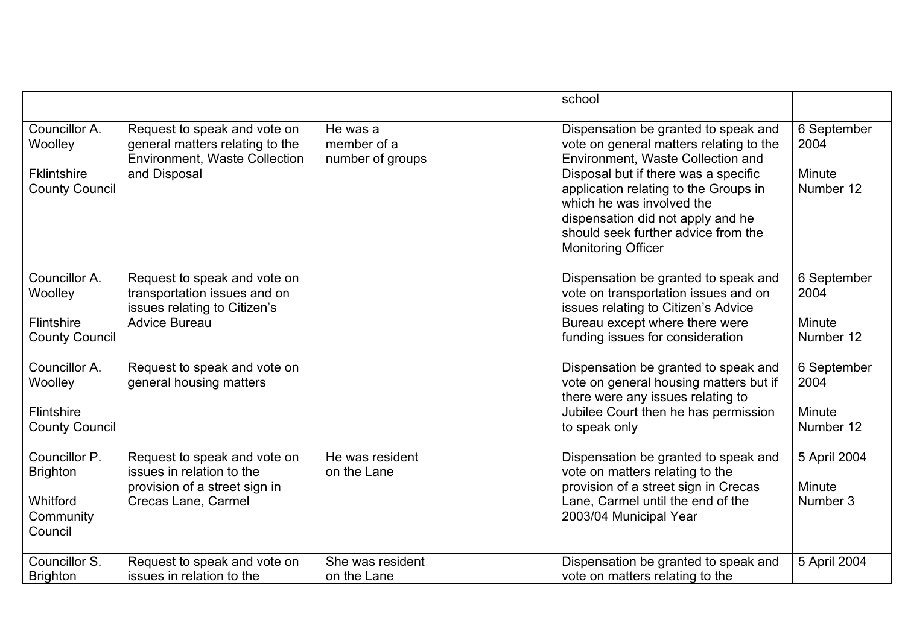|                                                                         |                                                                                                                         |                                             | school                                                                                                                                                                                                                                                                                                                                              |                                    |
|-------------------------------------------------------------------------|-------------------------------------------------------------------------------------------------------------------------|---------------------------------------------|-----------------------------------------------------------------------------------------------------------------------------------------------------------------------------------------------------------------------------------------------------------------------------------------------------------------------------------------------------|------------------------------------|
| Councillor A.<br>Woolley<br><b>Fklintshire</b><br><b>County Council</b> | Request to speak and vote on<br>general matters relating to the<br><b>Environment, Waste Collection</b><br>and Disposal | He was a<br>member of a<br>number of groups | Dispensation be granted to speak and<br>vote on general matters relating to the<br>2004<br>Environment, Waste Collection and<br>Disposal but if there was a specific<br>application relating to the Groups in<br>which he was involved the<br>dispensation did not apply and he<br>should seek further advice from the<br><b>Monitoring Officer</b> | 6 September<br>Minute<br>Number 12 |
| Councillor A.<br>Woolley<br>Flintshire<br><b>County Council</b>         | Request to speak and vote on<br>transportation issues and on<br>issues relating to Citizen's<br><b>Advice Bureau</b>    |                                             | Dispensation be granted to speak and<br>vote on transportation issues and on<br>2004<br>issues relating to Citizen's Advice<br>Bureau except where there were<br>funding issues for consideration                                                                                                                                                   | 6 September<br>Minute<br>Number 12 |
| Councillor A.<br>Woolley<br>Flintshire<br><b>County Council</b>         | Request to speak and vote on<br>general housing matters                                                                 |                                             | Dispensation be granted to speak and<br>vote on general housing matters but if<br>2004<br>there were any issues relating to<br>Jubilee Court then he has permission<br>to speak only                                                                                                                                                                | 6 September<br>Minute<br>Number 12 |
| Councillor P.<br><b>Brighton</b><br>Whitford<br>Community<br>Council    | Request to speak and vote on<br>issues in relation to the<br>provision of a street sign in<br>Crecas Lane, Carmel       | He was resident<br>on the Lane              | Dispensation be granted to speak and<br>vote on matters relating to the<br>provision of a street sign in Crecas<br>Lane, Carmel until the end of the<br>2003/04 Municipal Year                                                                                                                                                                      | 5 April 2004<br>Minute<br>Number 3 |
| Councillor S.<br><b>Brighton</b>                                        | Request to speak and vote on<br>issues in relation to the                                                               | She was resident<br>on the Lane             | Dispensation be granted to speak and<br>vote on matters relating to the                                                                                                                                                                                                                                                                             | 5 April 2004                       |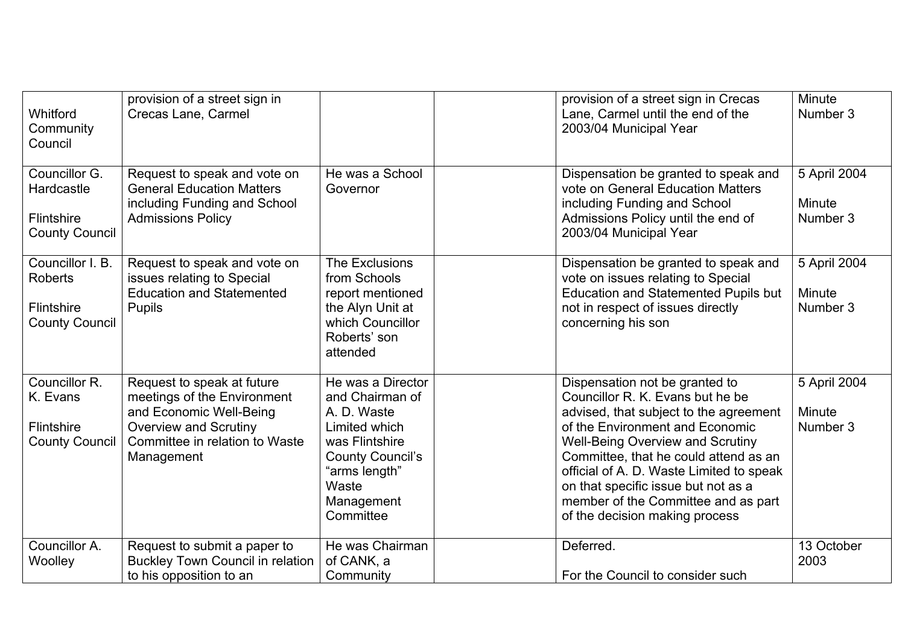| Whitford<br>Community<br>Council                                                 | provision of a street sign in<br>Crecas Lane, Carmel                                                                                                                 |                                                                                                                                                                        | provision of a street sign in Crecas<br>Lane, Carmel until the end of the<br>2003/04 Municipal Year                                                                                                                                                                                                                                                                                             | Minute<br>Number 3                 |
|----------------------------------------------------------------------------------|----------------------------------------------------------------------------------------------------------------------------------------------------------------------|------------------------------------------------------------------------------------------------------------------------------------------------------------------------|-------------------------------------------------------------------------------------------------------------------------------------------------------------------------------------------------------------------------------------------------------------------------------------------------------------------------------------------------------------------------------------------------|------------------------------------|
| Councillor G.<br>Hardcastle<br><b>Flintshire</b><br><b>County Council</b>        | Request to speak and vote on<br><b>General Education Matters</b><br>including Funding and School<br><b>Admissions Policy</b>                                         | He was a School<br>Governor                                                                                                                                            | Dispensation be granted to speak and<br>vote on General Education Matters<br>including Funding and School<br>Admissions Policy until the end of<br>2003/04 Municipal Year                                                                                                                                                                                                                       | 5 April 2004<br>Minute<br>Number 3 |
| Councillor I. B.<br><b>Roberts</b><br><b>Flintshire</b><br><b>County Council</b> | Request to speak and vote on<br>issues relating to Special<br><b>Education and Statemented</b><br><b>Pupils</b>                                                      | The Exclusions<br>from Schools<br>report mentioned<br>the Alyn Unit at<br>which Councillor<br>Roberts' son<br>attended                                                 | Dispensation be granted to speak and<br>vote on issues relating to Special<br><b>Education and Statemented Pupils but</b><br>not in respect of issues directly<br>concerning his son                                                                                                                                                                                                            | 5 April 2004<br>Minute<br>Number 3 |
| Councillor R.<br>K. Evans<br>Flintshire<br><b>County Council</b>                 | Request to speak at future<br>meetings of the Environment<br>and Economic Well-Being<br><b>Overview and Scrutiny</b><br>Committee in relation to Waste<br>Management | He was a Director<br>and Chairman of<br>A. D. Waste<br>Limited which<br>was Flintshire<br><b>County Council's</b><br>"arms length"<br>Waste<br>Management<br>Committee | Dispensation not be granted to<br>Councillor R. K. Evans but he be<br>advised, that subject to the agreement<br>of the Environment and Economic<br><b>Well-Being Overview and Scrutiny</b><br>Committee, that he could attend as an<br>official of A. D. Waste Limited to speak<br>on that specific issue but not as a<br>member of the Committee and as part<br>of the decision making process | 5 April 2004<br>Minute<br>Number 3 |
| Councillor A.<br>Woolley                                                         | Request to submit a paper to<br><b>Buckley Town Council in relation</b><br>to his opposition to an                                                                   | He was Chairman<br>of CANK, a<br>Community                                                                                                                             | Deferred.<br>For the Council to consider such                                                                                                                                                                                                                                                                                                                                                   | 13 October<br>2003                 |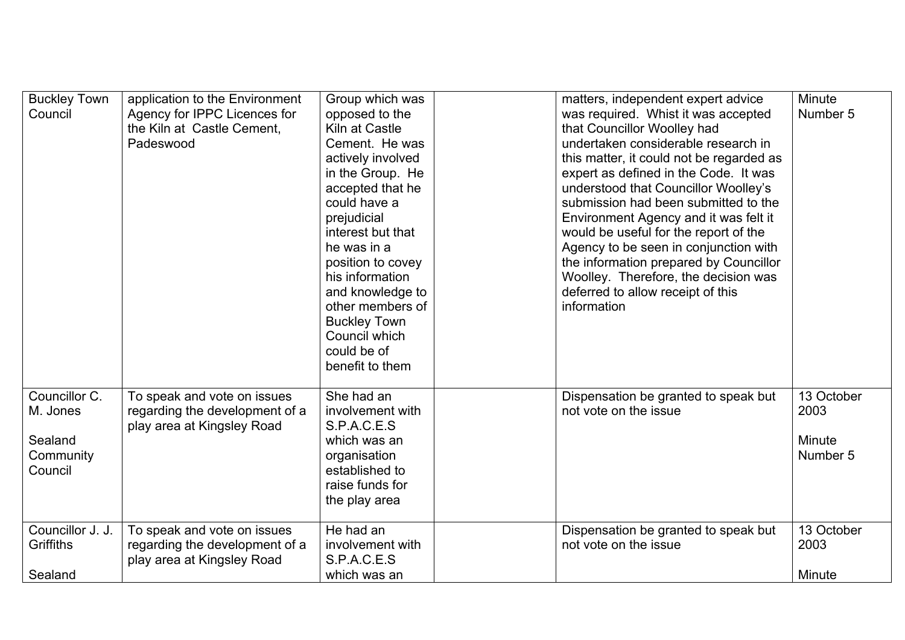| <b>Buckley Town</b><br>Council                               | application to the Environment<br>Agency for IPPC Licences for<br>the Kiln at Castle Cement.<br>Padeswood | Group which was<br>opposed to the<br>Kiln at Castle<br>Cement. He was<br>actively involved<br>in the Group. He<br>accepted that he<br>could have a<br>prejudicial<br>interest but that<br>he was in a<br>position to covey<br>his information<br>and knowledge to<br>other members of<br><b>Buckley Town</b><br>Council which<br>could be of<br>benefit to them | matters, independent expert advice<br>was required. Whist it was accepted<br>that Councillor Woolley had<br>undertaken considerable research in<br>this matter, it could not be regarded as<br>expert as defined in the Code. It was<br>understood that Councillor Woolley's<br>submission had been submitted to the<br>Environment Agency and it was felt it<br>would be useful for the report of the<br>Agency to be seen in conjunction with<br>the information prepared by Councillor<br>Woolley. Therefore, the decision was<br>deferred to allow receipt of this<br>information | Minute<br>Number 5                       |
|--------------------------------------------------------------|-----------------------------------------------------------------------------------------------------------|-----------------------------------------------------------------------------------------------------------------------------------------------------------------------------------------------------------------------------------------------------------------------------------------------------------------------------------------------------------------|---------------------------------------------------------------------------------------------------------------------------------------------------------------------------------------------------------------------------------------------------------------------------------------------------------------------------------------------------------------------------------------------------------------------------------------------------------------------------------------------------------------------------------------------------------------------------------------|------------------------------------------|
| Councillor C.<br>M. Jones<br>Sealand<br>Community<br>Council | To speak and vote on issues<br>regarding the development of a<br>play area at Kingsley Road               | She had an<br>involvement with<br>S.P.A.C.E.S<br>which was an<br>organisation<br>established to<br>raise funds for<br>the play area                                                                                                                                                                                                                             | Dispensation be granted to speak but<br>not vote on the issue                                                                                                                                                                                                                                                                                                                                                                                                                                                                                                                         | 13 October<br>2003<br>Minute<br>Number 5 |
| Councillor J. J.<br>Griffiths<br>Sealand                     | To speak and vote on issues<br>regarding the development of a<br>play area at Kingsley Road               | He had an<br>involvement with<br>S.P.A.C.E.S<br>which was an                                                                                                                                                                                                                                                                                                    | Dispensation be granted to speak but<br>not vote on the issue                                                                                                                                                                                                                                                                                                                                                                                                                                                                                                                         | 13 October<br>2003<br>Minute             |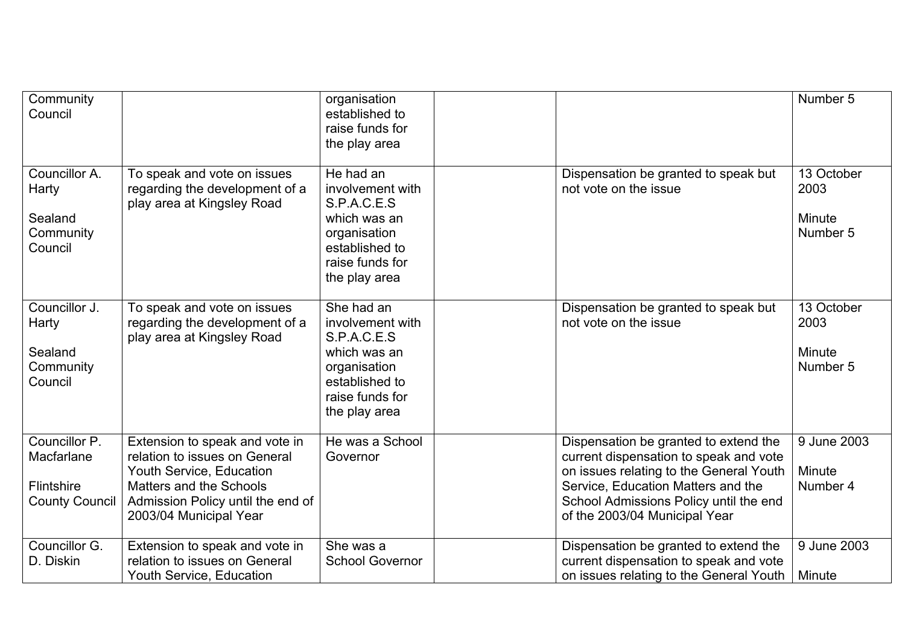| Community<br>Council                                                      |                                                                                                                                                                                       | organisation<br>established to<br>raise funds for<br>the play area                                                                  |                                                                                                                                                                                                                                             | Number 5                                 |
|---------------------------------------------------------------------------|---------------------------------------------------------------------------------------------------------------------------------------------------------------------------------------|-------------------------------------------------------------------------------------------------------------------------------------|---------------------------------------------------------------------------------------------------------------------------------------------------------------------------------------------------------------------------------------------|------------------------------------------|
| Councillor A.<br>Harty<br>Sealand<br>Community<br>Council                 | To speak and vote on issues<br>regarding the development of a<br>play area at Kingsley Road                                                                                           | He had an<br>involvement with<br>S.P.A.C.E.S<br>which was an<br>organisation<br>established to<br>raise funds for<br>the play area  | Dispensation be granted to speak but<br>not vote on the issue                                                                                                                                                                               | 13 October<br>2003<br>Minute<br>Number 5 |
| Councillor J.<br>Harty<br>Sealand<br>Community<br>Council                 | To speak and vote on issues<br>regarding the development of a<br>play area at Kingsley Road                                                                                           | She had an<br>involvement with<br>S.P.A.C.E.S<br>which was an<br>organisation<br>established to<br>raise funds for<br>the play area | Dispensation be granted to speak but<br>not vote on the issue                                                                                                                                                                               | 13 October<br>2003<br>Minute<br>Number 5 |
| Councillor P.<br>Macfarlane<br><b>Flintshire</b><br><b>County Council</b> | Extension to speak and vote in<br>relation to issues on General<br>Youth Service, Education<br>Matters and the Schools<br>Admission Policy until the end of<br>2003/04 Municipal Year | He was a School<br>Governor                                                                                                         | Dispensation be granted to extend the<br>current dispensation to speak and vote<br>on issues relating to the General Youth<br>Service, Education Matters and the<br>School Admissions Policy until the end<br>of the 2003/04 Municipal Year | 9 June 2003<br>Minute<br>Number 4        |
| Councillor G.<br>D. Diskin                                                | Extension to speak and vote in<br>relation to issues on General<br>Youth Service, Education                                                                                           | She was a<br><b>School Governor</b>                                                                                                 | Dispensation be granted to extend the<br>current dispensation to speak and vote<br>on issues relating to the General Youth                                                                                                                  | 9 June 2003<br>Minute                    |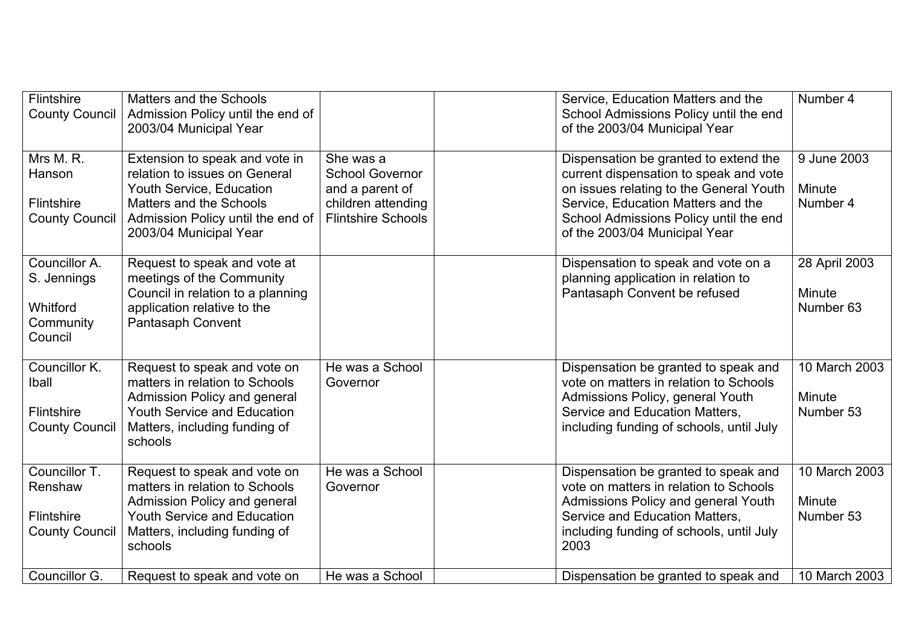| Flintshire<br><b>County Council</b>                                  | Matters and the Schools<br>Admission Policy until the end of<br>2003/04 Municipal Year                                                                                                |                                                                                                           | Service, Education Matters and the<br>School Admissions Policy until the end<br>of the 2003/04 Municipal Year                                                                                                                               | Number 4                             |
|----------------------------------------------------------------------|---------------------------------------------------------------------------------------------------------------------------------------------------------------------------------------|-----------------------------------------------------------------------------------------------------------|---------------------------------------------------------------------------------------------------------------------------------------------------------------------------------------------------------------------------------------------|--------------------------------------|
| Mrs M. R.<br>Hanson<br>Flintshire<br><b>County Council</b>           | Extension to speak and vote in<br>relation to issues on General<br>Youth Service, Education<br>Matters and the Schools<br>Admission Policy until the end of<br>2003/04 Municipal Year | She was a<br><b>School Governor</b><br>and a parent of<br>children attending<br><b>Flintshire Schools</b> | Dispensation be granted to extend the<br>current dispensation to speak and vote<br>on issues relating to the General Youth<br>Service, Education Matters and the<br>School Admissions Policy until the end<br>of the 2003/04 Municipal Year | 9 June 2003<br>Minute<br>Number 4    |
| Councillor A.<br>S. Jennings<br>Whitford<br>Community<br>Council     | Request to speak and vote at<br>meetings of the Community<br>Council in relation to a planning<br>application relative to the<br>Pantasaph Convent                                    |                                                                                                           | Dispensation to speak and vote on a<br>planning application in relation to<br>Pantasaph Convent be refused                                                                                                                                  | 28 April 2003<br>Minute<br>Number 63 |
| Councillor K.<br><b>Iball</b><br>Flintshire<br><b>County Council</b> | Request to speak and vote on<br>matters in relation to Schools<br>Admission Policy and general<br>Youth Service and Education<br>Matters, including funding of<br>schools             | He was a School<br>Governor                                                                               | Dispensation be granted to speak and<br>vote on matters in relation to Schools<br>Admissions Policy, general Youth<br>Service and Education Matters,<br>including funding of schools, until July                                            | 10 March 2003<br>Minute<br>Number 53 |
| Councillor T.<br>Renshaw<br>Flintshire<br><b>County Council</b>      | Request to speak and vote on<br>matters in relation to Schools<br>Admission Policy and general<br><b>Youth Service and Education</b><br>Matters, including funding of<br>schools      | He was a School<br>Governor                                                                               | Dispensation be granted to speak and<br>vote on matters in relation to Schools<br>Admissions Policy and general Youth<br>Service and Education Matters,<br>including funding of schools, until July<br>2003                                 | 10 March 2003<br>Minute<br>Number 53 |
| Councillor G.                                                        | Request to speak and vote on                                                                                                                                                          | He was a School                                                                                           | Dispensation be granted to speak and                                                                                                                                                                                                        | 10 March 2003                        |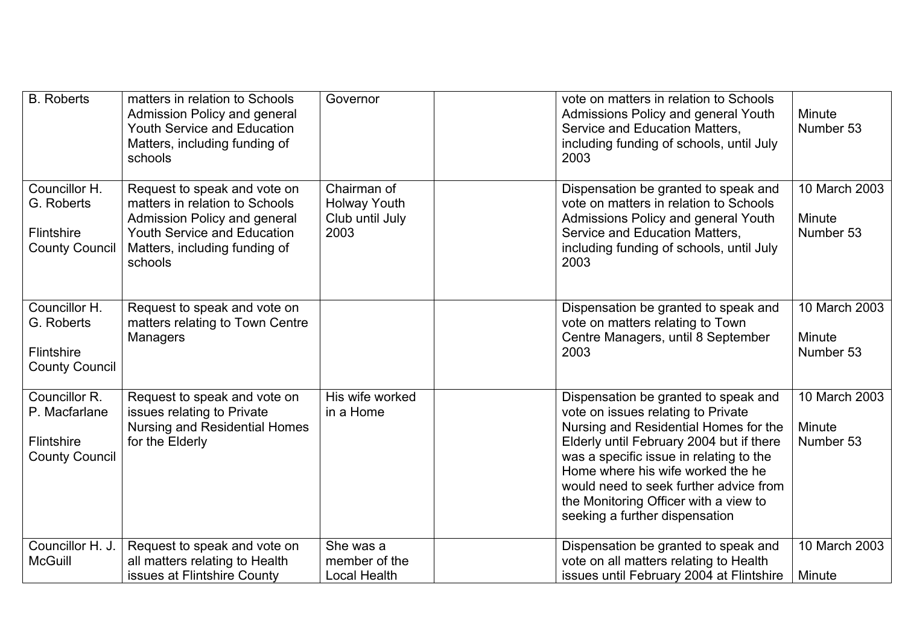| <b>B.</b> Roberts                                                            | matters in relation to Schools<br>Admission Policy and general<br><b>Youth Service and Education</b><br>Matters, including funding of<br>schools                                 | Governor                                                      | vote on matters in relation to Schools<br>Admissions Policy and general Youth<br>Service and Education Matters,<br>including funding of schools, until July<br>2003                                                                                                                                                                                                  | Minute<br>Number 53                  |
|------------------------------------------------------------------------------|----------------------------------------------------------------------------------------------------------------------------------------------------------------------------------|---------------------------------------------------------------|----------------------------------------------------------------------------------------------------------------------------------------------------------------------------------------------------------------------------------------------------------------------------------------------------------------------------------------------------------------------|--------------------------------------|
| Councillor H.<br>G. Roberts<br>Flintshire<br><b>County Council</b>           | Request to speak and vote on<br>matters in relation to Schools<br>Admission Policy and general<br><b>Youth Service and Education</b><br>Matters, including funding of<br>schools | Chairman of<br><b>Holway Youth</b><br>Club until July<br>2003 | Dispensation be granted to speak and<br>vote on matters in relation to Schools<br>Admissions Policy and general Youth<br>Service and Education Matters,<br>including funding of schools, until July<br>2003                                                                                                                                                          | 10 March 2003<br>Minute<br>Number 53 |
| Councillor H.<br>G. Roberts<br>Flintshire<br><b>County Council</b>           | Request to speak and vote on<br>matters relating to Town Centre<br><b>Managers</b>                                                                                               |                                                               | Dispensation be granted to speak and<br>vote on matters relating to Town<br>Centre Managers, until 8 September<br>2003                                                                                                                                                                                                                                               | 10 March 2003<br>Minute<br>Number 53 |
| Councillor R.<br>P. Macfarlane<br><b>Flintshire</b><br><b>County Council</b> | Request to speak and vote on<br>issues relating to Private<br><b>Nursing and Residential Homes</b><br>for the Elderly                                                            | His wife worked<br>in a Home                                  | Dispensation be granted to speak and<br>vote on issues relating to Private<br>Nursing and Residential Homes for the<br>Elderly until February 2004 but if there<br>was a specific issue in relating to the<br>Home where his wife worked the he<br>would need to seek further advice from<br>the Monitoring Officer with a view to<br>seeking a further dispensation | 10 March 2003<br>Minute<br>Number 53 |
| Councillor H. J.<br><b>McGuill</b>                                           | Request to speak and vote on<br>all matters relating to Health<br>issues at Flintshire County                                                                                    | She was a<br>member of the<br><b>Local Health</b>             | Dispensation be granted to speak and<br>vote on all matters relating to Health<br>issues until February 2004 at Flintshire                                                                                                                                                                                                                                           | 10 March 2003<br>Minute              |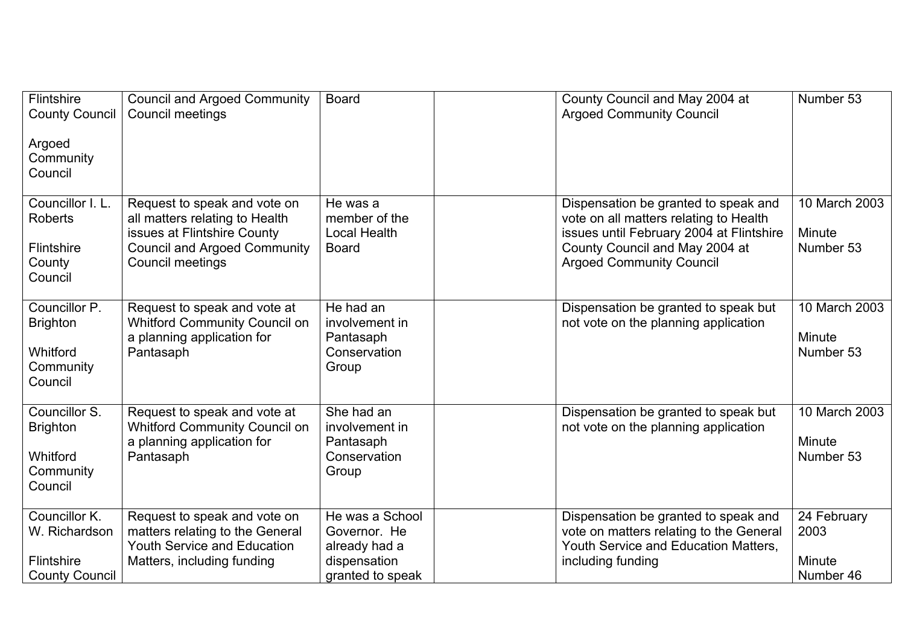| <b>Flintshire</b><br><b>County Council</b><br>Argoed<br>Community<br>Council | <b>Council and Argoed Community</b><br><b>Council meetings</b>                                                                                           | <b>Board</b>                                                                         | County Council and May 2004 at<br><b>Argoed Community Council</b>                                                                                                                               | Number 53                                   |
|------------------------------------------------------------------------------|----------------------------------------------------------------------------------------------------------------------------------------------------------|--------------------------------------------------------------------------------------|-------------------------------------------------------------------------------------------------------------------------------------------------------------------------------------------------|---------------------------------------------|
| Councillor I. L.<br><b>Roberts</b><br><b>Flintshire</b><br>County<br>Council | Request to speak and vote on<br>all matters relating to Health<br>issues at Flintshire County<br><b>Council and Argoed Community</b><br>Council meetings | He was a<br>member of the<br><b>Local Health</b><br><b>Board</b>                     | Dispensation be granted to speak and<br>vote on all matters relating to Health<br>issues until February 2004 at Flintshire<br>County Council and May 2004 at<br><b>Argoed Community Council</b> | 10 March 2003<br>Minute<br>Number 53        |
| Councillor P.<br><b>Brighton</b><br>Whitford<br>Community<br>Council         | Request to speak and vote at<br><b>Whitford Community Council on</b><br>a planning application for<br>Pantasaph                                          | He had an<br>involvement in<br>Pantasaph<br>Conservation<br>Group                    | Dispensation be granted to speak but<br>not vote on the planning application                                                                                                                    | 10 March 2003<br>Minute<br>Number 53        |
| Councillor S.<br><b>Brighton</b><br>Whitford<br>Community<br>Council         | Request to speak and vote at<br><b>Whitford Community Council on</b><br>a planning application for<br>Pantasaph                                          | She had an<br>involvement in<br>Pantasaph<br>Conservation<br>Group                   | Dispensation be granted to speak but<br>not vote on the planning application                                                                                                                    | 10 March 2003<br><b>Minute</b><br>Number 53 |
| Councillor K.<br>W. Richardson<br><b>Flintshire</b><br><b>County Council</b> | Request to speak and vote on<br>matters relating to the General<br><b>Youth Service and Education</b><br>Matters, including funding                      | He was a School<br>Governor. He<br>already had a<br>dispensation<br>granted to speak | Dispensation be granted to speak and<br>vote on matters relating to the General<br>Youth Service and Education Matters.<br>including funding                                                    | 24 February<br>2003<br>Minute<br>Number 46  |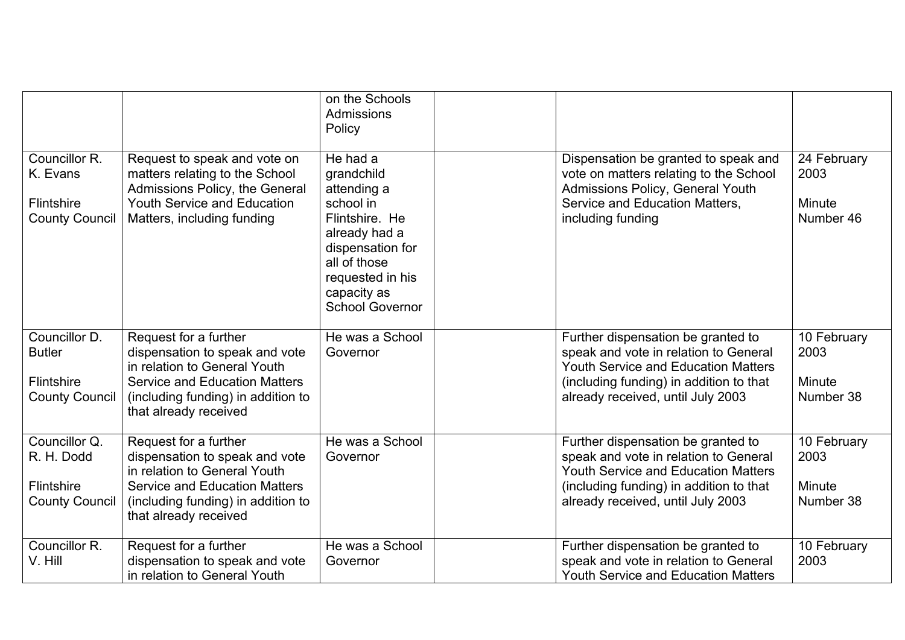|                                                                              |                                                                                                                                                                                                | on the Schools<br><b>Admissions</b><br>Policy                                                                                                                                          |                                                                                                                                                                                                           |                                            |
|------------------------------------------------------------------------------|------------------------------------------------------------------------------------------------------------------------------------------------------------------------------------------------|----------------------------------------------------------------------------------------------------------------------------------------------------------------------------------------|-----------------------------------------------------------------------------------------------------------------------------------------------------------------------------------------------------------|--------------------------------------------|
| Councillor R.<br>K. Evans<br><b>Flintshire</b><br><b>County Council</b>      | Request to speak and vote on<br>matters relating to the School<br>Admissions Policy, the General<br><b>Youth Service and Education</b><br>Matters, including funding                           | He had a<br>grandchild<br>attending a<br>school in<br>Flintshire. He<br>already had a<br>dispensation for<br>all of those<br>requested in his<br>capacity as<br><b>School Governor</b> | Dispensation be granted to speak and<br>vote on matters relating to the School<br>Admissions Policy, General Youth<br>Service and Education Matters,<br>including funding                                 | 24 February<br>2003<br>Minute<br>Number 46 |
| Councillor D.<br><b>Butler</b><br><b>Flintshire</b><br><b>County Council</b> | Request for a further<br>dispensation to speak and vote<br>in relation to General Youth<br><b>Service and Education Matters</b><br>(including funding) in addition to<br>that already received | He was a School<br>Governor                                                                                                                                                            | Further dispensation be granted to<br>speak and vote in relation to General<br><b>Youth Service and Education Matters</b><br>(including funding) in addition to that<br>already received, until July 2003 | 10 February<br>2003<br>Minute<br>Number 38 |
| Councillor Q.<br>R. H. Dodd<br><b>Flintshire</b><br><b>County Council</b>    | Request for a further<br>dispensation to speak and vote<br>in relation to General Youth<br><b>Service and Education Matters</b><br>(including funding) in addition to<br>that already received | He was a School<br>Governor                                                                                                                                                            | Further dispensation be granted to<br>speak and vote in relation to General<br><b>Youth Service and Education Matters</b><br>(including funding) in addition to that<br>already received, until July 2003 | 10 February<br>2003<br>Minute<br>Number 38 |
| Councillor R.<br>V. Hill                                                     | Request for a further<br>dispensation to speak and vote<br>in relation to General Youth                                                                                                        | He was a School<br>Governor                                                                                                                                                            | Further dispensation be granted to<br>speak and vote in relation to General<br><b>Youth Service and Education Matters</b>                                                                                 | 10 February<br>2003                        |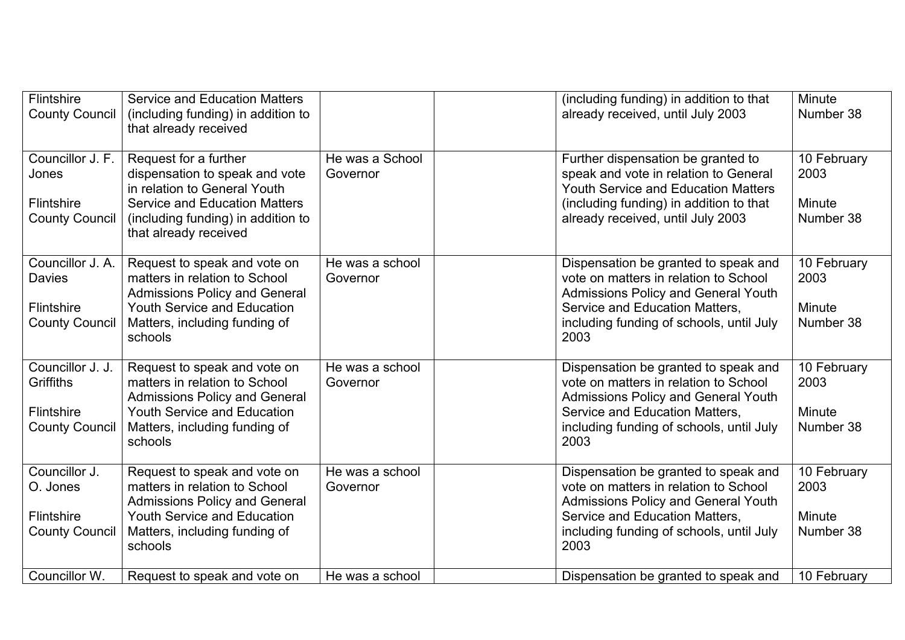| Flintshire<br><b>County Council</b>                                      | <b>Service and Education Matters</b><br>(including funding) in addition to<br>that already received                                                                                            |                             | (including funding) in addition to that<br>already received, until July 2003                                                                                                                                      | Minute<br>Number 38                        |
|--------------------------------------------------------------------------|------------------------------------------------------------------------------------------------------------------------------------------------------------------------------------------------|-----------------------------|-------------------------------------------------------------------------------------------------------------------------------------------------------------------------------------------------------------------|--------------------------------------------|
| Councillor J. F.<br>Jones<br>Flintshire<br><b>County Council</b>         | Request for a further<br>dispensation to speak and vote<br>in relation to General Youth<br><b>Service and Education Matters</b><br>(including funding) in addition to<br>that already received | He was a School<br>Governor | Further dispensation be granted to<br>speak and vote in relation to General<br><b>Youth Service and Education Matters</b><br>(including funding) in addition to that<br>already received, until July 2003         | 10 February<br>2003<br>Minute<br>Number 38 |
| Councillor J. A.<br><b>Davies</b><br>Flintshire<br><b>County Council</b> | Request to speak and vote on<br>matters in relation to School<br><b>Admissions Policy and General</b><br><b>Youth Service and Education</b><br>Matters, including funding of<br>schools        | He was a school<br>Governor | Dispensation be granted to speak and<br>vote on matters in relation to School<br><b>Admissions Policy and General Youth</b><br>Service and Education Matters,<br>including funding of schools, until July<br>2003 | 10 February<br>2003<br>Minute<br>Number 38 |
| Councillor J. J.<br>Griffiths<br>Flintshire<br><b>County Council</b>     | Request to speak and vote on<br>matters in relation to School<br><b>Admissions Policy and General</b><br><b>Youth Service and Education</b><br>Matters, including funding of<br>schools        | He was a school<br>Governor | Dispensation be granted to speak and<br>vote on matters in relation to School<br><b>Admissions Policy and General Youth</b><br>Service and Education Matters,<br>including funding of schools, until July<br>2003 | 10 February<br>2003<br>Minute<br>Number 38 |
| Councillor J.<br>O. Jones<br>Flintshire<br><b>County Council</b>         | Request to speak and vote on<br>matters in relation to School<br><b>Admissions Policy and General</b><br><b>Youth Service and Education</b><br>Matters, including funding of<br>schools        | He was a school<br>Governor | Dispensation be granted to speak and<br>vote on matters in relation to School<br><b>Admissions Policy and General Youth</b><br>Service and Education Matters,<br>including funding of schools, until July<br>2003 | 10 February<br>2003<br>Minute<br>Number 38 |
| Councillor W.                                                            | Request to speak and vote on                                                                                                                                                                   | He was a school             | Dispensation be granted to speak and                                                                                                                                                                              | 10 February                                |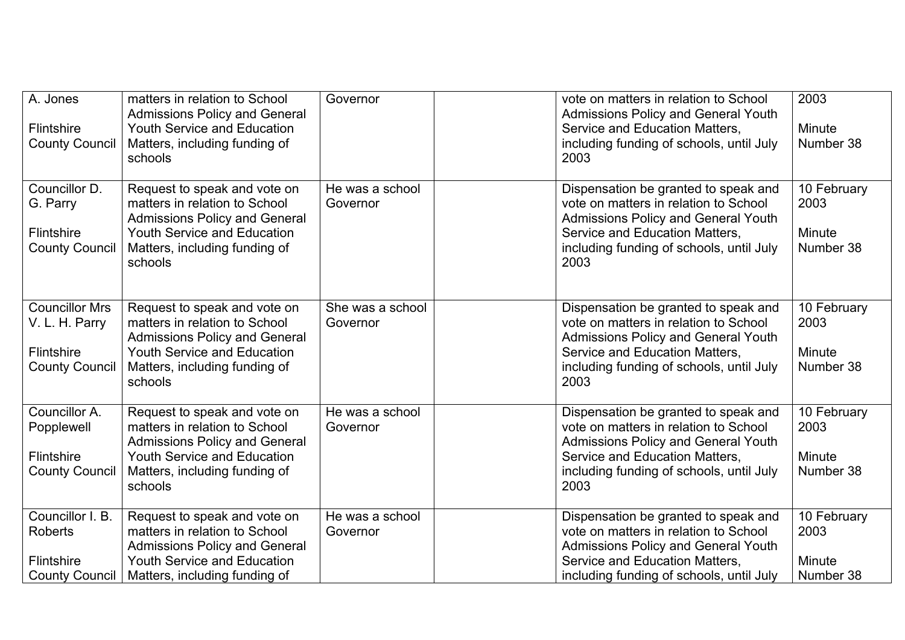| A. Jones<br>Flintshire<br><b>County Council</b>                                  | matters in relation to School<br><b>Admissions Policy and General</b><br><b>Youth Service and Education</b><br>Matters, including funding of<br>schools                                 | Governor                     | vote on matters in relation to School<br><b>Admissions Policy and General Youth</b><br>Service and Education Matters,<br>including funding of schools, until July<br>2003                                         | 2003<br>Minute<br>Number 38                |
|----------------------------------------------------------------------------------|-----------------------------------------------------------------------------------------------------------------------------------------------------------------------------------------|------------------------------|-------------------------------------------------------------------------------------------------------------------------------------------------------------------------------------------------------------------|--------------------------------------------|
| Councillor D.<br>G. Parry<br><b>Flintshire</b><br><b>County Council</b>          | Request to speak and vote on<br>matters in relation to School<br><b>Admissions Policy and General</b><br><b>Youth Service and Education</b><br>Matters, including funding of<br>schools | He was a school<br>Governor  | Dispensation be granted to speak and<br>vote on matters in relation to School<br><b>Admissions Policy and General Youth</b><br>Service and Education Matters,<br>including funding of schools, until July<br>2003 | 10 February<br>2003<br>Minute<br>Number 38 |
| <b>Councillor Mrs</b><br>V. L. H. Parry<br>Flintshire<br><b>County Council</b>   | Request to speak and vote on<br>matters in relation to School<br><b>Admissions Policy and General</b><br><b>Youth Service and Education</b><br>Matters, including funding of<br>schools | She was a school<br>Governor | Dispensation be granted to speak and<br>vote on matters in relation to School<br>Admissions Policy and General Youth<br>Service and Education Matters,<br>including funding of schools, until July<br>2003        | 10 February<br>2003<br>Minute<br>Number 38 |
| Councillor A.<br>Popplewell<br><b>Flintshire</b><br><b>County Council</b>        | Request to speak and vote on<br>matters in relation to School<br><b>Admissions Policy and General</b><br><b>Youth Service and Education</b><br>Matters, including funding of<br>schools | He was a school<br>Governor  | Dispensation be granted to speak and<br>vote on matters in relation to School<br><b>Admissions Policy and General Youth</b><br>Service and Education Matters,<br>including funding of schools, until July<br>2003 | 10 February<br>2003<br>Minute<br>Number 38 |
| Councillor I. B.<br><b>Roberts</b><br><b>Flintshire</b><br><b>County Council</b> | Request to speak and vote on<br>matters in relation to School<br><b>Admissions Policy and General</b><br><b>Youth Service and Education</b><br>Matters, including funding of            | He was a school<br>Governor  | Dispensation be granted to speak and<br>vote on matters in relation to School<br><b>Admissions Policy and General Youth</b><br>Service and Education Matters,<br>including funding of schools, until July         | 10 February<br>2003<br>Minute<br>Number 38 |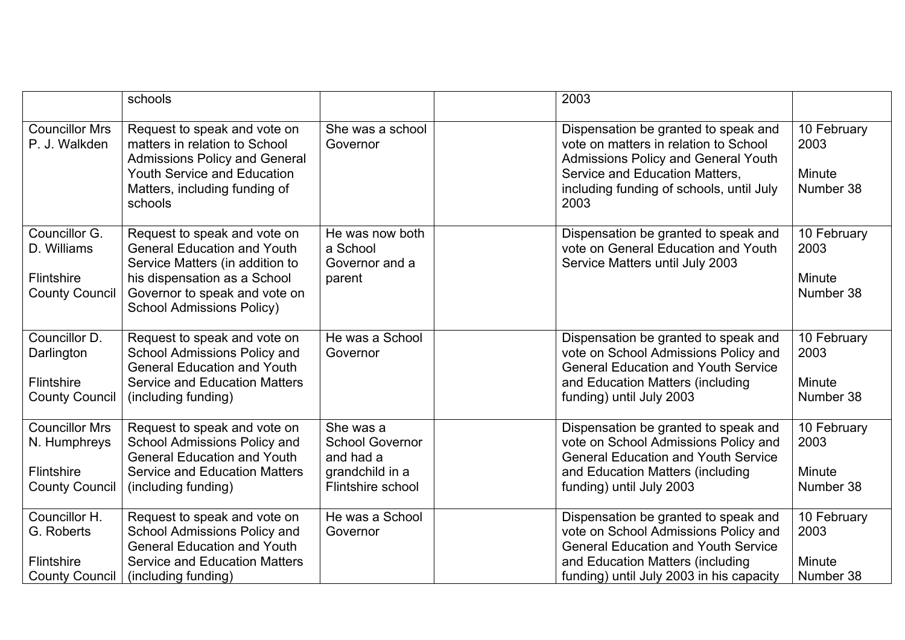|                                                                              | schools                                                                                                                                                                                                    |                                                                                          | 2003                                                                                                                                                                                                       |                                            |
|------------------------------------------------------------------------------|------------------------------------------------------------------------------------------------------------------------------------------------------------------------------------------------------------|------------------------------------------------------------------------------------------|------------------------------------------------------------------------------------------------------------------------------------------------------------------------------------------------------------|--------------------------------------------|
| <b>Councillor Mrs</b><br>P. J. Walkden                                       | Request to speak and vote on<br>matters in relation to School<br><b>Admissions Policy and General</b><br><b>Youth Service and Education</b><br>Matters, including funding of<br>schools                    | She was a school<br>Governor                                                             | Dispensation be granted to speak and<br>vote on matters in relation to School<br>Admissions Policy and General Youth<br>Service and Education Matters,<br>including funding of schools, until July<br>2003 | 10 February<br>2003<br>Minute<br>Number 38 |
| Councillor G.<br>D. Williams<br>Flintshire<br><b>County Council</b>          | Request to speak and vote on<br><b>General Education and Youth</b><br>Service Matters (in addition to<br>his dispensation as a School<br>Governor to speak and vote on<br><b>School Admissions Policy)</b> | He was now both<br>a School<br>Governor and a<br>parent                                  | Dispensation be granted to speak and<br>vote on General Education and Youth<br>Service Matters until July 2003                                                                                             | 10 February<br>2003<br>Minute<br>Number 38 |
| Councillor D.<br>Darlington<br><b>Flintshire</b><br><b>County Council</b>    | Request to speak and vote on<br>School Admissions Policy and<br><b>General Education and Youth</b><br><b>Service and Education Matters</b><br>(including funding)                                          | He was a School<br>Governor                                                              | Dispensation be granted to speak and<br>vote on School Admissions Policy and<br><b>General Education and Youth Service</b><br>and Education Matters (including<br>funding) until July 2003                 | 10 February<br>2003<br>Minute<br>Number 38 |
| <b>Councillor Mrs</b><br>N. Humphreys<br>Flintshire<br><b>County Council</b> | Request to speak and vote on<br>School Admissions Policy and<br><b>General Education and Youth</b><br><b>Service and Education Matters</b><br>(including funding)                                          | She was a<br><b>School Governor</b><br>and had a<br>grandchild in a<br>Flintshire school | Dispensation be granted to speak and<br>vote on School Admissions Policy and<br><b>General Education and Youth Service</b><br>and Education Matters (including<br>funding) until July 2003                 | 10 February<br>2003<br>Minute<br>Number 38 |
| Councillor H.<br>G. Roberts<br><b>Flintshire</b><br><b>County Council</b>    | Request to speak and vote on<br>School Admissions Policy and<br><b>General Education and Youth</b><br><b>Service and Education Matters</b><br>(including funding)                                          | He was a School<br>Governor                                                              | Dispensation be granted to speak and<br>vote on School Admissions Policy and<br><b>General Education and Youth Service</b><br>and Education Matters (including<br>funding) until July 2003 in his capacity | 10 February<br>2003<br>Minute<br>Number 38 |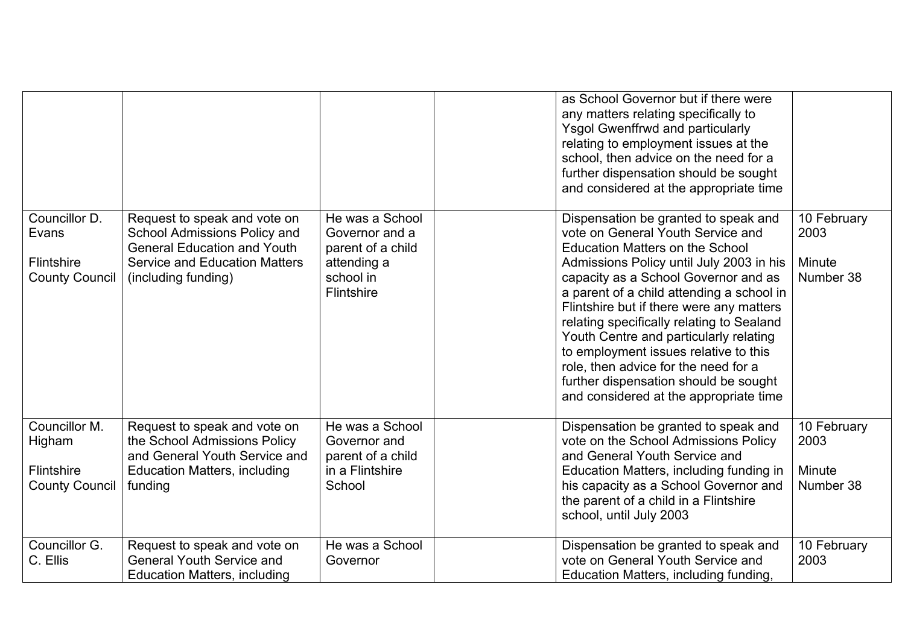|                                                                |                                                                                                                                                                   |                                                                                                  | as School Governor but if there were<br>any matters relating specifically to<br><b>Ysgol Gwenffrwd and particularly</b><br>relating to employment issues at the<br>school, then advice on the need for a<br>further dispensation should be sought<br>and considered at the appropriate time                                                                                                                                                                                                                                                                 |                                            |
|----------------------------------------------------------------|-------------------------------------------------------------------------------------------------------------------------------------------------------------------|--------------------------------------------------------------------------------------------------|-------------------------------------------------------------------------------------------------------------------------------------------------------------------------------------------------------------------------------------------------------------------------------------------------------------------------------------------------------------------------------------------------------------------------------------------------------------------------------------------------------------------------------------------------------------|--------------------------------------------|
| Councillor D.<br>Evans<br>Flintshire<br><b>County Council</b>  | Request to speak and vote on<br>School Admissions Policy and<br><b>General Education and Youth</b><br><b>Service and Education Matters</b><br>(including funding) | He was a School<br>Governor and a<br>parent of a child<br>attending a<br>school in<br>Flintshire | Dispensation be granted to speak and<br>vote on General Youth Service and<br><b>Education Matters on the School</b><br>Admissions Policy until July 2003 in his<br>capacity as a School Governor and as<br>a parent of a child attending a school in<br>Flintshire but if there were any matters<br>relating specifically relating to Sealand<br>Youth Centre and particularly relating<br>to employment issues relative to this<br>role, then advice for the need for a<br>further dispensation should be sought<br>and considered at the appropriate time | 10 February<br>2003<br>Minute<br>Number 38 |
| Councillor M.<br>Higham<br>Flintshire<br><b>County Council</b> | Request to speak and vote on<br>the School Admissions Policy<br>and General Youth Service and<br><b>Education Matters, including</b><br>funding                   | He was a School<br>Governor and<br>parent of a child<br>in a Flintshire<br>School                | Dispensation be granted to speak and<br>vote on the School Admissions Policy<br>and General Youth Service and<br>Education Matters, including funding in<br>his capacity as a School Governor and<br>the parent of a child in a Flintshire<br>school, until July 2003                                                                                                                                                                                                                                                                                       | 10 February<br>2003<br>Minute<br>Number 38 |
| Councillor G.<br>C. Ellis                                      | Request to speak and vote on<br><b>General Youth Service and</b><br><b>Education Matters, including</b>                                                           | He was a School<br>Governor                                                                      | Dispensation be granted to speak and<br>vote on General Youth Service and<br>Education Matters, including funding,                                                                                                                                                                                                                                                                                                                                                                                                                                          | 10 February<br>2003                        |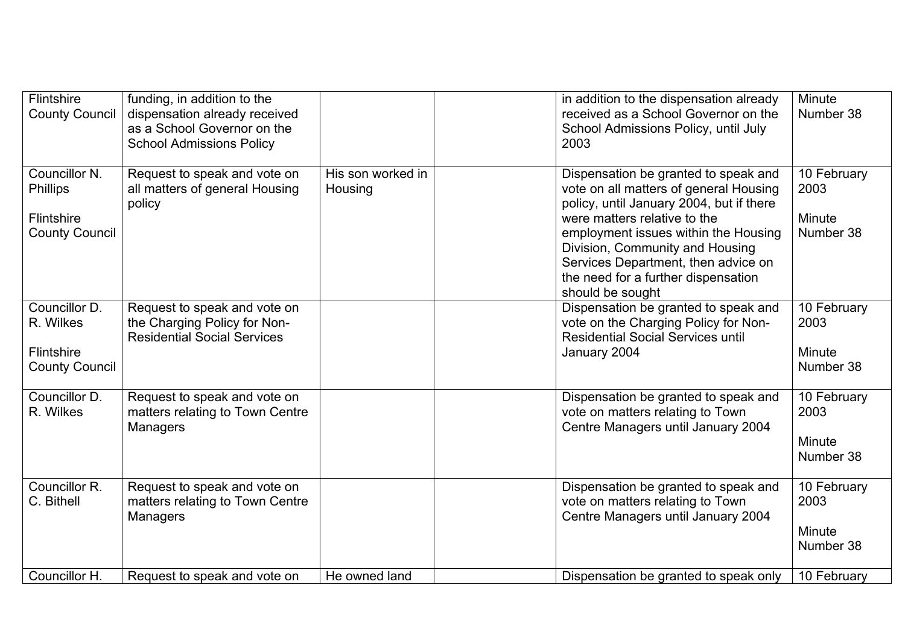| Flintshire<br><b>County Council</b>                                            | funding, in addition to the<br>dispensation already received<br>as a School Governor on the<br><b>School Admissions Policy</b> |                              | in addition to the dispensation already<br>received as a School Governor on the<br>School Admissions Policy, until July<br>2003                                                                                                                                                                                                         | Minute<br>Number 38                        |
|--------------------------------------------------------------------------------|--------------------------------------------------------------------------------------------------------------------------------|------------------------------|-----------------------------------------------------------------------------------------------------------------------------------------------------------------------------------------------------------------------------------------------------------------------------------------------------------------------------------------|--------------------------------------------|
| Councillor N.<br><b>Phillips</b><br><b>Flintshire</b><br><b>County Council</b> | Request to speak and vote on<br>all matters of general Housing<br>policy                                                       | His son worked in<br>Housing | Dispensation be granted to speak and<br>vote on all matters of general Housing<br>policy, until January 2004, but if there<br>were matters relative to the<br>employment issues within the Housing<br>Division, Community and Housing<br>Services Department, then advice on<br>the need for a further dispensation<br>should be sought | 10 February<br>2003<br>Minute<br>Number 38 |
| Councillor D.<br>R. Wilkes<br><b>Flintshire</b><br><b>County Council</b>       | Request to speak and vote on<br>the Charging Policy for Non-<br><b>Residential Social Services</b>                             |                              | Dispensation be granted to speak and<br>vote on the Charging Policy for Non-<br><b>Residential Social Services until</b><br>January 2004                                                                                                                                                                                                | 10 February<br>2003<br>Minute<br>Number 38 |
| Councillor D.<br>R. Wilkes                                                     | Request to speak and vote on<br>matters relating to Town Centre<br><b>Managers</b>                                             |                              | Dispensation be granted to speak and<br>vote on matters relating to Town<br>Centre Managers until January 2004                                                                                                                                                                                                                          | 10 February<br>2003<br>Minute<br>Number 38 |
| Councillor R.<br>C. Bithell                                                    | Request to speak and vote on<br>matters relating to Town Centre<br><b>Managers</b>                                             |                              | Dispensation be granted to speak and<br>vote on matters relating to Town<br>Centre Managers until January 2004                                                                                                                                                                                                                          | 10 February<br>2003<br>Minute<br>Number 38 |
| Councillor H.                                                                  | Request to speak and vote on                                                                                                   | He owned land                | Dispensation be granted to speak only                                                                                                                                                                                                                                                                                                   | 10 February                                |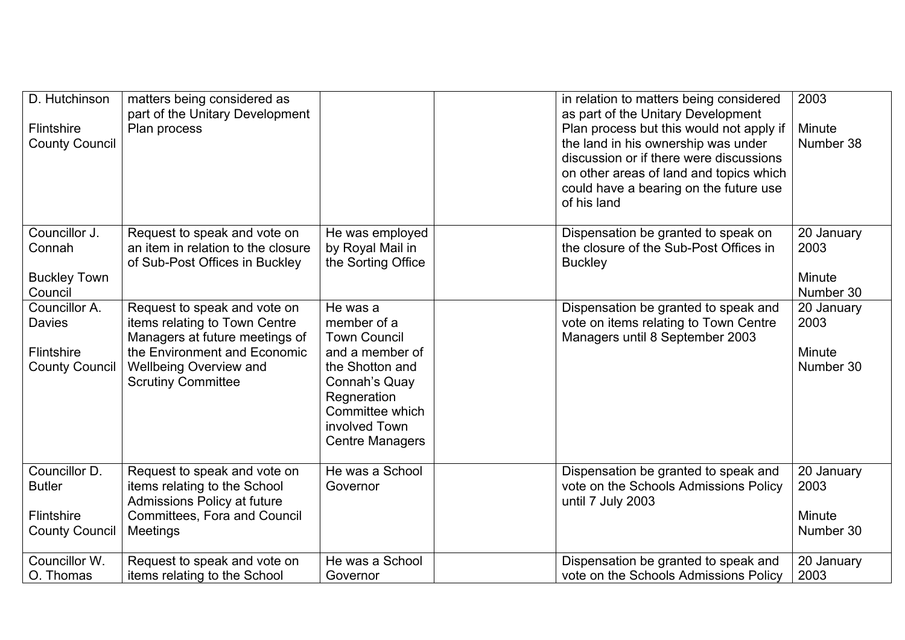| D. Hutchinson<br><b>Flintshire</b><br><b>County Council</b>                  | matters being considered as<br>part of the Unitary Development<br>Plan process                                                                                                                |                                                                                                       | in relation to matters being considered<br>as part of the Unitary Development<br>Plan process but this would not apply if<br>the land in his ownership was under<br>discussion or if there were discussions | 2003<br>Minute<br>Number 38               |
|------------------------------------------------------------------------------|-----------------------------------------------------------------------------------------------------------------------------------------------------------------------------------------------|-------------------------------------------------------------------------------------------------------|-------------------------------------------------------------------------------------------------------------------------------------------------------------------------------------------------------------|-------------------------------------------|
|                                                                              |                                                                                                                                                                                               |                                                                                                       | on other areas of land and topics which<br>could have a bearing on the future use<br>of his land                                                                                                            |                                           |
| Councillor J.<br>Connah                                                      | Request to speak and vote on<br>an item in relation to the closure<br>of Sub-Post Offices in Buckley                                                                                          | He was employed<br>by Royal Mail in<br>the Sorting Office                                             | Dispensation be granted to speak on<br>the closure of the Sub-Post Offices in<br><b>Buckley</b>                                                                                                             | 20 January<br>2003                        |
| <b>Buckley Town</b><br>Council                                               |                                                                                                                                                                                               |                                                                                                       |                                                                                                                                                                                                             | Minute<br>Number 30                       |
| Councillor A.<br><b>Davies</b><br><b>Flintshire</b><br><b>County Council</b> | Request to speak and vote on<br>items relating to Town Centre<br>Managers at future meetings of<br>the Environment and Economic<br><b>Wellbeing Overview and</b><br><b>Scrutiny Committee</b> | He was a<br>member of a<br><b>Town Council</b><br>and a member of<br>the Shotton and<br>Connah's Quay | Dispensation be granted to speak and<br>vote on items relating to Town Centre<br>Managers until 8 September 2003                                                                                            | 20 January<br>2003<br>Minute<br>Number 30 |
|                                                                              |                                                                                                                                                                                               | Regneration<br>Committee which<br>involved Town<br><b>Centre Managers</b>                             |                                                                                                                                                                                                             |                                           |
| Councillor D.<br><b>Butler</b><br>Flintshire                                 | Request to speak and vote on<br>items relating to the School<br>Admissions Policy at future<br>Committees, Fora and Council                                                                   | He was a School<br>Governor                                                                           | Dispensation be granted to speak and<br>vote on the Schools Admissions Policy<br>until 7 July 2003                                                                                                          | 20 January<br>2003<br>Minute              |
| <b>County Council</b>                                                        | Meetings                                                                                                                                                                                      |                                                                                                       |                                                                                                                                                                                                             | Number 30                                 |
| Councillor W.<br>O. Thomas                                                   | Request to speak and vote on<br>items relating to the School                                                                                                                                  | He was a School<br>Governor                                                                           | Dispensation be granted to speak and<br>vote on the Schools Admissions Policy                                                                                                                               | 20 January<br>2003                        |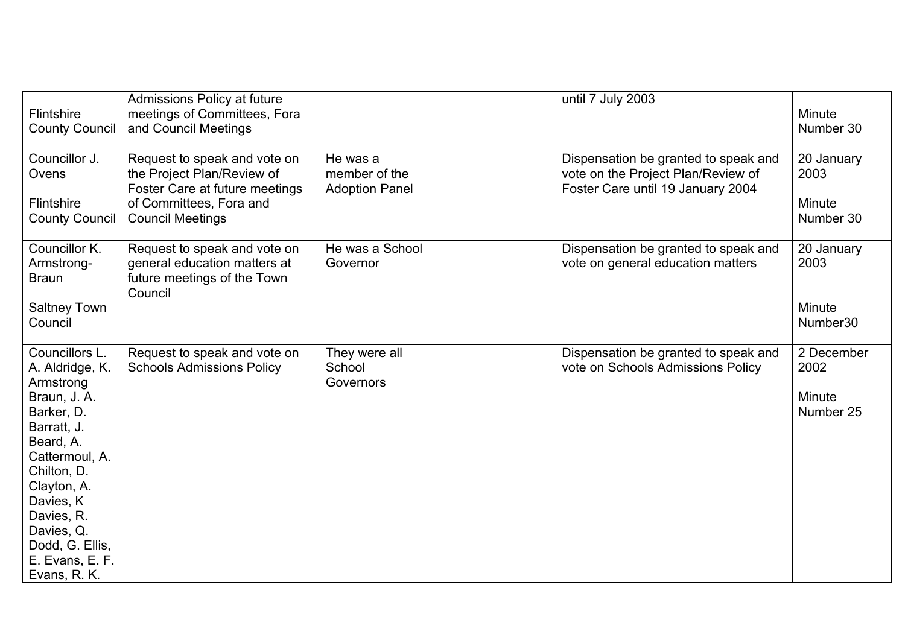| <b>Flintshire</b><br><b>County Council</b>                                                                                                                                                                                                              | Admissions Policy at future<br>meetings of Committees, Fora<br>and Council Meetings                                                                |                                                    | until 7 July 2003                                                                                               | Minute<br>Number 30                       |
|---------------------------------------------------------------------------------------------------------------------------------------------------------------------------------------------------------------------------------------------------------|----------------------------------------------------------------------------------------------------------------------------------------------------|----------------------------------------------------|-----------------------------------------------------------------------------------------------------------------|-------------------------------------------|
| Councillor J.<br>Ovens<br><b>Flintshire</b><br><b>County Council</b>                                                                                                                                                                                    | Request to speak and vote on<br>the Project Plan/Review of<br>Foster Care at future meetings<br>of Committees, Fora and<br><b>Council Meetings</b> | He was a<br>member of the<br><b>Adoption Panel</b> | Dispensation be granted to speak and<br>vote on the Project Plan/Review of<br>Foster Care until 19 January 2004 | 20 January<br>2003<br>Minute<br>Number 30 |
| Councillor K.<br>Armstrong-<br><b>Braun</b><br><b>Saltney Town</b><br>Council                                                                                                                                                                           | Request to speak and vote on<br>general education matters at<br>future meetings of the Town<br>Council                                             | He was a School<br>Governor                        | Dispensation be granted to speak and<br>vote on general education matters                                       | 20 January<br>2003<br>Minute<br>Number30  |
| Councillors L.<br>A. Aldridge, K.<br>Armstrong<br>Braun, J. A.<br>Barker, D.<br>Barratt, J.<br>Beard, A.<br>Cattermoul, A.<br>Chilton, D.<br>Clayton, A.<br>Davies, K<br>Davies, R.<br>Davies, Q.<br>Dodd, G. Ellis,<br>E. Evans, E. F.<br>Evans, R. K. | Request to speak and vote on<br><b>Schools Admissions Policy</b>                                                                                   | They were all<br>School<br>Governors               | Dispensation be granted to speak and<br>vote on Schools Admissions Policy                                       | 2 December<br>2002<br>Minute<br>Number 25 |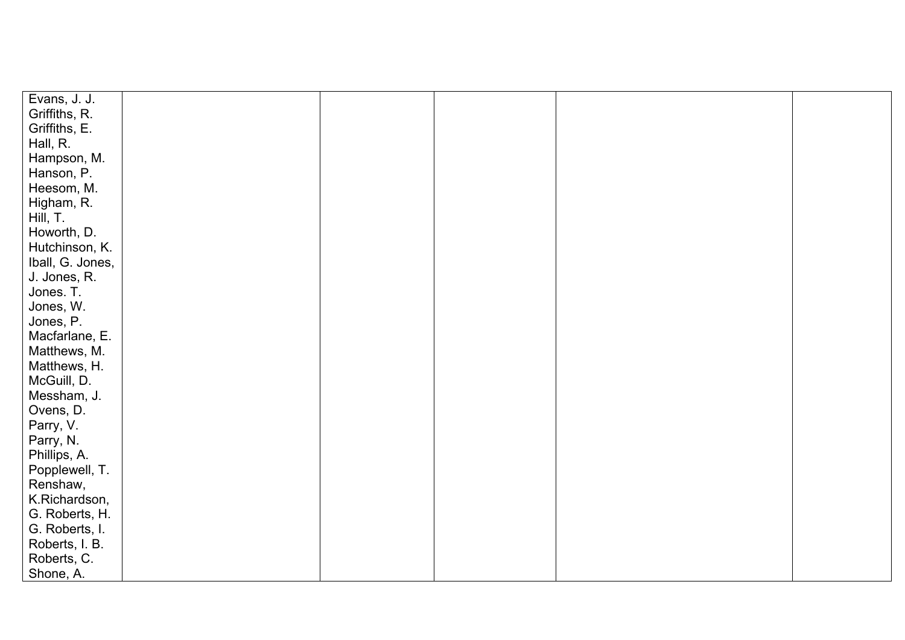| Evans, J. J.     |  |  |  |
|------------------|--|--|--|
| Griffiths, R.    |  |  |  |
| Griffiths, E.    |  |  |  |
| Hall, R.         |  |  |  |
| Hampson, M.      |  |  |  |
| Hanson, P.       |  |  |  |
| Heesom, M.       |  |  |  |
| Higham, R.       |  |  |  |
| Hill, T.         |  |  |  |
| Howorth, D.      |  |  |  |
| Hutchinson, K.   |  |  |  |
| Iball, G. Jones, |  |  |  |
| J. Jones, R.     |  |  |  |
| Jones. T.        |  |  |  |
| Jones, W.        |  |  |  |
| Jones, P.        |  |  |  |
| Macfarlane, E.   |  |  |  |
| Matthews, M.     |  |  |  |
| Matthews, H.     |  |  |  |
| McGuill, D.      |  |  |  |
| Messham, J.      |  |  |  |
| Ovens, D.        |  |  |  |
| Parry, V.        |  |  |  |
| Parry, N.        |  |  |  |
| Phillips, A.     |  |  |  |
| Popplewell, T.   |  |  |  |
| Renshaw,         |  |  |  |
| K.Richardson,    |  |  |  |
| G. Roberts, H.   |  |  |  |
| G. Roberts, I.   |  |  |  |
| Roberts, I. B.   |  |  |  |
| Roberts, C.      |  |  |  |
| Shone, A.        |  |  |  |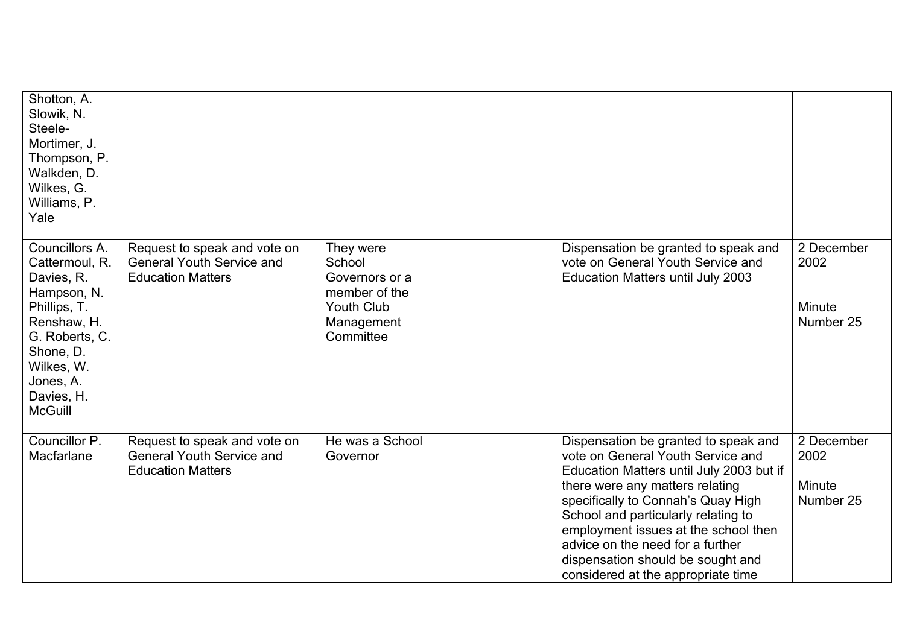| Shotton, A.<br>Slowik, N.<br>Steele-<br>Mortimer, J.<br>Thompson, P.<br>Walkden, D.<br>Wilkes, G.<br>Williams, P.<br>Yale                                                              |                                                                                              |                                                                                                        |                                                                                                                                                                                                                                                                                                                                                                                              |                                           |
|----------------------------------------------------------------------------------------------------------------------------------------------------------------------------------------|----------------------------------------------------------------------------------------------|--------------------------------------------------------------------------------------------------------|----------------------------------------------------------------------------------------------------------------------------------------------------------------------------------------------------------------------------------------------------------------------------------------------------------------------------------------------------------------------------------------------|-------------------------------------------|
| Councillors A.<br>Cattermoul, R.<br>Davies, R.<br>Hampson, N.<br>Phillips, T.<br>Renshaw, H.<br>G. Roberts, C.<br>Shone, D.<br>Wilkes, W.<br>Jones, A.<br>Davies, H.<br><b>McGuill</b> | Request to speak and vote on<br><b>General Youth Service and</b><br><b>Education Matters</b> | They were<br>School<br>Governors or a<br>member of the<br><b>Youth Club</b><br>Management<br>Committee | Dispensation be granted to speak and<br>vote on General Youth Service and<br>Education Matters until July 2003                                                                                                                                                                                                                                                                               | 2 December<br>2002<br>Minute<br>Number 25 |
| Councillor P.<br>Macfarlane                                                                                                                                                            | Request to speak and vote on<br><b>General Youth Service and</b><br><b>Education Matters</b> | He was a School<br>Governor                                                                            | Dispensation be granted to speak and<br>vote on General Youth Service and<br>Education Matters until July 2003 but if<br>there were any matters relating<br>specifically to Connah's Quay High<br>School and particularly relating to<br>employment issues at the school then<br>advice on the need for a further<br>dispensation should be sought and<br>considered at the appropriate time | 2 December<br>2002<br>Minute<br>Number 25 |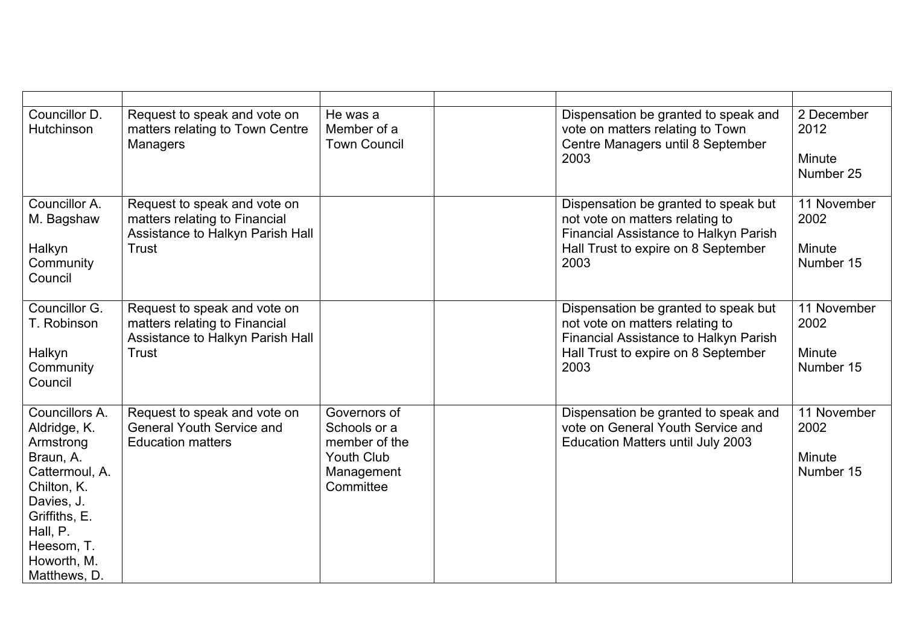| Councillor D.<br>Hutchinson                                                                                                                                                       | Request to speak and vote on<br>matters relating to Town Centre<br>Managers                                | He was a<br>Member of a<br><b>Town Council</b>                                                | Dispensation be granted to speak and<br>vote on matters relating to Town<br>Centre Managers until 8 September<br>2003                                           | 2 December<br>2012<br>Minute<br>Number 25  |
|-----------------------------------------------------------------------------------------------------------------------------------------------------------------------------------|------------------------------------------------------------------------------------------------------------|-----------------------------------------------------------------------------------------------|-----------------------------------------------------------------------------------------------------------------------------------------------------------------|--------------------------------------------|
| Councillor A.<br>M. Bagshaw<br>Halkyn<br>Community<br>Council                                                                                                                     | Request to speak and vote on<br>matters relating to Financial<br>Assistance to Halkyn Parish Hall<br>Trust |                                                                                               | Dispensation be granted to speak but<br>not vote on matters relating to<br>Financial Assistance to Halkyn Parish<br>Hall Trust to expire on 8 September<br>2003 | 11 November<br>2002<br>Minute<br>Number 15 |
| Councillor G.<br>T. Robinson<br>Halkyn<br>Community<br>Council                                                                                                                    | Request to speak and vote on<br>matters relating to Financial<br>Assistance to Halkyn Parish Hall<br>Trust |                                                                                               | Dispensation be granted to speak but<br>not vote on matters relating to<br>Financial Assistance to Halkyn Parish<br>Hall Trust to expire on 8 September<br>2003 | 11 November<br>2002<br>Minute<br>Number 15 |
| Councillors A.<br>Aldridge, K.<br>Armstrong<br>Braun, A.<br>Cattermoul, A.<br>Chilton, K.<br>Davies, J.<br>Griffiths, E.<br>Hall, P.<br>Heesom, T.<br>Howorth, M.<br>Matthews, D. | Request to speak and vote on<br><b>General Youth Service and</b><br><b>Education matters</b>               | Governors of<br>Schools or a<br>member of the<br><b>Youth Club</b><br>Management<br>Committee | Dispensation be granted to speak and<br>vote on General Youth Service and<br>Education Matters until July 2003                                                  | 11 November<br>2002<br>Minute<br>Number 15 |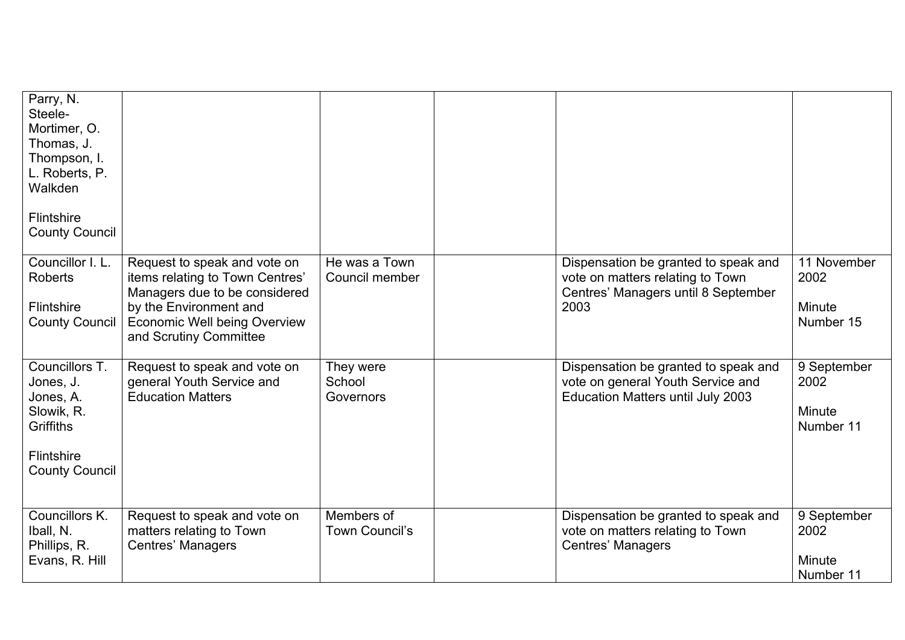| Parry, N.<br>Steele-<br>Mortimer, O.<br>Thomas, J.<br>Thompson, I.<br>L. Roberts, P.<br>Walkden<br><b>Flintshire</b><br><b>County Council</b> |                                                                                                                                                                                             |                                  |                                                                                                                         |                                            |
|-----------------------------------------------------------------------------------------------------------------------------------------------|---------------------------------------------------------------------------------------------------------------------------------------------------------------------------------------------|----------------------------------|-------------------------------------------------------------------------------------------------------------------------|--------------------------------------------|
| Councillor I. L.<br><b>Roberts</b><br>Flintshire<br><b>County Council</b>                                                                     | Request to speak and vote on<br>items relating to Town Centres'<br>Managers due to be considered<br>by the Environment and<br><b>Economic Well being Overview</b><br>and Scrutiny Committee | He was a Town<br>Council member  | Dispensation be granted to speak and<br>vote on matters relating to Town<br>Centres' Managers until 8 September<br>2003 | 11 November<br>2002<br>Minute<br>Number 15 |
| Councillors T.<br>Jones, J.<br>Jones, A.<br>Slowik, R.<br>Griffiths<br>Flintshire<br><b>County Council</b>                                    | Request to speak and vote on<br>general Youth Service and<br><b>Education Matters</b>                                                                                                       | They were<br>School<br>Governors | Dispensation be granted to speak and<br>vote on general Youth Service and<br><b>Education Matters until July 2003</b>   | 9 September<br>2002<br>Minute<br>Number 11 |
| Councillors K.<br>Iball, N.<br>Phillips, R.<br>Evans, R. Hill                                                                                 | Request to speak and vote on<br>matters relating to Town<br><b>Centres' Managers</b>                                                                                                        | Members of<br>Town Council's     | Dispensation be granted to speak and<br>vote on matters relating to Town<br><b>Centres' Managers</b>                    | 9 September<br>2002<br>Minute<br>Number 11 |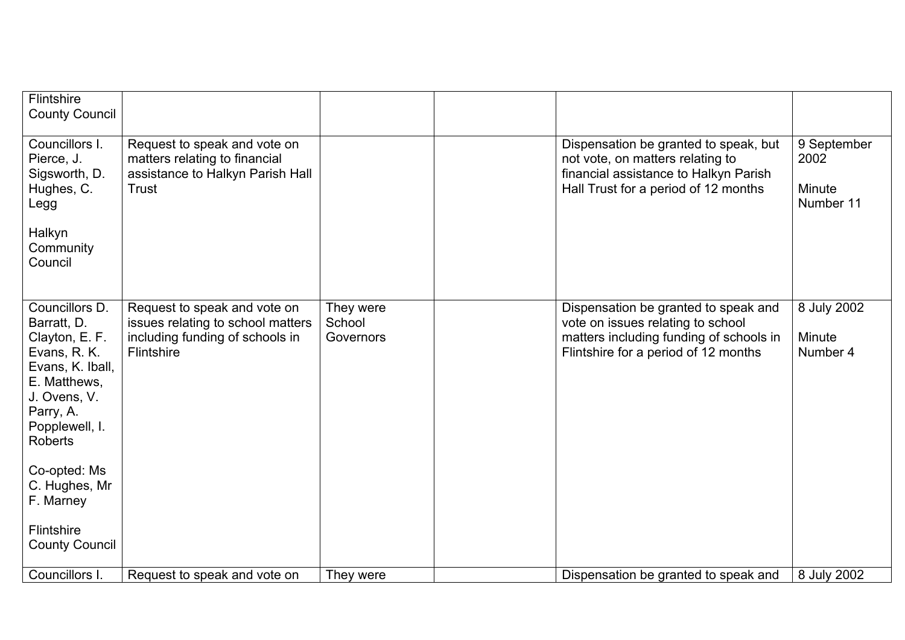| <b>Flintshire</b><br><b>County Council</b>                                                                                                                           |                                                                                                                    |                                  |                                                                                                                                                              |                                            |
|----------------------------------------------------------------------------------------------------------------------------------------------------------------------|--------------------------------------------------------------------------------------------------------------------|----------------------------------|--------------------------------------------------------------------------------------------------------------------------------------------------------------|--------------------------------------------|
| Councillors I.<br>Pierce, J.<br>Sigsworth, D.<br>Hughes, C.<br>Legg<br>Halkyn<br>Community<br>Council                                                                | Request to speak and vote on<br>matters relating to financial<br>assistance to Halkyn Parish Hall<br>Trust         |                                  | Dispensation be granted to speak, but<br>not vote, on matters relating to<br>financial assistance to Halkyn Parish<br>Hall Trust for a period of 12 months   | 9 September<br>2002<br>Minute<br>Number 11 |
| Councillors D.<br>Barratt, D.<br>Clayton, E. F.<br>Evans, R. K.<br>Evans, K. Iball,<br>E. Matthews,<br>J. Ovens, V.<br>Parry, A.<br>Popplewell, I.<br><b>Roberts</b> | Request to speak and vote on<br>issues relating to school matters<br>including funding of schools in<br>Flintshire | They were<br>School<br>Governors | Dispensation be granted to speak and<br>vote on issues relating to school<br>matters including funding of schools in<br>Flintshire for a period of 12 months | 8 July 2002<br>Minute<br>Number 4          |
| Co-opted: Ms<br>C. Hughes, Mr<br>F. Marney                                                                                                                           |                                                                                                                    |                                  |                                                                                                                                                              |                                            |
| Flintshire<br><b>County Council</b>                                                                                                                                  |                                                                                                                    |                                  |                                                                                                                                                              |                                            |
| Councillors I.                                                                                                                                                       | Request to speak and vote on                                                                                       | They were                        | Dispensation be granted to speak and                                                                                                                         | 8 July 2002                                |